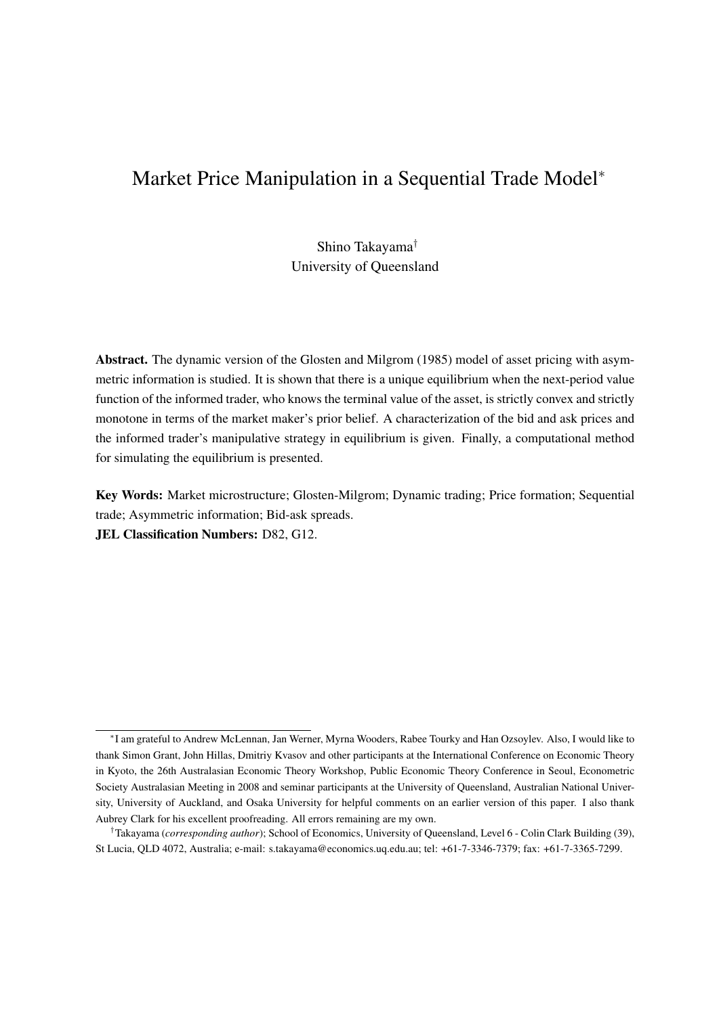# Market Price Manipulation in a Sequential Trade Model<sup>∗</sup>

Shino Takayama† University of Queensland

Abstract. The dynamic version of the Glosten and Milgrom (1985) model of asset pricing with asymmetric information is studied. It is shown that there is a unique equilibrium when the next-period value function of the informed trader, who knows the terminal value of the asset, is strictly convex and strictly monotone in terms of the market maker's prior belief. A characterization of the bid and ask prices and the informed trader's manipulative strategy in equilibrium is given. Finally, a computational method for simulating the equilibrium is presented.

Key Words: Market microstructure; Glosten-Milgrom; Dynamic trading; Price formation; Sequential trade; Asymmetric information; Bid-ask spreads.

JEL Classification Numbers: D82, G12.

<sup>∗</sup> I am grateful to Andrew McLennan, Jan Werner, Myrna Wooders, Rabee Tourky and Han Ozsoylev. Also, I would like to thank Simon Grant, John Hillas, Dmitriy Kvasov and other participants at the International Conference on Economic Theory in Kyoto, the 26th Australasian Economic Theory Workshop, Public Economic Theory Conference in Seoul, Econometric Society Australasian Meeting in 2008 and seminar participants at the University of Queensland, Australian National University, University of Auckland, and Osaka University for helpful comments on an earlier version of this paper. I also thank Aubrey Clark for his excellent proofreading. All errors remaining are my own.

<sup>†</sup>Takayama (*corresponding author*); School of Economics, University of Queensland, Level 6 - Colin Clark Building (39), St Lucia, QLD 4072, Australia; e-mail: s.takayama@economics.uq.edu.au; tel: +61-7-3346-7379; fax: +61-7-3365-7299.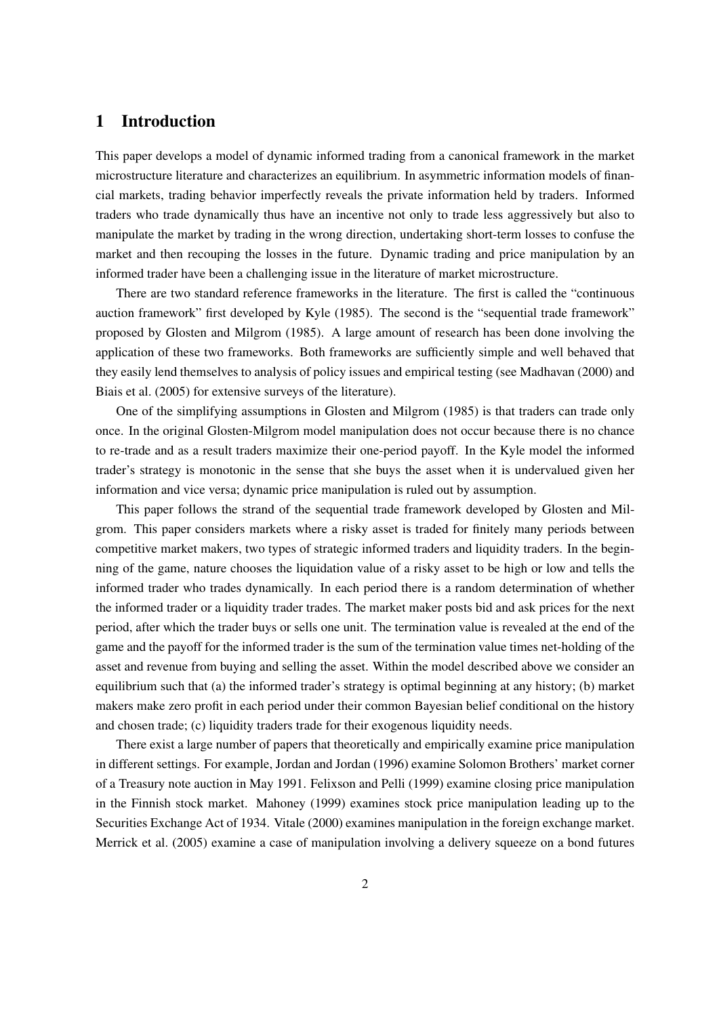## 1 Introduction

This paper develops a model of dynamic informed trading from a canonical framework in the market microstructure literature and characterizes an equilibrium. In asymmetric information models of financial markets, trading behavior imperfectly reveals the private information held by traders. Informed traders who trade dynamically thus have an incentive not only to trade less aggressively but also to manipulate the market by trading in the wrong direction, undertaking short-term losses to confuse the market and then recouping the losses in the future. Dynamic trading and price manipulation by an informed trader have been a challenging issue in the literature of market microstructure.

There are two standard reference frameworks in the literature. The first is called the "continuous auction framework" first developed by Kyle (1985). The second is the "sequential trade framework" proposed by Glosten and Milgrom (1985). A large amount of research has been done involving the application of these two frameworks. Both frameworks are sufficiently simple and well behaved that they easily lend themselves to analysis of policy issues and empirical testing (see Madhavan (2000) and Biais et al. (2005) for extensive surveys of the literature).

One of the simplifying assumptions in Glosten and Milgrom (1985) is that traders can trade only once. In the original Glosten-Milgrom model manipulation does not occur because there is no chance to re-trade and as a result traders maximize their one-period payoff. In the Kyle model the informed trader's strategy is monotonic in the sense that she buys the asset when it is undervalued given her information and vice versa; dynamic price manipulation is ruled out by assumption.

This paper follows the strand of the sequential trade framework developed by Glosten and Milgrom. This paper considers markets where a risky asset is traded for finitely many periods between competitive market makers, two types of strategic informed traders and liquidity traders. In the beginning of the game, nature chooses the liquidation value of a risky asset to be high or low and tells the informed trader who trades dynamically. In each period there is a random determination of whether the informed trader or a liquidity trader trades. The market maker posts bid and ask prices for the next period, after which the trader buys or sells one unit. The termination value is revealed at the end of the game and the payoff for the informed trader is the sum of the termination value times net-holding of the asset and revenue from buying and selling the asset. Within the model described above we consider an equilibrium such that (a) the informed trader's strategy is optimal beginning at any history; (b) market makers make zero profit in each period under their common Bayesian belief conditional on the history and chosen trade; (c) liquidity traders trade for their exogenous liquidity needs.

There exist a large number of papers that theoretically and empirically examine price manipulation in different settings. For example, Jordan and Jordan (1996) examine Solomon Brothers' market corner of a Treasury note auction in May 1991. Felixson and Pelli (1999) examine closing price manipulation in the Finnish stock market. Mahoney (1999) examines stock price manipulation leading up to the Securities Exchange Act of 1934. Vitale (2000) examines manipulation in the foreign exchange market. Merrick et al. (2005) examine a case of manipulation involving a delivery squeeze on a bond futures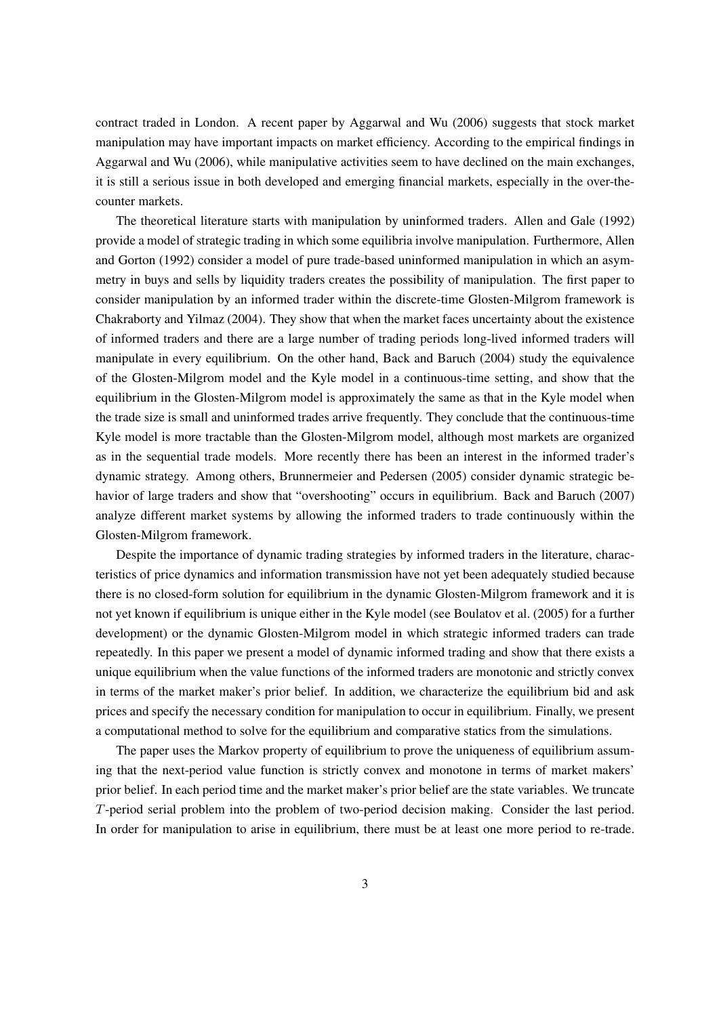contract traded in London. A recent paper by Aggarwal and Wu (2006) suggests that stock market manipulation may have important impacts on market efficiency. According to the empirical findings in Aggarwal and Wu (2006), while manipulative activities seem to have declined on the main exchanges, it is still a serious issue in both developed and emerging financial markets, especially in the over-thecounter markets.

The theoretical literature starts with manipulation by uninformed traders. Allen and Gale (1992) provide a model of strategic trading in which some equilibria involve manipulation. Furthermore, Allen and Gorton (1992) consider a model of pure trade-based uninformed manipulation in which an asymmetry in buys and sells by liquidity traders creates the possibility of manipulation. The first paper to consider manipulation by an informed trader within the discrete-time Glosten-Milgrom framework is Chakraborty and Yilmaz (2004). They show that when the market faces uncertainty about the existence of informed traders and there are a large number of trading periods long-lived informed traders will manipulate in every equilibrium. On the other hand, Back and Baruch (2004) study the equivalence of the Glosten-Milgrom model and the Kyle model in a continuous-time setting, and show that the equilibrium in the Glosten-Milgrom model is approximately the same as that in the Kyle model when the trade size is small and uninformed trades arrive frequently. They conclude that the continuous-time Kyle model is more tractable than the Glosten-Milgrom model, although most markets are organized as in the sequential trade models. More recently there has been an interest in the informed trader's dynamic strategy. Among others, Brunnermeier and Pedersen (2005) consider dynamic strategic behavior of large traders and show that "overshooting" occurs in equilibrium. Back and Baruch (2007) analyze different market systems by allowing the informed traders to trade continuously within the Glosten-Milgrom framework.

Despite the importance of dynamic trading strategies by informed traders in the literature, characteristics of price dynamics and information transmission have not yet been adequately studied because there is no closed-form solution for equilibrium in the dynamic Glosten-Milgrom framework and it is not yet known if equilibrium is unique either in the Kyle model (see Boulatov et al. (2005) for a further development) or the dynamic Glosten-Milgrom model in which strategic informed traders can trade repeatedly. In this paper we present a model of dynamic informed trading and show that there exists a unique equilibrium when the value functions of the informed traders are monotonic and strictly convex in terms of the market maker's prior belief. In addition, we characterize the equilibrium bid and ask prices and specify the necessary condition for manipulation to occur in equilibrium. Finally, we present a computational method to solve for the equilibrium and comparative statics from the simulations.

The paper uses the Markov property of equilibrium to prove the uniqueness of equilibrium assuming that the next-period value function is strictly convex and monotone in terms of market makers' prior belief. In each period time and the market maker's prior belief are the state variables. We truncate  $T$ -period serial problem into the problem of two-period decision making. Consider the last period. In order for manipulation to arise in equilibrium, there must be at least one more period to re-trade.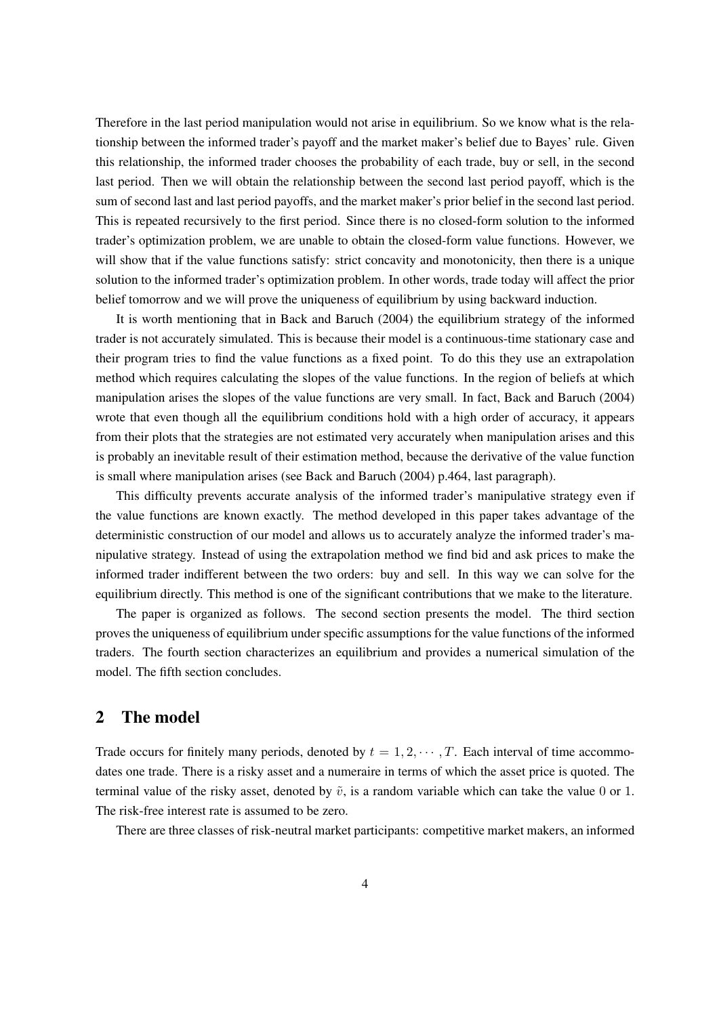Therefore in the last period manipulation would not arise in equilibrium. So we know what is the relationship between the informed trader's payoff and the market maker's belief due to Bayes' rule. Given this relationship, the informed trader chooses the probability of each trade, buy or sell, in the second last period. Then we will obtain the relationship between the second last period payoff, which is the sum of second last and last period payoffs, and the market maker's prior belief in the second last period. This is repeated recursively to the first period. Since there is no closed-form solution to the informed trader's optimization problem, we are unable to obtain the closed-form value functions. However, we will show that if the value functions satisfy: strict concavity and monotonicity, then there is a unique solution to the informed trader's optimization problem. In other words, trade today will affect the prior belief tomorrow and we will prove the uniqueness of equilibrium by using backward induction.

It is worth mentioning that in Back and Baruch (2004) the equilibrium strategy of the informed trader is not accurately simulated. This is because their model is a continuous-time stationary case and their program tries to find the value functions as a fixed point. To do this they use an extrapolation method which requires calculating the slopes of the value functions. In the region of beliefs at which manipulation arises the slopes of the value functions are very small. In fact, Back and Baruch (2004) wrote that even though all the equilibrium conditions hold with a high order of accuracy, it appears from their plots that the strategies are not estimated very accurately when manipulation arises and this is probably an inevitable result of their estimation method, because the derivative of the value function is small where manipulation arises (see Back and Baruch (2004) p.464, last paragraph).

This difficulty prevents accurate analysis of the informed trader's manipulative strategy even if the value functions are known exactly. The method developed in this paper takes advantage of the deterministic construction of our model and allows us to accurately analyze the informed trader's manipulative strategy. Instead of using the extrapolation method we find bid and ask prices to make the informed trader indifferent between the two orders: buy and sell. In this way we can solve for the equilibrium directly. This method is one of the significant contributions that we make to the literature.

The paper is organized as follows. The second section presents the model. The third section proves the uniqueness of equilibrium under specific assumptions for the value functions of the informed traders. The fourth section characterizes an equilibrium and provides a numerical simulation of the model. The fifth section concludes.

## 2 The model

Trade occurs for finitely many periods, denoted by  $t = 1, 2, \cdots, T$ . Each interval of time accommodates one trade. There is a risky asset and a numeraire in terms of which the asset price is quoted. The terminal value of the risky asset, denoted by  $\tilde{v}$ , is a random variable which can take the value 0 or 1. The risk-free interest rate is assumed to be zero.

There are three classes of risk-neutral market participants: competitive market makers, an informed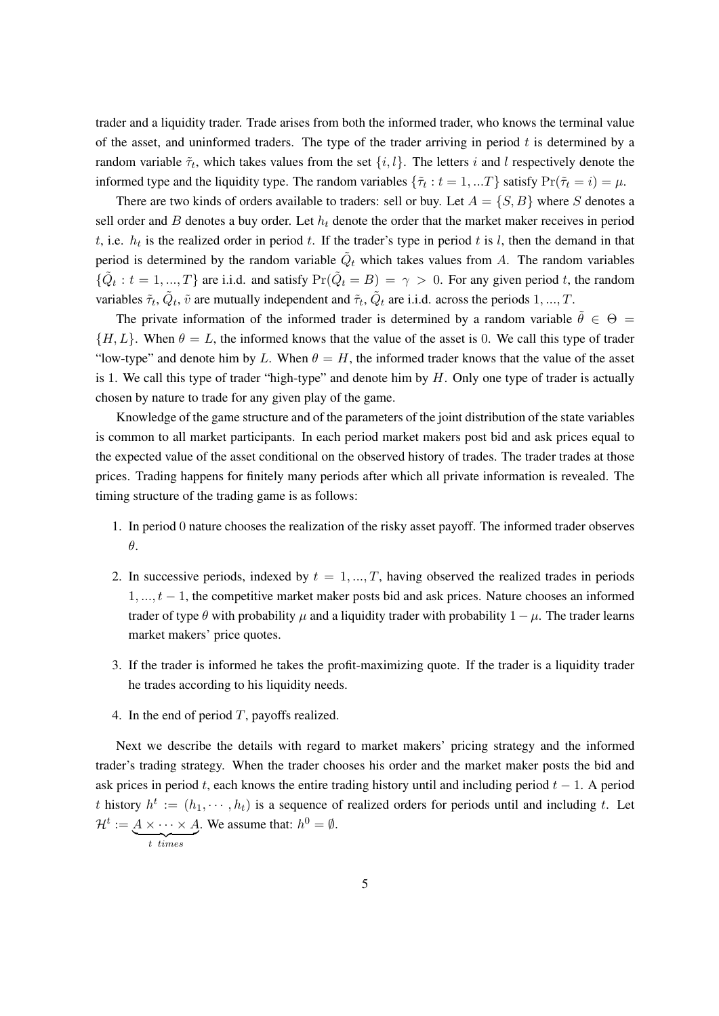trader and a liquidity trader. Trade arises from both the informed trader, who knows the terminal value of the asset, and uninformed traders. The type of the trader arriving in period  $t$  is determined by a random variable  $\tilde{\tau}_t$ , which takes values from the set  $\{i, l\}$ . The letters i and l respectively denote the informed type and the liquidity type. The random variables  $\{\tilde{\tau}_t : t = 1, ...T\}$  satisfy  $\Pr(\tilde{\tau}_t = i) = \mu$ .

There are two kinds of orders available to traders: sell or buy. Let  $A = \{S, B\}$  where S denotes a sell order and  $B$  denotes a buy order. Let  $h_t$  denote the order that the market maker receives in period t, i.e.  $h_t$  is the realized order in period t. If the trader's type in period t is l, then the demand in that period is determined by the random variable  $\tilde{Q}_t$  which takes values from A. The random variables  $\{\tilde{Q}_t : t = 1, ..., T\}$  are i.i.d. and satisfy  $\Pr(\tilde{Q}_t = B) = \gamma > 0$ . For any given period t, the random variables  $\tilde{\tau}_t$ ,  $\tilde{Q}_t$ ,  $\tilde{v}$  are mutually independent and  $\tilde{\tau}_t$ ,  $\tilde{Q}_t$  are i.i.d. across the periods  $1, ..., T$ .

The private information of the informed trader is determined by a random variable  $\hat{\theta} \in \Theta =$  ${H, L}$ . When  $\theta = L$ , the informed knows that the value of the asset is 0. We call this type of trader "low-type" and denote him by L. When  $\theta = H$ , the informed trader knows that the value of the asset is 1. We call this type of trader "high-type" and denote him by  $H$ . Only one type of trader is actually chosen by nature to trade for any given play of the game.

Knowledge of the game structure and of the parameters of the joint distribution of the state variables is common to all market participants. In each period market makers post bid and ask prices equal to the expected value of the asset conditional on the observed history of trades. The trader trades at those prices. Trading happens for finitely many periods after which all private information is revealed. The timing structure of the trading game is as follows:

- 1. In period 0 nature chooses the realization of the risky asset payoff. The informed trader observes  $\theta$ .
- 2. In successive periods, indexed by  $t = 1, ..., T$ , having observed the realized trades in periods  $1, ..., t - 1$ , the competitive market maker posts bid and ask prices. Nature chooses an informed trader of type  $\theta$  with probability  $\mu$  and a liquidity trader with probability  $1 - \mu$ . The trader learns market makers' price quotes.
- 3. If the trader is informed he takes the profit-maximizing quote. If the trader is a liquidity trader he trades according to his liquidity needs.
- 4. In the end of period  $T$ , payoffs realized.

Next we describe the details with regard to market makers' pricing strategy and the informed trader's trading strategy. When the trader chooses his order and the market maker posts the bid and ask prices in period t, each knows the entire trading history until and including period  $t - 1$ . A period t history  $h^t := (h_1, \dots, h_t)$  is a sequence of realized orders for periods until and including t. Let  $\mathcal{H}^t := A \times \cdots \times A$  ${t}$   ${times}$ . We assume that:  $h^0 = \emptyset$ .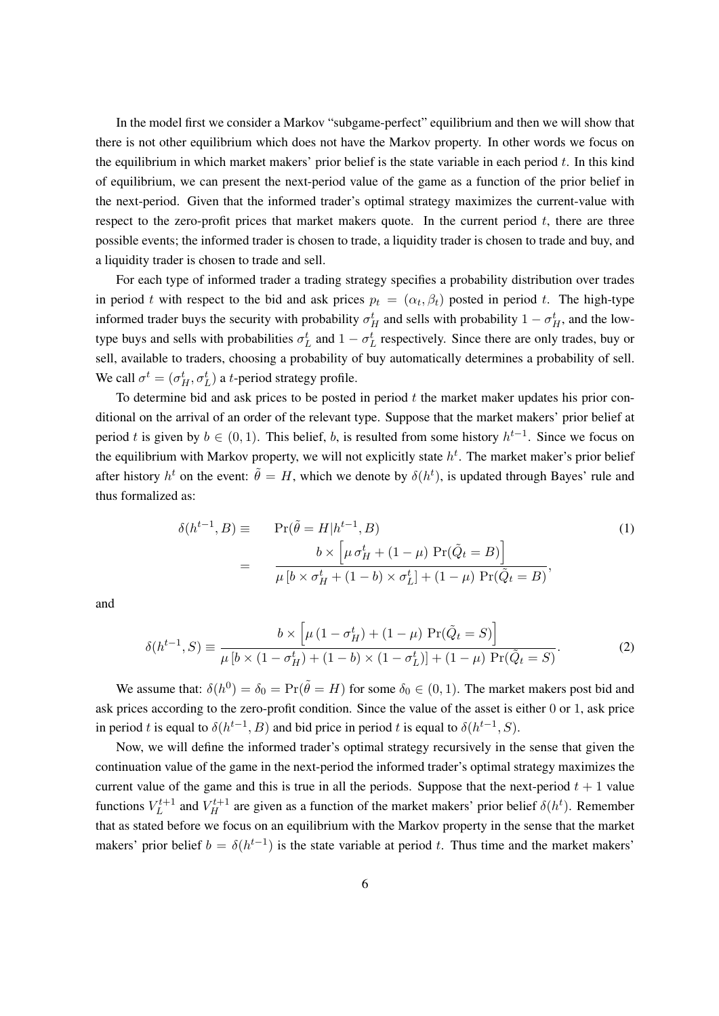In the model first we consider a Markov "subgame-perfect" equilibrium and then we will show that there is not other equilibrium which does not have the Markov property. In other words we focus on the equilibrium in which market makers' prior belief is the state variable in each period  $t$ . In this kind of equilibrium, we can present the next-period value of the game as a function of the prior belief in the next-period. Given that the informed trader's optimal strategy maximizes the current-value with respect to the zero-profit prices that market makers quote. In the current period  $t$ , there are three possible events; the informed trader is chosen to trade, a liquidity trader is chosen to trade and buy, and a liquidity trader is chosen to trade and sell.

For each type of informed trader a trading strategy specifies a probability distribution over trades in period t with respect to the bid and ask prices  $p_t = (\alpha_t, \beta_t)$  posted in period t. The high-type informed trader buys the security with probability  $\sigma_H^t$  and sells with probability  $1 - \sigma_H^t$ , and the lowtype buys and sells with probabilities  $\sigma_L^t$  and  $1 - \sigma_L^t$  respectively. Since there are only trades, buy or sell, available to traders, choosing a probability of buy automatically determines a probability of sell. We call  $\sigma^t = (\sigma_H^t, \sigma_L^t)$  a *t*-period strategy profile.

To determine bid and ask prices to be posted in period  $t$  the market maker updates his prior conditional on the arrival of an order of the relevant type. Suppose that the market makers' prior belief at period t is given by  $b \in (0, 1)$ . This belief, b, is resulted from some history  $h^{t-1}$ . Since we focus on the equilibrium with Markov property, we will not explicitly state  $h<sup>t</sup>$ . The market maker's prior belief after history  $h^t$  on the event:  $\tilde{\theta} = H$ , which we denote by  $\delta(h^t)$ , is updated through Bayes' rule and thus formalized as:

$$
\delta(h^{t-1}, B) \equiv \Pr(\tilde{\theta} = H | h^{t-1}, B)
$$
\n
$$
= \frac{b \times \left[ \mu \sigma_H^t + (1 - \mu) \Pr(\tilde{Q}_t = B) \right]}{\mu \left[ b \times \sigma_H^t + (1 - b) \times \sigma_L^t \right] + (1 - \mu) \Pr(\tilde{Q}_t = B)},
$$
\n(1)

and

$$
\delta(h^{t-1}, S) \equiv \frac{b \times \left[ \mu \left( 1 - \sigma_H^t \right) + (1 - \mu) \Pr(\tilde{Q}_t = S) \right]}{\mu \left[ b \times \left( 1 - \sigma_H^t \right) + (1 - b) \times \left( 1 - \sigma_L^t \right) \right] + (1 - \mu) \Pr(\tilde{Q}_t = S)}.
$$
\n(2)

We assume that:  $\delta(h^0) = \delta_0 = \Pr(\tilde{\theta} = H)$  for some  $\delta_0 \in (0, 1)$ . The market makers post bid and ask prices according to the zero-profit condition. Since the value of the asset is either 0 or 1, ask price in period t is equal to  $\delta(h^{t-1}, B)$  and bid price in period t is equal to  $\delta(h^{t-1}, S)$ .

Now, we will define the informed trader's optimal strategy recursively in the sense that given the continuation value of the game in the next-period the informed trader's optimal strategy maximizes the current value of the game and this is true in all the periods. Suppose that the next-period  $t + 1$  value functions  $V_L^{t+1}$  $L^{t+1}$  and  $V_H^{t+1}$  are given as a function of the market makers' prior belief  $\delta(h^t)$ . Remember that as stated before we focus on an equilibrium with the Markov property in the sense that the market makers' prior belief  $b = \delta(h^{t-1})$  is the state variable at period t. Thus time and the market makers'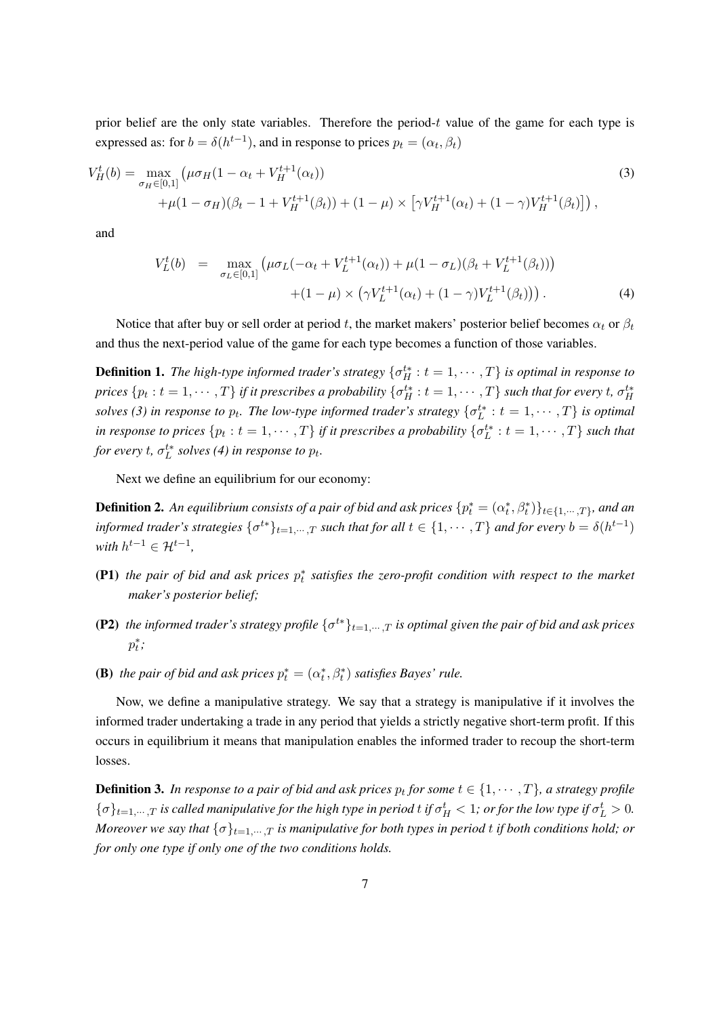prior belief are the only state variables. Therefore the period- $t$  value of the game for each type is expressed as: for  $b = \delta(h^{t-1})$ , and in response to prices  $p_t = (\alpha_t, \beta_t)$ 

$$
V_H^t(b) = \max_{\sigma_H \in [0,1]} \left( \mu \sigma_H (1 - \alpha_t + V_H^{t+1}(\alpha_t)) + \mu (1 - \sigma_H)(\beta_t - 1 + V_H^{t+1}(\beta_t)) + (1 - \mu) \times \left[ \gamma V_H^{t+1}(\alpha_t) + (1 - \gamma) V_H^{t+1}(\beta_t) \right] \right),
$$
\n(3)

and

$$
V_L^t(b) = \max_{\sigma_L \in [0,1]} \left( \mu \sigma_L(-\alpha_t + V_L^{t+1}(\alpha_t)) + \mu (1 - \sigma_L)(\beta_t + V_L^{t+1}(\beta_t)) \right) + (1 - \mu) \times \left( \gamma V_L^{t+1}(\alpha_t) + (1 - \gamma) V_L^{t+1}(\beta_t) \right).
$$
 (4)

Notice that after buy or sell order at period t, the market makers' posterior belief becomes  $\alpha_t$  or  $\beta_t$ and thus the next-period value of the game for each type becomes a function of those variables.

**Definition 1.** The high-type informed trader's strategy  $\{\sigma_H^{t*}: t = 1, \dots, T\}$  is optimal in response to  $p$ rices  $\{p_t:t=1,\cdots,T\}$  if it prescribes a probability  $\{\sigma_H^{t*}:t=1,\cdots,T\}$  such that for every  $t$ ,  $\sigma_H^{t*}$ *solves* (3) in response to  $p_t$ . The low-type informed trader's strategy  $\{\sigma_L^{t*}: t = 1, \cdots, T\}$  is optimal in response to prices  $\{p_t : t = 1, \cdots, T\}$  if it prescribes a probability  $\{\sigma_L^{t*} : t = 1, \cdots, T\}$  such that for every  $t$ ,  $\sigma_L^{t*}$  solves (4) in response to  $p_t$ .

Next we define an equilibrium for our economy:

**Definition 2.** An equilibrium consists of a pair of bid and ask prices  $\{p_t^* = (\alpha_t^*,\beta_t^*)\}_{t\in\{1,\cdots,T\}}$ , and an informed trader's strategies  $\{\sigma^{t*}\}_{t=1,...,T}$  such that for all  $t\in\{1,\cdots,T\}$  and for every  $b=\delta(h^{t-1})$ *with*  $h^{t-1} \in \mathcal{H}^{t-1}$ ,

- **(P1)** the pair of bid and ask prices  $p_t^*$  satisfies the zero-profit condition with respect to the market *maker's posterior belief;*
- (P2) the informed trader's strategy profile  $\{\sigma^{t*}\}_{t=1,\dots,T}$  is optimal given the pair of bid and ask prices  $p_t^*$ ;
- **(B)** the pair of bid and ask prices  $p_t^* = (\alpha_t^*, \beta_t^*)$  satisfies Bayes' rule.

Now, we define a manipulative strategy. We say that a strategy is manipulative if it involves the informed trader undertaking a trade in any period that yields a strictly negative short-term profit. If this occurs in equilibrium it means that manipulation enables the informed trader to recoup the short-term losses.

**Definition 3.** In response to a pair of bid and ask prices  $p_t$  for some  $t \in \{1, \cdots, T\}$ , a strategy profile  $\{\sigma\}_{t=1,\cdots,T}$  is called manipulative for the high type in period t if  $\sigma_H^t < 1$ ; or for the low type if  $\sigma_L^t > 0$ . *Moreover we say that*  $\{\sigma\}_{t=1,\dots,T}$  *is manipulative for both types in period t if both conditions hold; or for only one type if only one of the two conditions holds.*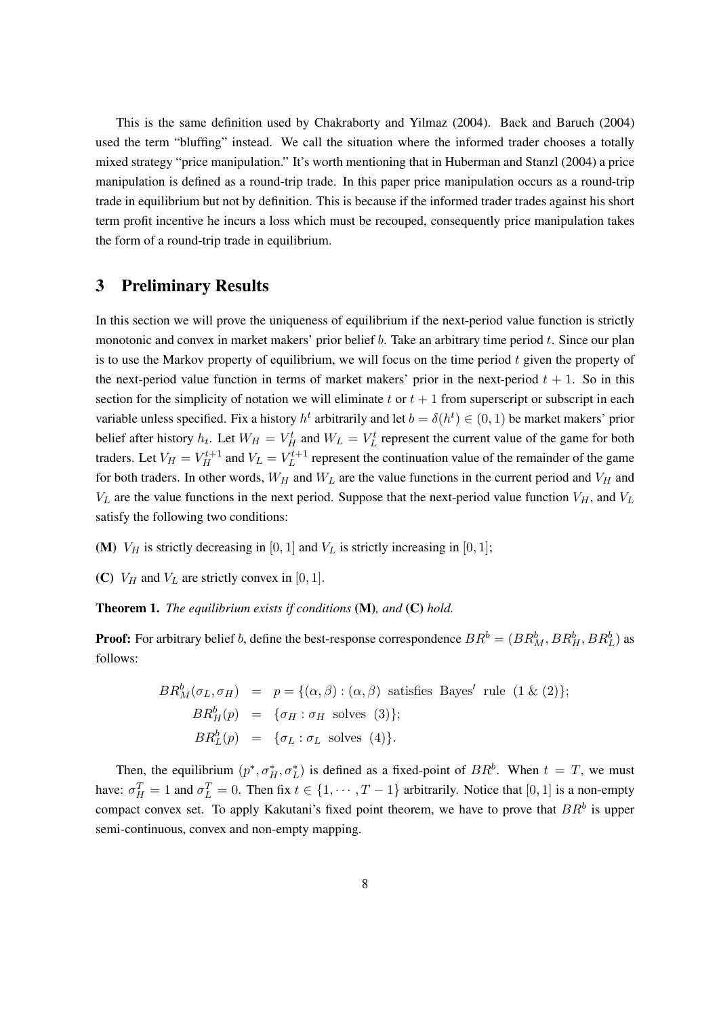This is the same definition used by Chakraborty and Yilmaz (2004). Back and Baruch (2004) used the term "bluffing" instead. We call the situation where the informed trader chooses a totally mixed strategy "price manipulation." It's worth mentioning that in Huberman and Stanzl (2004) a price manipulation is defined as a round-trip trade. In this paper price manipulation occurs as a round-trip trade in equilibrium but not by definition. This is because if the informed trader trades against his short term profit incentive he incurs a loss which must be recouped, consequently price manipulation takes the form of a round-trip trade in equilibrium.

## 3 Preliminary Results

In this section we will prove the uniqueness of equilibrium if the next-period value function is strictly monotonic and convex in market makers' prior belief  $b$ . Take an arbitrary time period  $t$ . Since our plan is to use the Markov property of equilibrium, we will focus on the time period  $t$  given the property of the next-period value function in terms of market makers' prior in the next-period  $t + 1$ . So in this section for the simplicity of notation we will eliminate t or  $t + 1$  from superscript or subscript in each variable unless specified. Fix a history  $h^t$  arbitrarily and let  $b = \delta(h^t) \in (0, 1)$  be market makers' prior belief after history  $h_t$ . Let  $W_H = V_H^t$  and  $W_L = V_L^t$  represent the current value of the game for both traders. Let  $V_H = V_H^{t+1}$  and  $V_L = V_L^{t+1}$  $L^{t+1}$  represent the continuation value of the remainder of the game for both traders. In other words,  $W_H$  and  $W_L$  are the value functions in the current period and  $V_H$  and  $V_L$  are the value functions in the next period. Suppose that the next-period value function  $V_H$ , and  $V_L$ satisfy the following two conditions:

(M)  $V_H$  is strictly decreasing in [0, 1] and  $V_L$  is strictly increasing in [0, 1];

(C)  $V_H$  and  $V_L$  are strictly convex in [0, 1].

Theorem 1. *The equilibrium exists if conditions* (M)*, and* (C) *hold.*

**Proof:** For arbitrary belief b, define the best-response correspondence  $BR^b = (BR^b_M, BR^b_H, BR^b_L)$  as follows:

$$
BR_M^b(\sigma_L, \sigma_H) = p = \{(\alpha, \beta) : (\alpha, \beta) \text{ satisfies Bayes' rule } (1 \& (2)\};
$$
\n
$$
BR_H^b(p) = \{\sigma_H : \sigma_H \text{ solves } (3)\};
$$
\n
$$
BR_L^b(p) = \{\sigma_L : \sigma_L \text{ solves } (4)\}.
$$

Then, the equilibrium  $(p^*, \sigma_H^*, \sigma_L^*)$  is defined as a fixed-point of  $BR^b$ . When  $t = T$ , we must have:  $\sigma_H^T = 1$  and  $\sigma_L^T = 0$ . Then fix  $t \in \{1, \dots, T-1\}$  arbitrarily. Notice that  $[0, 1]$  is a non-empty compact convex set. To apply Kakutani's fixed point theorem, we have to prove that  $BR<sup>b</sup>$  is upper semi-continuous, convex and non-empty mapping.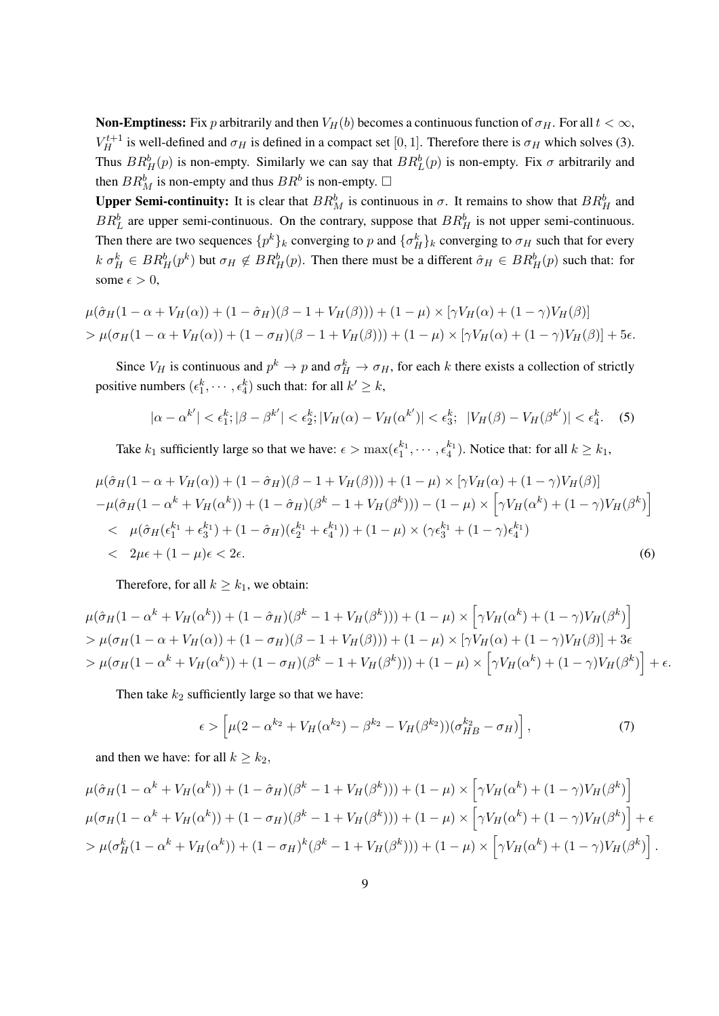**Non-Emptiness:** Fix p arbitrarily and then  $V_H(b)$  becomes a continuous function of  $\sigma_H$ . For all  $t < \infty$ ,  $V_H^{t+1}$  is well-defined and  $\sigma_H$  is defined in a compact set [0, 1]. Therefore there is  $\sigma_H$  which solves (3). Thus  $BR_H^b(p)$  is non-empty. Similarly we can say that  $BR_L^b(p)$  is non-empty. Fix  $\sigma$  arbitrarily and then  $BR_M^b$  is non-empty and thus  $BR^b$  is non-empty.  $\Box$ 

Upper Semi-continuity: It is clear that  $BR_M^b$  is continuous in  $\sigma$ . It remains to show that  $BR_H^b$  and  $BR<sub>L</sub><sup>b</sup>$  are upper semi-continuous. On the contrary, suppose that  $BR<sub>H</sub><sup>b</sup>$  is not upper semi-continuous. Then there are two sequences  $\{p^k\}_k$  converging to  $p$  and  $\{\sigma_H^k\}_k$  converging to  $\sigma_H$  such that for every  $k \sigma_H^k \in BR_H^b(p^k)$  but  $\sigma_H \notin BR_H^b(p)$ . Then there must be a different  $\hat{\sigma}_H \in BR_H^b(p)$  such that: for some  $\epsilon > 0$ ,

$$
\mu(\hat{\sigma}_H(1-\alpha+V_H(\alpha))+(1-\hat{\sigma}_H)(\beta-1+V_H(\beta)))+(1-\mu)\times[\gamma V_H(\alpha)+(1-\gamma)V_H(\beta)]
$$
  
> 
$$
\mu(\sigma_H(1-\alpha+V_H(\alpha))+(1-\sigma_H)(\beta-1+V_H(\beta)))+(1-\mu)\times[\gamma V_H(\alpha)+(1-\gamma)V_H(\beta)]+5\epsilon.
$$

Since  $V_H$  is continuous and  $p^k \to p$  and  $\sigma_H^k \to \sigma_H$ , for each k there exists a collection of strictly positive numbers  $(\epsilon_1^k, \dots, \epsilon_4^k)$  such that: for all  $k' \geq k$ ,

$$
|\alpha - \alpha^{k'}| < \epsilon_1^k; |\beta - \beta^{k'}| < \epsilon_2^k; |V_H(\alpha) - V_H(\alpha^{k'})| < \epsilon_3^k; \ |V_H(\beta) - V_H(\beta^{k'})| < \epsilon_4^k. \tag{5}
$$

Take  $k_1$  sufficiently large so that we have:  $\epsilon > \max(\epsilon_1^{k_1}, \cdots, \epsilon_4^{k_1})$ . Notice that: for all  $k \geq k_1$ ,

$$
\mu(\hat{\sigma}_H(1-\alpha+V_H(\alpha)) + (1-\hat{\sigma}_H)(\beta-1+V_H(\beta))) + (1-\mu) \times [\gamma V_H(\alpha) + (1-\gamma)V_H(\beta)] \n- \mu(\hat{\sigma}_H(1-\alpha^k+V_H(\alpha^k)) + (1-\hat{\sigma}_H)(\beta^k-1+V_H(\beta^k))) - (1-\mu) \times [\gamma V_H(\alpha^k) + (1-\gamma)V_H(\beta^k)] \n
$$
\mu(\hat{\sigma}_H(\epsilon_1^{k_1} + \epsilon_3^{k_1}) + (1-\hat{\sigma}_H)(\epsilon_2^{k_1} + \epsilon_4^{k_1})) + (1-\mu) \times (\gamma \epsilon_3^{k_1} + (1-\gamma)\epsilon_4^{k_1}) \n
$$
2\mu\epsilon + (1-\mu)\epsilon < 2\epsilon.
$$
\n(6)
$$
$$

Therefore, for all  $k \geq k_1$ , we obtain:

$$
\mu(\hat{\sigma}_H(1-\alpha^k + V_H(\alpha^k)) + (1-\hat{\sigma}_H)(\beta^k - 1 + V_H(\beta^k))) + (1-\mu) \times \left[ \gamma V_H(\alpha^k) + (1-\gamma) V_H(\beta^k) \right] \n> \mu(\sigma_H(1-\alpha + V_H(\alpha)) + (1-\sigma_H)(\beta - 1 + V_H(\beta))) + (1-\mu) \times \left[ \gamma V_H(\alpha) + (1-\gamma) V_H(\beta) \right] + 3\epsilon \n> \mu(\sigma_H(1-\alpha^k + V_H(\alpha^k)) + (1-\sigma_H)(\beta^k - 1 + V_H(\beta^k))) + (1-\mu) \times \left[ \gamma V_H(\alpha^k) + (1-\gamma) V_H(\beta^k) \right] + \epsilon.
$$

Then take  $k_2$  sufficiently large so that we have:

$$
\epsilon > \left[ \mu (2 - \alpha^{k_2} + V_H(\alpha^{k_2}) - \beta^{k_2} - V_H(\beta^{k_2})) (\sigma_{HB}^{k_2} - \sigma_H) \right],
$$
\n(7)

and then we have: for all  $k \geq k_2$ ,

$$
\mu(\hat{\sigma}_H(1-\alpha^k + V_H(\alpha^k)) + (1-\hat{\sigma}_H)(\beta^k - 1 + V_H(\beta^k))) + (1-\mu) \times \left[ \gamma V_H(\alpha^k) + (1-\gamma) V_H(\beta^k) \right] \n\mu(\sigma_H(1-\alpha^k + V_H(\alpha^k)) + (1-\sigma_H)(\beta^k - 1 + V_H(\beta^k))) + (1-\mu) \times \left[ \gamma V_H(\alpha^k) + (1-\gamma) V_H(\beta^k) \right] + \epsilon \n> \mu(\sigma_H^k(1-\alpha^k + V_H(\alpha^k)) + (1-\sigma_H)^k(\beta^k - 1 + V_H(\beta^k))) + (1-\mu) \times \left[ \gamma V_H(\alpha^k) + (1-\gamma) V_H(\beta^k) \right].
$$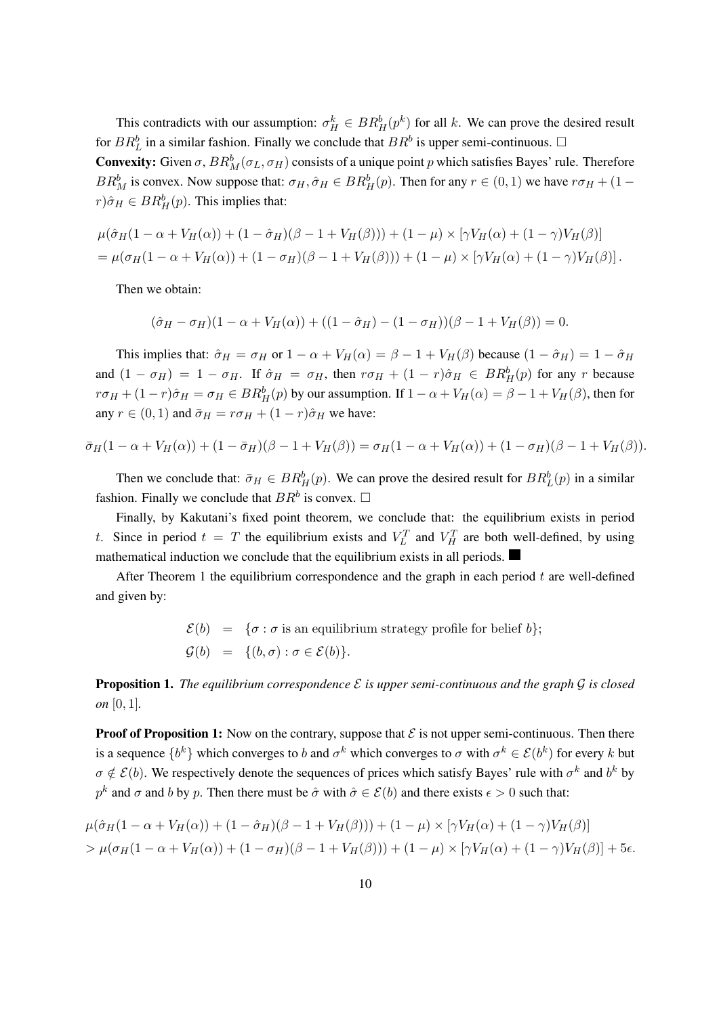This contradicts with our assumption:  $\sigma_H^k \in BR_H^b(p^k)$  for all k. We can prove the desired result for  $BR_L^b$  in a similar fashion. Finally we conclude that  $BR^b$  is upper semi-continuous.  $\Box$ 

**Convexity:** Given  $\sigma$ ,  $BR_M^b(\sigma_L, \sigma_H)$  consists of a unique point p which satisfies Bayes' rule. Therefore  $BR_M^b$  is convex. Now suppose that:  $\sigma_H, \hat{\sigma}_H \in BR_H^b(p)$ . Then for any  $r \in (0, 1)$  we have  $r\sigma_H + (1 - r)$  $(r)\hat{\sigma}_H \in BR_H^b(p).$  This implies that:

$$
\mu(\hat{\sigma}_H(1-\alpha+V_H(\alpha))+(1-\hat{\sigma}_H)(\beta-1+V_H(\beta)))+(1-\mu)\times[\gamma V_H(\alpha)+(1-\gamma)V_H(\beta)]
$$
  
= 
$$
\mu(\sigma_H(1-\alpha+V_H(\alpha))+(1-\sigma_H)(\beta-1+V_H(\beta)))+(1-\mu)\times[\gamma V_H(\alpha)+(1-\gamma)V_H(\beta)].
$$

Then we obtain:

$$
(\hat{\sigma}_H - \sigma_H)(1 - \alpha + V_H(\alpha)) + ((1 - \hat{\sigma}_H) - (1 - \sigma_H))(\beta - 1 + V_H(\beta)) = 0.
$$

This implies that:  $\hat{\sigma}_H = \sigma_H$  or  $1 - \alpha + V_H(\alpha) = \beta - 1 + V_H(\beta)$  because  $(1 - \hat{\sigma}_H) = 1 - \hat{\sigma}_H$ and  $(1 - \sigma_H) = 1 - \sigma_H$ . If  $\hat{\sigma}_H = \sigma_H$ , then  $r \sigma_H + (1 - r)\hat{\sigma}_H \in BR_H^b(p)$  for any r because  $r\sigma_H + (1 - r)\hat{\sigma}_H = \sigma_H \in BR_H^b(p)$  by our assumption. If  $1 - \alpha + V_H(\alpha) = \beta - 1 + V_H(\beta)$ , then for any  $r \in (0, 1)$  and  $\bar{\sigma}_H = r \sigma_H + (1 - r) \hat{\sigma}_H$  we have:

$$
\bar{\sigma}_H(1-\alpha+V_H(\alpha))+(1-\bar{\sigma}_H)(\beta-1+V_H(\beta))=\sigma_H(1-\alpha+V_H(\alpha))+(1-\sigma_H)(\beta-1+V_H(\beta)).
$$

Then we conclude that:  $\bar{\sigma}_H \in BR_H^b(p)$ . We can prove the desired result for  $BR_L^b(p)$  in a similar fashion. Finally we conclude that  $BR^b$  is convex.  $\Box$ 

Finally, by Kakutani's fixed point theorem, we conclude that: the equilibrium exists in period t. Since in period  $t = T$  the equilibrium exists and  $V_L^T$  and  $V_H^T$  are both well-defined, by using mathematical induction we conclude that the equilibrium exists in all periods.

After Theorem 1 the equilibrium correspondence and the graph in each period  $t$  are well-defined and given by:

> $\mathcal{E}(b) = {\sigma : \sigma$  is an equilibrium strategy profile for belief  $b$ ;  $\mathcal{G}(b) = \{(b, \sigma) : \sigma \in \mathcal{E}(b)\}.$

Proposition 1. *The equilibrium correspondence* ℰ *is upper semi-continuous and the graph* 𝒢 *is closed on* [0, 1]*.*

**Proof of Proposition 1:** Now on the contrary, suppose that  $\mathcal E$  is not upper semi-continuous. Then there is a sequence  $\{b^k\}$  which converges to  $b$  and  $\sigma^k$  which converges to  $\sigma$  with  $\sigma^k \in \mathcal{E}(b^k)$  for every  $k$  but  $\sigma \notin \mathcal{E}(b)$ . We respectively denote the sequences of prices which satisfy Bayes' rule with  $\sigma^k$  and  $b^k$  by  $p^k$  and  $\sigma$  and  $b$  by  $p$ . Then there must be  $\hat{\sigma}$  with  $\hat{\sigma} \in \mathcal{E}(b)$  and there exists  $\epsilon > 0$  such that:

$$
\mu(\hat{\sigma}_H(1-\alpha+V_H(\alpha))+(1-\hat{\sigma}_H)(\beta-1+V_H(\beta)))+(1-\mu)\times[\gamma V_H(\alpha)+(1-\gamma)V_H(\beta)]
$$
  
> 
$$
\mu(\sigma_H(1-\alpha+V_H(\alpha))+(1-\sigma_H)(\beta-1+V_H(\beta)))+(1-\mu)\times[\gamma V_H(\alpha)+(1-\gamma)V_H(\beta)]+5\epsilon.
$$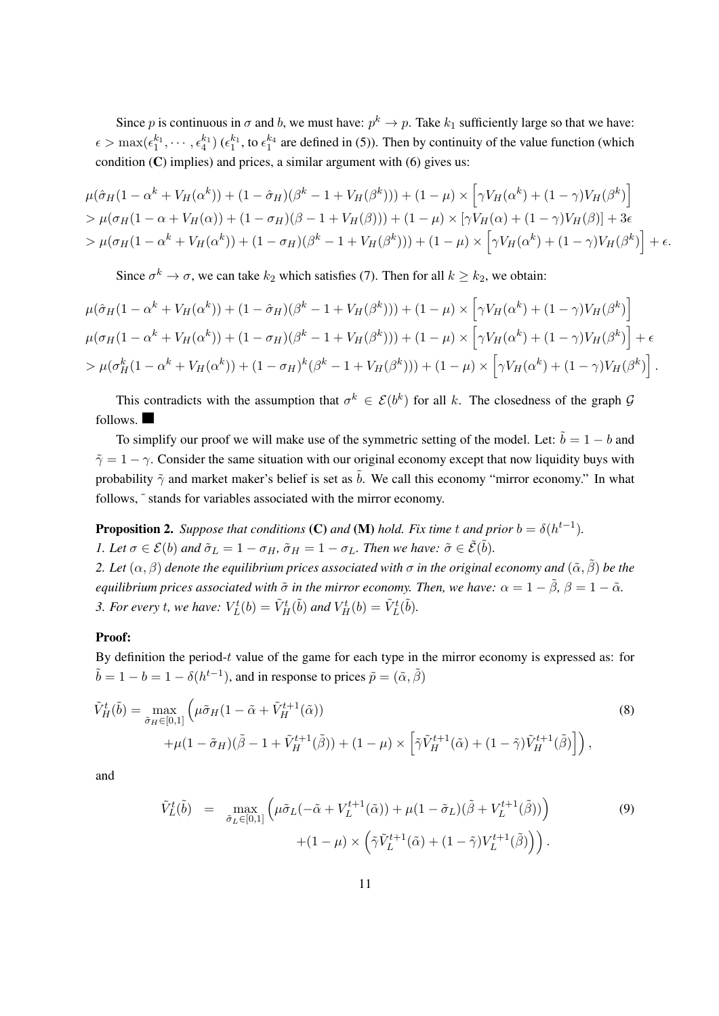Since p is continuous in  $\sigma$  and b, we must have:  $p^k \to p$ . Take  $k_1$  sufficiently large so that we have:  $\epsilon > \max(\epsilon_1^{k_1}, \cdots, \epsilon_4^{k_1})$  ( $\epsilon_1^{k_1}$ , to  $\epsilon_1^{k_4}$  are defined in (5)). Then by continuity of the value function (which condition  $(C)$  implies) and prices, a similar argument with  $(6)$  gives us:

$$
\mu(\hat{\sigma}_H(1-\alpha^k+V_H(\alpha^k))+(1-\hat{\sigma}_H)(\beta^k-1+V_H(\beta^k)))+(1-\mu)\times[\gamma V_H(\alpha^k)+(1-\gamma)V_H(\beta^k)]
$$
  
> 
$$
\mu(\sigma_H(1-\alpha+V_H(\alpha))+(1-\sigma_H)(\beta-1+V_H(\beta)))+(1-\mu)\times[\gamma V_H(\alpha)+(1-\gamma)V_H(\beta)]+3\epsilon
$$
  
> 
$$
\mu(\sigma_H(1-\alpha^k+V_H(\alpha^k))+(1-\sigma_H)(\beta^k-1+V_H(\beta^k)))+(1-\mu)\times[\gamma V_H(\alpha^k)+(1-\gamma)V_H(\beta^k)]+\epsilon.
$$

Since  $\sigma^k \to \sigma$ , we can take  $k_2$  which satisfies (7). Then for all  $k \geq k_2$ , we obtain:

$$
\mu(\hat{\sigma}_H(1-\alpha^k + V_H(\alpha^k)) + (1-\hat{\sigma}_H)(\beta^k - 1 + V_H(\beta^k))) + (1-\mu) \times \left[ \gamma V_H(\alpha^k) + (1-\gamma) V_H(\beta^k) \right] \n\mu(\sigma_H(1-\alpha^k + V_H(\alpha^k)) + (1-\sigma_H)(\beta^k - 1 + V_H(\beta^k))) + (1-\mu) \times \left[ \gamma V_H(\alpha^k) + (1-\gamma) V_H(\beta^k) \right] + \epsilon \n> \mu(\sigma_H^k(1-\alpha^k + V_H(\alpha^k)) + (1-\sigma_H)^k(\beta^k - 1 + V_H(\beta^k))) + (1-\mu) \times \left[ \gamma V_H(\alpha^k) + (1-\gamma) V_H(\beta^k) \right].
$$

This contradicts with the assumption that  $\sigma^k \in \mathcal{E}(b^k)$  for all k. The closedness of the graph  $\mathcal G$ follows.

To simplify our proof we will make use of the symmetric setting of the model. Let:  $\tilde{b} = 1 - b$  and  $\tilde{\gamma} = 1 - \gamma$ . Consider the same situation with our original economy except that now liquidity buys with probability  $\tilde{\gamma}$  and market maker's belief is set as  $\tilde{b}$ . We call this economy "mirror economy." In what follows,  $\tilde{ }$  stands for variables associated with the mirror economy.

**Proposition 2.** Suppose that conditions (C) and (M) hold. Fix time t and prior  $b = \delta(h^{t-1})$ . *1. Let*  $\sigma \in \mathcal{E}(b)$  and  $\tilde{\sigma}_L = 1 - \sigma_H$ ,  $\tilde{\sigma}_H = 1 - \sigma_L$ . Then we have:  $\tilde{\sigma} \in \tilde{\mathcal{E}}(\tilde{b})$ . 2. Let  $(\alpha, \beta)$  denote the equilibrium prices associated with  $\sigma$  in the original economy and  $(\tilde{\alpha}, \tilde{\beta})$  be the *equilibrium prices associated with*  $\tilde{\sigma}$  *in the mirror economy. Then, we have:*  $\alpha = 1 - \tilde{\beta}$ ,  $\beta = 1 - \tilde{\alpha}$ .

3. For every t, we have:  $V_L^t(b) = \tilde{V}_H^t(\tilde{b})$  and  $V_H^t(b) = \tilde{V}_L^t(\tilde{b})$ .

#### Proof:

By definition the period- $t$  value of the game for each type in the mirror economy is expressed as: for  $\tilde{b} = 1 - b = 1 - \delta(h^{t-1})$ , and in response to prices  $\tilde{p} = (\tilde{\alpha}, \tilde{\beta})$ 

$$
\tilde{V}_{H}^{t}(\tilde{b}) = \max_{\tilde{\sigma}_{H} \in [0,1]} \left( \mu \tilde{\sigma}_{H} (1 - \tilde{\alpha} + \tilde{V}_{H}^{t+1}(\tilde{\alpha})) \right)
$$
\n
$$
+ \mu (1 - \tilde{\sigma}_{H}) (\tilde{\beta} - 1 + \tilde{V}_{H}^{t+1}(\tilde{\beta})) + (1 - \mu) \times \left[ \tilde{\gamma} \tilde{V}_{H}^{t+1}(\tilde{\alpha}) + (1 - \tilde{\gamma}) \tilde{V}_{H}^{t+1}(\tilde{\beta}) \right],
$$
\n(8)

and

$$
\tilde{V}_L^t(\tilde{b}) = \max_{\tilde{\sigma}_L \in [0,1]} \left( \mu \tilde{\sigma}_L(-\tilde{\alpha} + V_L^{t+1}(\tilde{\alpha})) + \mu (1 - \tilde{\sigma}_L)(\tilde{\beta} + V_L^{t+1}(\tilde{\beta})) \right) \tag{9}
$$
\n
$$
+ (1 - \mu) \times \left( \tilde{\gamma} \tilde{V}_L^{t+1}(\tilde{\alpha}) + (1 - \tilde{\gamma}) V_L^{t+1}(\tilde{\beta}) \right).
$$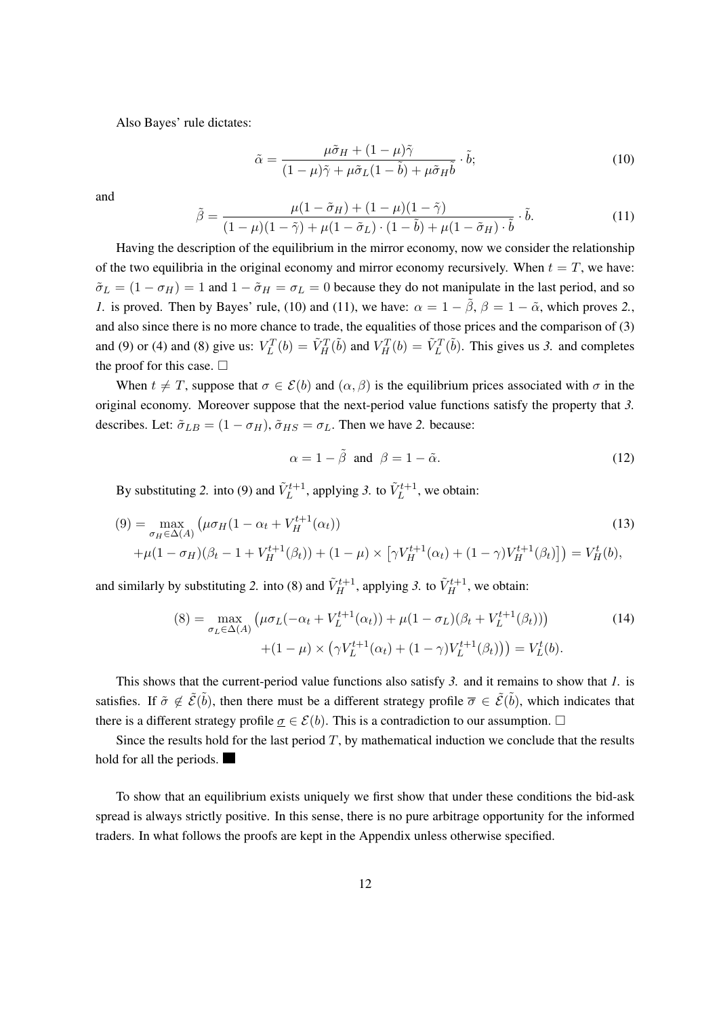Also Bayes' rule dictates:

$$
\tilde{\alpha} = \frac{\mu \tilde{\sigma}_H + (1 - \mu)\tilde{\gamma}}{(1 - \mu)\tilde{\gamma} + \mu \tilde{\sigma}_L (1 - \tilde{b}) + \mu \tilde{\sigma}_H \tilde{b}} \cdot \tilde{b};
$$
\n(10)

and

$$
\tilde{\beta} = \frac{\mu(1 - \tilde{\sigma}_H) + (1 - \mu)(1 - \tilde{\gamma})}{(1 - \mu)(1 - \tilde{\gamma}) + \mu(1 - \tilde{\sigma}_L) \cdot (1 - \tilde{b}) + \mu(1 - \tilde{\sigma}_H) \cdot \tilde{b}} \cdot \tilde{b}.
$$
\n(11)

Having the description of the equilibrium in the mirror economy, now we consider the relationship of the two equilibria in the original economy and mirror economy recursively. When  $t = T$ , we have:  $\tilde{\sigma}_L = (1 - \sigma_H) = 1$  and  $1 - \tilde{\sigma}_H = \sigma_L = 0$  because they do not manipulate in the last period, and so *1.* is proved. Then by Bayes' rule, (10) and (11), we have:  $\alpha = 1 - \tilde{\beta}$ ,  $\beta = 1 - \tilde{\alpha}$ , which proves 2., and also since there is no more chance to trade, the equalities of those prices and the comparison of (3) and (9) or (4) and (8) give us:  $V_L^T(b) = \tilde{V}_H^T(\tilde{b})$  and  $V_H^T(b) = \tilde{V}_L^T(\tilde{b})$ . This gives us 3. and completes the proof for this case.  $\square$ 

When  $t \neq T$ , suppose that  $\sigma \in \mathcal{E}(b)$  and  $(\alpha, \beta)$  is the equilibrium prices associated with  $\sigma$  in the original economy. Moreover suppose that the next-period value functions satisfy the property that *3.* describes. Let:  $\tilde{\sigma}_{LB} = (1 - \sigma_H), \tilde{\sigma}_{HS} = \sigma_L$ . Then we have 2. because:

$$
\alpha = 1 - \tilde{\beta} \text{ and } \beta = 1 - \tilde{\alpha}.
$$
 (12)

By substituting 2. into (9) and  $\tilde{V}_L^{t+1}$ , applying 3. to  $\tilde{V}_L^{t+1}$ , we obtain:

$$
(9) = \max_{\sigma_H \in \Delta(A)} \left( \mu \sigma_H (1 - \alpha_t + V_H^{t+1}(\alpha_t)) \right)
$$
  
+ 
$$
\mu (1 - \sigma_H)(\beta_t - 1 + V_H^{t+1}(\beta_t)) + (1 - \mu) \times \left[ \gamma V_H^{t+1}(\alpha_t) + (1 - \gamma) V_H^{t+1}(\beta_t) \right] \right) = V_H^t(b),
$$
 (13)

and similarly by substituting 2. into (8) and  $\tilde{V}_{H}^{t+1}$ , applying 3. to  $\tilde{V}_{H}^{t+1}$ , we obtain:

$$
(8) = \max_{\sigma_L \in \Delta(A)} \left( \mu \sigma_L(-\alpha_t + V_L^{t+1}(\alpha_t)) + \mu (1 - \sigma_L)(\beta_t + V_L^{t+1}(\beta_t)) \right) \tag{14}
$$

$$
+ (1 - \mu) \times \left( \gamma V_L^{t+1}(\alpha_t) + (1 - \gamma) V_L^{t+1}(\beta_t) \right) = V_L^t(b).
$$

This shows that the current-period value functions also satisfy *3.* and it remains to show that *1.* is satisfies. If  $\tilde{\sigma} \notin \tilde{\mathcal{E}}(\tilde{b})$ , then there must be a different strategy profile  $\overline{\sigma} \in \tilde{\mathcal{E}}(\tilde{b})$ , which indicates that there is a different strategy profile  $\sigma \in \mathcal{E}(b)$ . This is a contradiction to our assumption.  $\Box$ 

Since the results hold for the last period  $T$ , by mathematical induction we conclude that the results hold for all the periods.

To show that an equilibrium exists uniquely we first show that under these conditions the bid-ask spread is always strictly positive. In this sense, there is no pure arbitrage opportunity for the informed traders. In what follows the proofs are kept in the Appendix unless otherwise specified.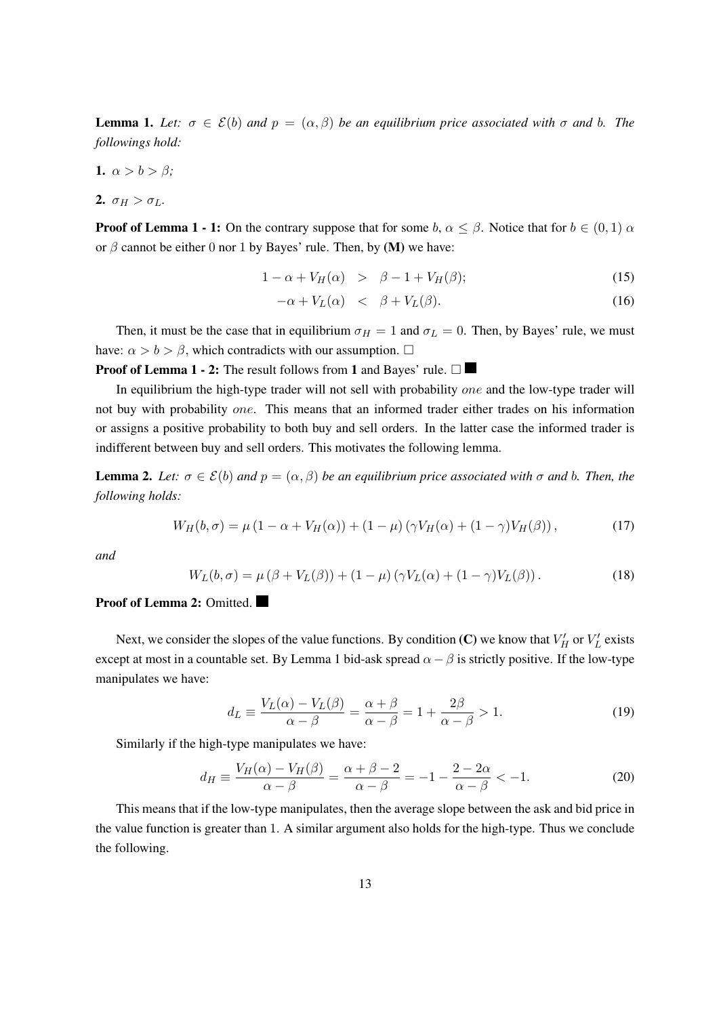**Lemma 1.** Let:  $\sigma \in \mathcal{E}(b)$  and  $p = (\alpha, \beta)$  be an equilibrium price associated with  $\sigma$  and b. The *followings hold:*

1.  $\alpha > b > \beta$ ;

2.  $\sigma_H > \sigma_L$ .

**Proof of Lemma 1 - 1:** On the contrary suppose that for some  $b, \alpha \leq \beta$ . Notice that for  $b \in (0,1)$   $\alpha$ or  $\beta$  cannot be either 0 nor 1 by Bayes' rule. Then, by (M) we have:

$$
1 - \alpha + V_H(\alpha) > \beta - 1 + V_H(\beta); \tag{15}
$$

$$
-\alpha + V_L(\alpha) \quad < \quad \beta + V_L(\beta). \tag{16}
$$

Then, it must be the case that in equilibrium  $\sigma_H = 1$  and  $\sigma_L = 0$ . Then, by Bayes' rule, we must have:  $\alpha > b > \beta$ , which contradicts with our assumption.  $\Box$ 

**Proof of Lemma 1 - 2:** The result follows from 1 and Bayes' rule.  $\Box$ 

In equilibrium the high-type trader will not sell with probability one and the low-type trader will not buy with probability *one*. This means that an informed trader either trades on his information or assigns a positive probability to both buy and sell orders. In the latter case the informed trader is indifferent between buy and sell orders. This motivates the following lemma.

**Lemma 2.** Let:  $\sigma \in \mathcal{E}(b)$  and  $p = (\alpha, \beta)$  be an equilibrium price associated with  $\sigma$  and  $b$ . Then, the *following holds:*

$$
W_H(b,\sigma) = \mu \left(1 - \alpha + V_H(\alpha)\right) + \left(1 - \mu\right) \left(\gamma V_H(\alpha) + (1 - \gamma)V_H(\beta)\right),\tag{17}
$$

*and*

$$
W_L(b,\sigma) = \mu \left(\beta + V_L(\beta)\right) + \left(1 - \mu\right) \left(\gamma V_L(\alpha) + (1 - \gamma)V_L(\beta)\right). \tag{18}
$$

## Proof of Lemma 2: Omitted.

Next, we consider the slopes of the value functions. By condition (C) we know that  $V_H'$  or  $V_L'$  exists except at most in a countable set. By Lemma 1 bid-ask spread  $\alpha - \beta$  is strictly positive. If the low-type manipulates we have:

$$
d_L \equiv \frac{V_L(\alpha) - V_L(\beta)}{\alpha - \beta} = \frac{\alpha + \beta}{\alpha - \beta} = 1 + \frac{2\beta}{\alpha - \beta} > 1.
$$
 (19)

Similarly if the high-type manipulates we have:

$$
d_H \equiv \frac{V_H(\alpha) - V_H(\beta)}{\alpha - \beta} = \frac{\alpha + \beta - 2}{\alpha - \beta} = -1 - \frac{2 - 2\alpha}{\alpha - \beta} < -1.
$$
 (20)

This means that if the low-type manipulates, then the average slope between the ask and bid price in the value function is greater than 1. A similar argument also holds for the high-type. Thus we conclude the following.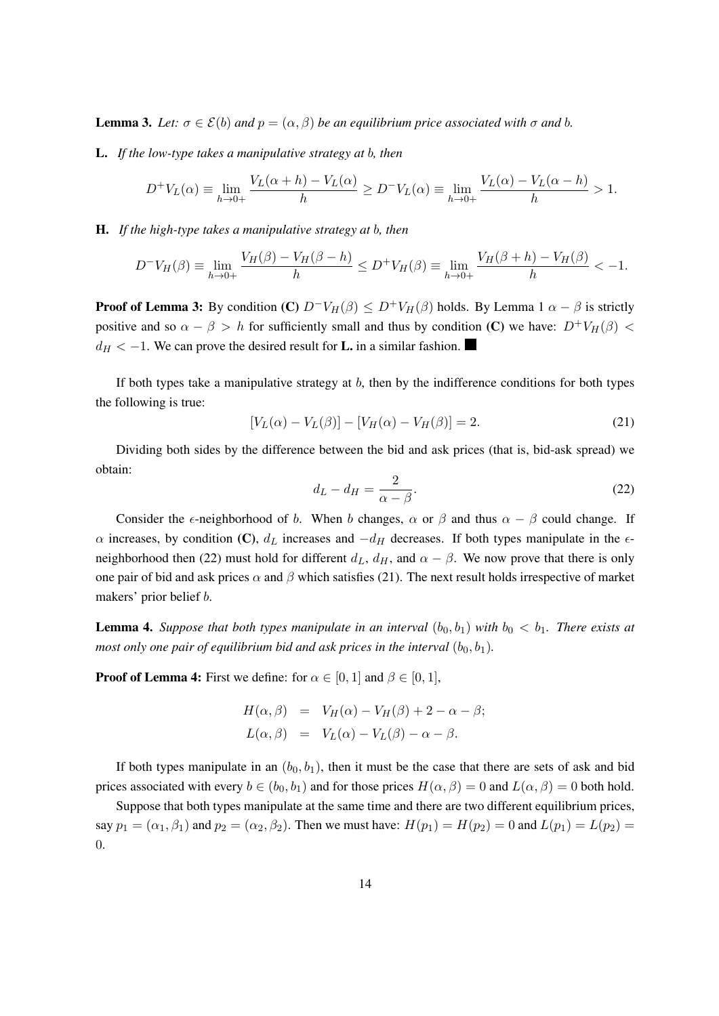**Lemma 3.** *Let:*  $\sigma \in \mathcal{E}(b)$  *and*  $p = (\alpha, \beta)$  *be an equilibrium price associated with*  $\sigma$  *and b*.

**L.** If the low-type takes a manipulative strategy at b, then

$$
D^{+}V_{L}(\alpha) \equiv \lim_{h \to 0+} \frac{V_{L}(\alpha+h) - V_{L}(\alpha)}{h} \ge D^{-}V_{L}(\alpha) \equiv \lim_{h \to 0+} \frac{V_{L}(\alpha) - V_{L}(\alpha-h)}{h} > 1.
$$

H. If the high-type takes a manipulative strategy at b, then

$$
D^{-}V_{H}(\beta) \equiv \lim_{h \to 0+} \frac{V_{H}(\beta) - V_{H}(\beta - h)}{h} \le D^{+}V_{H}(\beta) \equiv \lim_{h \to 0+} \frac{V_{H}(\beta + h) - V_{H}(\beta)}{h} < -1.
$$

**Proof of Lemma 3:** By condition (C)  $D^{-}V_H(\beta) \leq D^{+}V_H(\beta)$  holds. By Lemma 1  $\alpha - \beta$  is strictly positive and so  $\alpha - \beta > h$  for sufficiently small and thus by condition (C) we have:  $D^+V_H(\beta)$  <  $d_H < -1$ . We can prove the desired result for **L**. in a similar fashion.

If both types take a manipulative strategy at  $b$ , then by the indifference conditions for both types the following is true:

$$
[V_L(\alpha) - V_L(\beta)] - [V_H(\alpha) - V_H(\beta)] = 2.
$$
 (21)

Dividing both sides by the difference between the bid and ask prices (that is, bid-ask spread) we obtain:

$$
d_L - d_H = \frac{2}{\alpha - \beta}.\tag{22}
$$

Consider the  $\epsilon$ -neighborhood of b. When b changes,  $\alpha$  or  $\beta$  and thus  $\alpha - \beta$  could change. If  $\alpha$  increases, by condition (C),  $d_L$  increases and  $-d_H$  decreases. If both types manipulate in the  $\epsilon$ neighborhood then (22) must hold for different  $d_L$ ,  $d_H$ , and  $\alpha - \beta$ . We now prove that there is only one pair of bid and ask prices  $\alpha$  and  $\beta$  which satisfies (21). The next result holds irrespective of market makers' prior belief *b*.

**Lemma 4.** *Suppose that both types manipulate in an interval*  $(b_0, b_1)$  *with*  $b_0 < b_1$ *. There exists at most only one pair of equilibrium bid and ask prices in the interval*  $(b_0, b_1)$ *.* 

**Proof of Lemma 4:** First we define: for  $\alpha \in [0, 1]$  and  $\beta \in [0, 1]$ ,

$$
H(\alpha, \beta) = V_H(\alpha) - V_H(\beta) + 2 - \alpha - \beta;
$$
  
\n
$$
L(\alpha, \beta) = V_L(\alpha) - V_L(\beta) - \alpha - \beta.
$$

If both types manipulate in an  $(b_0, b_1)$ , then it must be the case that there are sets of ask and bid prices associated with every  $b \in (b_0, b_1)$  and for those prices  $H(\alpha, \beta) = 0$  and  $L(\alpha, \beta) = 0$  both hold.

Suppose that both types manipulate at the same time and there are two different equilibrium prices, say  $p_1 = (\alpha_1, \beta_1)$  and  $p_2 = (\alpha_2, \beta_2)$ . Then we must have:  $H(p_1) = H(p_2) = 0$  and  $L(p_1) = L(p_2) =$ 0.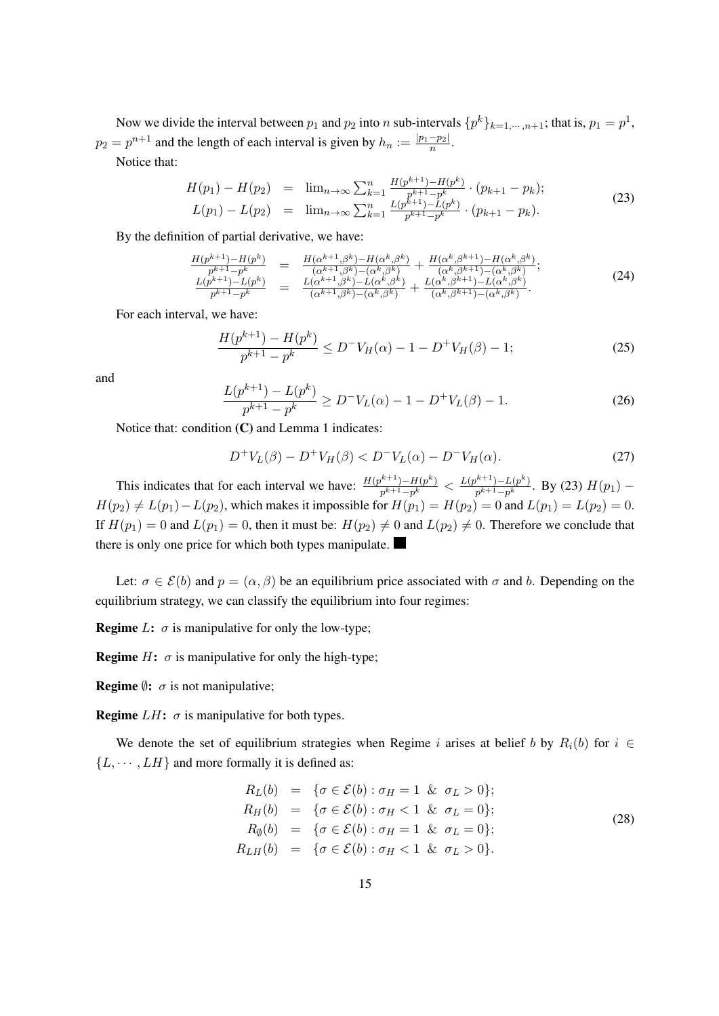Now we divide the interval between  $p_1$  and  $p_2$  into n sub-intervals  $\{p^k\}_{k=1,\dots,n+1}$ ; that is,  $p_1 = p^1$ ,  $p_2 = p^{n+1}$  and the length of each interval is given by  $h_n := \frac{|p_1-p_2|}{n}$  $\frac{-p_2}{n}$ . Notice that:

$$
H(p_1) - H(p_2) = \lim_{n \to \infty} \sum_{k=1}^n \frac{H(p^{k+1}) - H(p^k)}{p^{k+1} - p^k} \cdot (p_{k+1} - p_k);
$$
  
\n
$$
L(p_1) - L(p_2) = \lim_{n \to \infty} \sum_{k=1}^n \frac{L(p^{k+1}) - L(p^k)}{p^{k+1} - p^k} \cdot (p_{k+1} - p_k).
$$
\n(23)

By the definition of partial derivative, we have:

$$
\frac{H(p^{k+1}) - H(p^k)}{p^{k+1} - p^k} = \frac{H(\alpha^{k+1}, \beta^k) - H(\alpha^k, \beta^k)}{(\alpha^{k+1}, \beta^k) - (\alpha^k, \beta^k)} + \frac{H(\alpha^k, \beta^{k+1}) - H(\alpha^k, \beta^k)}{(\alpha^k, \beta^{k+1}) - (\alpha^k, \beta^k)}; \n\frac{L(p^{k+1}) - L(p^k)}{p^{k+1} - p^k} = \frac{L(\alpha^{k+1}, \beta^k) - L(\alpha^k, \beta^k)}{(\alpha^{k+1}, \beta^k) - (\alpha^k, \beta^k)} + \frac{L(\alpha^k, \beta^{k+1}) - L(\alpha^k, \beta^k)}{(\alpha^k, \beta^{k+1}) - (\alpha^k, \beta^k)}.
$$
\n(24)

For each interval, we have:

$$
\frac{H(p^{k+1}) - H(p^k)}{p^{k+1} - p^k} \le D^- V_H(\alpha) - 1 - D^+ V_H(\beta) - 1; \tag{25}
$$

and

$$
\frac{L(p^{k+1}) - L(p^k)}{p^{k+1} - p^k} \ge D^{-1}V_L(\alpha) - 1 - D^{+1}V_L(\beta) - 1.
$$
\n(26)

Notice that: condition  $(C)$  and Lemma 1 indicates:

$$
D^{+}V_{L}(\beta) - D^{+}V_{H}(\beta) < D^{-}V_{L}(\alpha) - D^{-}V_{H}(\alpha). \tag{27}
$$

This indicates that for each interval we have:  $\frac{H(p^{k+1}) - H(p^k)}{n^{k+1}-p^k}$  $\frac{p^{k+1}-H(p^k)}{p^{k+1}-p^k} < \frac{L(p^{k+1})-L(p^k)}{p^{k+1}-p^k}$  $\frac{f^{(p+1)}-L(p^n)}{p^{k+1}-p^k}$ . By (23)  $H(p_1)$  –  $H(p_2) \neq L(p_1) - L(p_2)$ , which makes it impossible for  $H(p_1) = H(p_2) = 0$  and  $L(p_1) = L(p_2) = 0$ . If  $H(p_1) = 0$  and  $L(p_1) = 0$ , then it must be:  $H(p_2) \neq 0$  and  $L(p_2) \neq 0$ . Therefore we conclude that there is only one price for which both types manipulate.

Let:  $\sigma \in \mathcal{E}(b)$  and  $p = (\alpha, \beta)$  be an equilibrium price associated with  $\sigma$  and b. Depending on the equilibrium strategy, we can classify the equilibrium into four regimes:

**Regime**  $L: \sigma$  is manipulative for only the low-type;

**Regime**  $H: \sigma$  is manipulative for only the high-type;

**Regime**  $\emptyset$ :  $\sigma$  is not manipulative;

**Regime**  $LH$ :  $\sigma$  is manipulative for both types.

We denote the set of equilibrium strategies when Regime *i* arises at belief *b* by  $R_i(b)$  for  $i \in$  ${L, \cdots, LH}$  and more formally it is defined as:

$$
R_L(b) = \{ \sigma \in \mathcal{E}(b) : \sigma_H = 1 \& \sigma_L > 0 \};
$$
  
\n
$$
R_H(b) = \{ \sigma \in \mathcal{E}(b) : \sigma_H < 1 \& \sigma_L = 0 \};
$$
  
\n
$$
R_{\emptyset}(b) = \{ \sigma \in \mathcal{E}(b) : \sigma_H = 1 \& \sigma_L = 0 \};
$$
  
\n
$$
R_{LH}(b) = \{ \sigma \in \mathcal{E}(b) : \sigma_H < 1 \& \sigma_L > 0 \}.
$$
\n(28)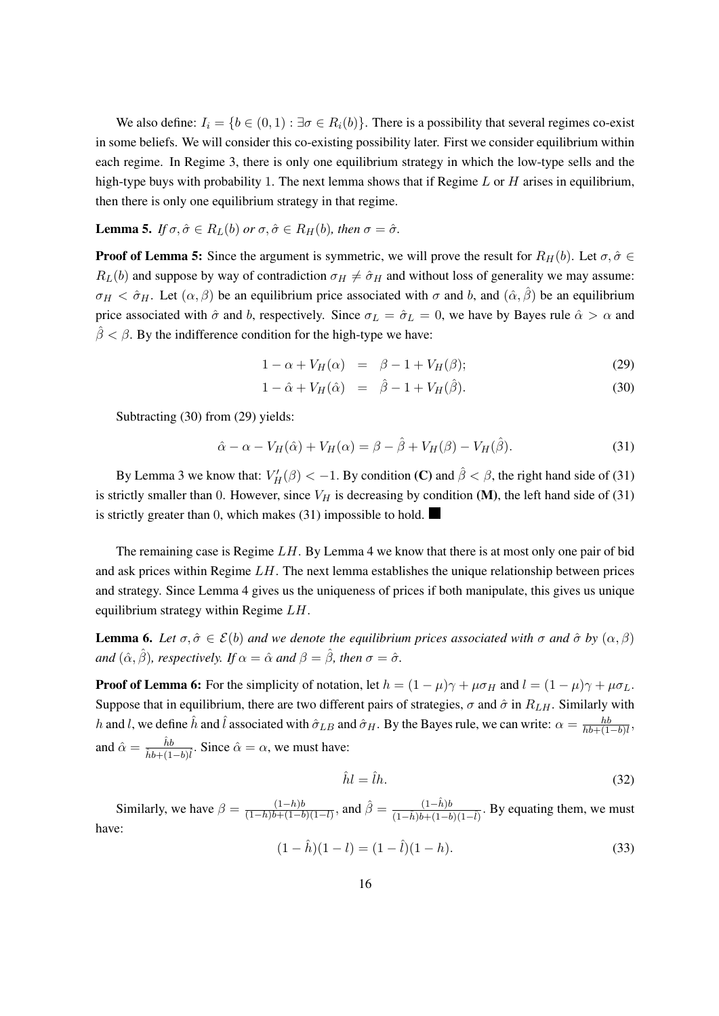We also define:  $I_i = \{b \in (0, 1) : \exists \sigma \in R_i(b)\}$ . There is a possibility that several regimes co-exist in some beliefs. We will consider this co-existing possibility later. First we consider equilibrium within each regime. In Regime 3, there is only one equilibrium strategy in which the low-type sells and the high-type buys with probability 1. The next lemma shows that if Regime  $L$  or  $H$  arises in equilibrium, then there is only one equilibrium strategy in that regime.

**Lemma 5.** *If*  $\sigma, \hat{\sigma} \in R_L(b)$  *or*  $\sigma, \hat{\sigma} \in R_H(b)$ , *then*  $\sigma = \hat{\sigma}$ .

**Proof of Lemma 5:** Since the argument is symmetric, we will prove the result for  $R_H(b)$ . Let  $\sigma, \hat{\sigma} \in$  $R_L(b)$  and suppose by way of contradiction  $\sigma_H \neq \hat{\sigma}_H$  and without loss of generality we may assume:  $\sigma_H < \hat{\sigma}_H$ . Let  $(\alpha, \beta)$  be an equilibrium price associated with  $\sigma$  and  $b$ , and  $(\hat{\alpha}, \hat{\beta})$  be an equilibrium price associated with  $\hat{\sigma}$  and b, respectively. Since  $\sigma_L = \hat{\sigma}_L = 0$ , we have by Bayes rule  $\hat{\alpha} > \alpha$  and  $\beta < \beta$ . By the indifference condition for the high-type we have:

$$
1 - \alpha + V_H(\alpha) = \beta - 1 + V_H(\beta); \tag{29}
$$

$$
1 - \hat{\alpha} + V_H(\hat{\alpha}) = \hat{\beta} - 1 + V_H(\hat{\beta}).
$$
\n(30)

Subtracting (30) from (29) yields:

$$
\hat{\alpha} - \alpha - V_H(\hat{\alpha}) + V_H(\alpha) = \beta - \hat{\beta} + V_H(\beta) - V_H(\hat{\beta}).
$$
\n(31)

By Lemma 3 we know that:  $V'_H(\beta) < -1$ . By condition (C) and  $\hat{\beta} < \beta$ , the right hand side of (31) is strictly smaller than 0. However, since  $V_H$  is decreasing by condition (M), the left hand side of (31) is strictly greater than 0, which makes (31) impossible to hold.

The remaining case is Regime  $LH$ . By Lemma 4 we know that there is at most only one pair of bid and ask prices within Regime  $LH$ . The next lemma establishes the unique relationship between prices and strategy. Since Lemma 4 gives us the uniqueness of prices if both manipulate, this gives us unique equilibrium strategy within Regime  $LH$ .

**Lemma 6.** Let  $\sigma, \hat{\sigma} \in \mathcal{E}(b)$  and we denote the equilibrium prices associated with  $\sigma$  and  $\hat{\sigma}$  by  $(\alpha, \beta)$ *and*  $(\hat{\alpha}, \hat{\beta})$ *, respectively. If*  $\alpha = \hat{\alpha}$  *and*  $\beta = \hat{\beta}$ *, then*  $\sigma = \hat{\sigma}$ *.* 

**Proof of Lemma 6:** For the simplicity of notation, let  $h = (1 - \mu)\gamma + \mu\sigma_H$  and  $l = (1 - \mu)\gamma + \mu\sigma_L$ . Suppose that in equilibrium, there are two different pairs of strategies,  $\sigma$  and  $\hat{\sigma}$  in  $R_{LH}$ . Similarly with h and l, we define  $\hat{h}$  and  $\hat{l}$  associated with  $\hat{\sigma}_{LB}$  and  $\hat{\sigma}_{H}$ . By the Bayes rule, we can write:  $\alpha = \frac{hk}{hb+1}$  $\frac{hb}{hb+(1-b)l}$ and  $\hat{\alpha} = \frac{\hat{h}b}{\hat{h} + \hat{h}d}$  $\frac{hb}{\hat{h}b + (1-b)\hat{l}}$ . Since  $\hat{\alpha} = \alpha$ , we must have:

$$
\hat{h}l = \hat{l}h. \tag{32}
$$

Similarly, we have  $\beta = \frac{(1-h)b}{(1-h)b+(1-h)}$  $\frac{(1-h)b}{(1-h)b+(1-b)(1-l)}$ , and  $\hat{\beta} = \frac{(1-\hat{h})b}{(1-\hat{h})b+(1-b)}$  $\frac{(1-n)\theta}{(1-\hat{h})b+(1-b)(1-\hat{l})}$ . By equating them, we must have:

$$
(1 - \hat{h})(1 - l) = (1 - \hat{l})(1 - h).
$$
\n(33)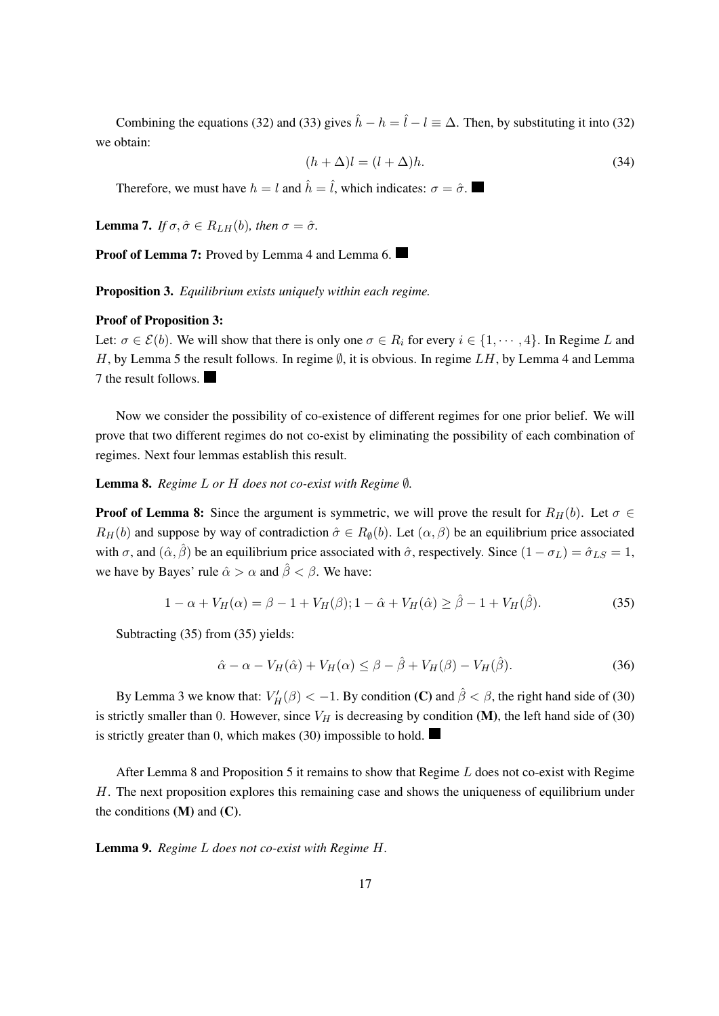Combining the equations (32) and (33) gives  $\hat{h} - h = \hat{l} - l \equiv \Delta$ . Then, by substituting it into (32) we obtain:

$$
(h + \Delta)l = (l + \Delta)h. \tag{34}
$$

Therefore, we must have  $h = l$  and  $\hat{h} = \hat{l}$ , which indicates:  $\sigma = \hat{\sigma}$ .

**Lemma 7.** *If*  $\sigma, \hat{\sigma} \in R_{LH}(b)$ , then  $\sigma = \hat{\sigma}$ .

Proof of Lemma 7: Proved by Lemma 4 and Lemma 6.

Proposition 3. *Equilibrium exists uniquely within each regime.*

#### Proof of Proposition 3:

Let:  $\sigma \in \mathcal{E}(b)$ . We will show that there is only one  $\sigma \in R_i$  for every  $i \in \{1, \dots, 4\}$ . In Regime L and H, by Lemma 5 the result follows. In regime  $\emptyset$ , it is obvious. In regime LH, by Lemma 4 and Lemma 7 the result follows.

Now we consider the possibility of co-existence of different regimes for one prior belief. We will prove that two different regimes do not co-exist by eliminating the possibility of each combination of regimes. Next four lemmas establish this result.

**Lemma 8.** *Regime L or H does not co-exist with Regime ℚ*.

**Proof of Lemma 8:** Since the argument is symmetric, we will prove the result for  $R_H(b)$ . Let  $\sigma \in$  $R_H(b)$  and suppose by way of contradiction  $\hat{\sigma} \in R_{\emptyset}(b)$ . Let  $(\alpha, \beta)$  be an equilibrium price associated with  $\sigma$ , and  $(\hat{\alpha}, \hat{\beta})$  be an equilibrium price associated with  $\hat{\sigma}$ , respectively. Since  $(1 - \sigma_L) = \hat{\sigma}_{LS} = 1$ , we have by Bayes' rule  $\hat{\alpha} > \alpha$  and  $\hat{\beta} < \beta$ . We have:

$$
1 - \alpha + V_H(\alpha) = \beta - 1 + V_H(\beta); 1 - \hat{\alpha} + V_H(\hat{\alpha}) \ge \hat{\beta} - 1 + V_H(\hat{\beta}).
$$
\n(35)

Subtracting (35) from (35) yields:

$$
\hat{\alpha} - \alpha - V_H(\hat{\alpha}) + V_H(\alpha) \le \beta - \hat{\beta} + V_H(\beta) - V_H(\hat{\beta}).\tag{36}
$$

By Lemma 3 we know that:  $V'_H(\beta) < -1$ . By condition (C) and  $\hat{\beta} < \beta$ , the right hand side of (30) is strictly smaller than 0. However, since  $V_H$  is decreasing by condition (M), the left hand side of (30) is strictly greater than 0, which makes (30) impossible to hold.

After Lemma 8 and Proposition 5 it remains to show that Regime  $L$  does not co-exist with Regime  $H$ . The next proposition explores this remaining case and shows the uniqueness of equilibrium under the conditions  $(M)$  and  $(C)$ .

Lemma 9. Regime L does not co-exist with Regime H.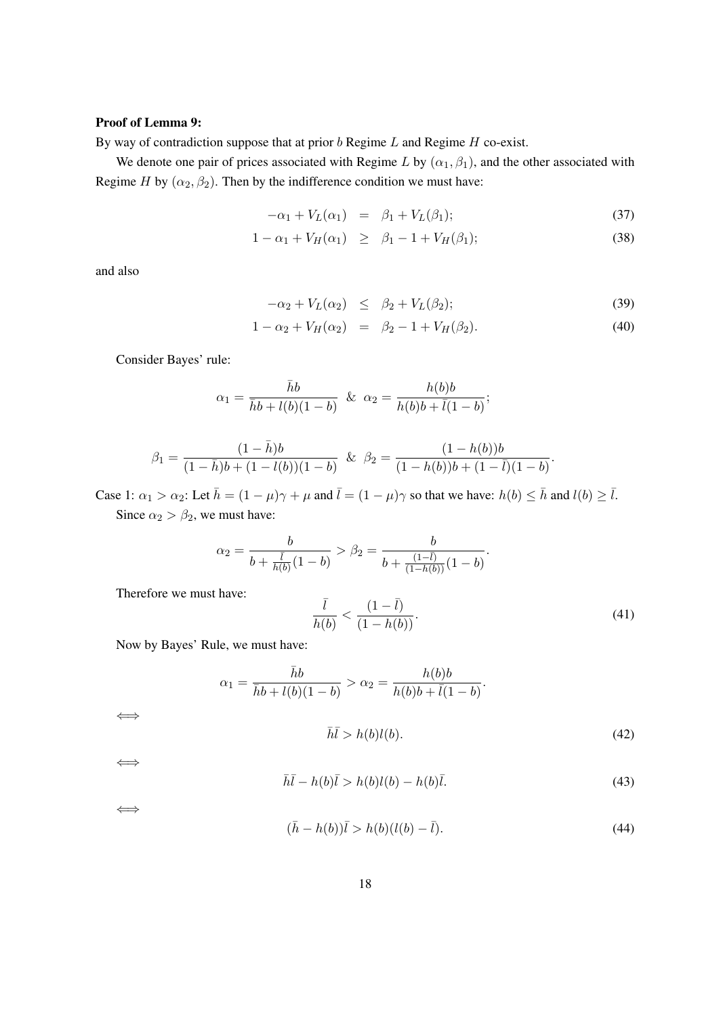## Proof of Lemma 9:

By way of contradiction suppose that at prior  $b$  Regime  $L$  and Regime  $H$  co-exist.

We denote one pair of prices associated with Regime L by  $(\alpha_1, \beta_1)$ , and the other associated with Regime H by  $(\alpha_2, \beta_2)$ . Then by the indifference condition we must have:

$$
-\alpha_1 + V_L(\alpha_1) = \beta_1 + V_L(\beta_1); \qquad (37)
$$

$$
1 - \alpha_1 + V_H(\alpha_1) \ge \beta_1 - 1 + V_H(\beta_1); \tag{38}
$$

and also

$$
-\alpha_2 + V_L(\alpha_2) \leq \beta_2 + V_L(\beta_2); \tag{39}
$$

$$
1 - \alpha_2 + V_H(\alpha_2) = \beta_2 - 1 + V_H(\beta_2). \tag{40}
$$

Consider Bayes' rule:

$$
\alpha_1 = \frac{\bar{h}b}{\bar{h}b + l(b)(1-b)} \& \alpha_2 = \frac{h(b)b}{h(b)b + \bar{l}(1-b)};
$$

$$
\beta_1 = \frac{(1-\bar{h})b}{(1-\bar{h})b + (1-l(b))(1-b)} \quad \& \quad \beta_2 = \frac{(1-h(b))b}{(1-h(b))b + (1-\bar{l})(1-b)}.
$$

Case 1:  $\alpha_1 > \alpha_2$ : Let  $\bar{h} = (1 - \mu)\gamma + \mu$  and  $\bar{l} = (1 - \mu)\gamma$  so that we have:  $h(b) \leq \bar{h}$  and  $l(b) \geq \bar{l}$ . Since  $\alpha_2 > \beta_2$ , we must have:

$$
\alpha_2 = \frac{b}{b + \frac{\bar{l}}{h(b)}(1-b)} > \beta_2 = \frac{b}{b + \frac{(1-\bar{l})}{(1-h(b))}(1-b)}.
$$

Therefore we must have:

$$
\frac{\bar{l}}{h(b)} < \frac{(1-\bar{l})}{(1-h(b))}.\tag{41}
$$

Now by Bayes' Rule, we must have:

$$
\alpha_1 = \frac{\bar{h}b}{\bar{h}b + l(b)(1 - b)} > \alpha_2 = \frac{h(b)b}{h(b)b + \bar{l}(1 - b)}.
$$
  

$$
\bar{h}\bar{l} > h(b)l(b).
$$
 (42)

$$
\overline{h}\overline{l} - h(b)\overline{l} > h(b)l(b) - h(b)\overline{l}.\tag{43}
$$

⇐⇒

⇐⇒

⇐⇒

$$
(\bar{h} - h(b))\bar{l} > h(b)(l(b) - \bar{l}).
$$
\n(44)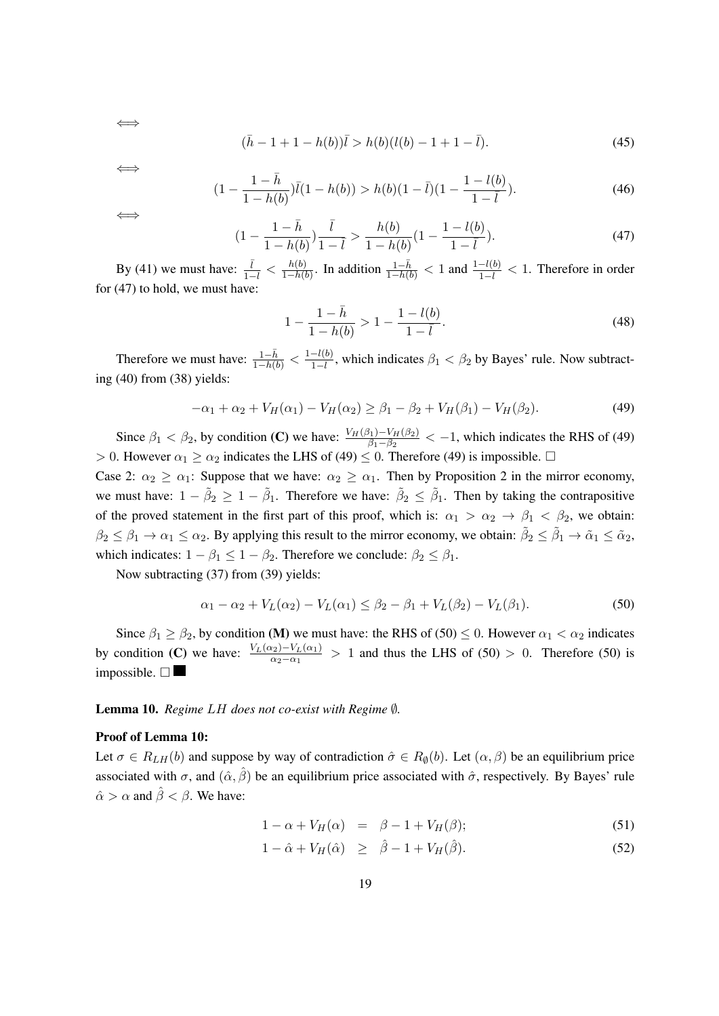$$
(\bar{h} - 1 + 1 - h(b))\bar{l} > h(b)(l(b) - 1 + 1 - \bar{l}).
$$
\n(45)

⇐⇒

⇐⇒

$$
(1 - \frac{1 - \bar{h}}{1 - h(b)})\bar{l}(1 - h(b)) > h(b)(1 - \bar{l})(1 - \frac{1 - l(b)}{1 - \bar{l}}). \tag{46}
$$

⇐⇒

$$
(1 - \frac{1 - \bar{h}}{1 - h(b)})\frac{\bar{l}}{1 - \bar{l}} > \frac{h(b)}{1 - h(b)}(1 - \frac{1 - l(b)}{1 - \bar{l}}).
$$
\n(47)

By (41) we must have:  $\frac{\bar{l}}{1-\bar{l}} < \frac{h(b)}{1-h(b)}$  $\frac{h(b)}{1-h(b)}$ . In addition  $\frac{1-\bar{h}}{1-h(b)} < 1$  and  $\frac{1-l(b)}{1-\bar{l}} < 1$ . Therefore in order for (47) to hold, we must have:

$$
1 - \frac{1 - \bar{h}}{1 - h(b)} > 1 - \frac{1 - l(b)}{1 - \bar{l}}.
$$
\n(48)

Therefore we must have:  $\frac{1-\bar{h}}{1-h(b)} < \frac{1-l(b)}{1-\bar{l}}$ , which indicates  $\beta_1 < \beta_2$  by Bayes' rule. Now subtracting (40) from (38) yields:

$$
-\alpha_1 + \alpha_2 + V_H(\alpha_1) - V_H(\alpha_2) \ge \beta_1 - \beta_2 + V_H(\beta_1) - V_H(\beta_2). \tag{49}
$$

Since  $\beta_1 < \beta_2$ , by condition (C) we have:  $\frac{V_H(\beta_1)-V_H(\beta_2)}{\beta_1-\beta_2} < -1$ , which indicates the RHS of (49) > 0. However  $\alpha_1 \ge \alpha_2$  indicates the LHS of (49)  $\le$  0. Therefore (49) is impossible.  $\Box$ 

Case 2:  $\alpha_2 \geq \alpha_1$ : Suppose that we have:  $\alpha_2 \geq \alpha_1$ . Then by Proposition 2 in the mirror economy, we must have:  $1 - \tilde{\beta}_2 \ge 1 - \tilde{\beta}_1$ . Therefore we have:  $\tilde{\beta}_2 \le \tilde{\beta}_1$ . Then by taking the contrapositive of the proved statement in the first part of this proof, which is:  $\alpha_1 > \alpha_2 \rightarrow \beta_1 < \beta_2$ , we obtain:  $\beta_2 \leq \beta_1 \to \alpha_1 \leq \alpha_2$ . By applying this result to the mirror economy, we obtain:  $\tilde{\beta}_2 \leq \tilde{\beta}_1 \to \tilde{\alpha}_1 \leq \tilde{\alpha}_2$ , which indicates:  $1 - \beta_1 \leq 1 - \beta_2$ . Therefore we conclude:  $\beta_2 \leq \beta_1$ .

Now subtracting (37) from (39) yields:

$$
\alpha_1 - \alpha_2 + V_L(\alpha_2) - V_L(\alpha_1) \le \beta_2 - \beta_1 + V_L(\beta_2) - V_L(\beta_1). \tag{50}
$$

Since  $\beta_1 \ge \beta_2$ , by condition (M) we must have: the RHS of (50)  $\le$  0. However  $\alpha_1 < \alpha_2$  indicates by condition (C) we have:  $\frac{V_L(\alpha_2)-V_L(\alpha_1)}{\alpha_2-\alpha_1} > 1$  and thus the LHS of (50) > 0. Therefore (50) is impossible.  $\square$ 

#### **Lemma 10.** *Regime LH does not co-exist with Regime ℚ*.

#### Proof of Lemma 10:

Let  $\sigma \in R_{LH}(b)$  and suppose by way of contradiction  $\hat{\sigma} \in R_{\emptyset}(b)$ . Let  $(\alpha, \beta)$  be an equilibrium price associated with  $\sigma$ , and  $(\hat{\alpha}, \hat{\beta})$  be an equilibrium price associated with  $\hat{\sigma}$ , respectively. By Bayes' rule  $\hat{\alpha} > \alpha$  and  $\hat{\beta} < \beta$ . We have:

$$
1 - \alpha + V_H(\alpha) = \beta - 1 + V_H(\beta); \tag{51}
$$

$$
1 - \hat{\alpha} + V_H(\hat{\alpha}) \ge \hat{\beta} - 1 + V_H(\hat{\beta}). \tag{52}
$$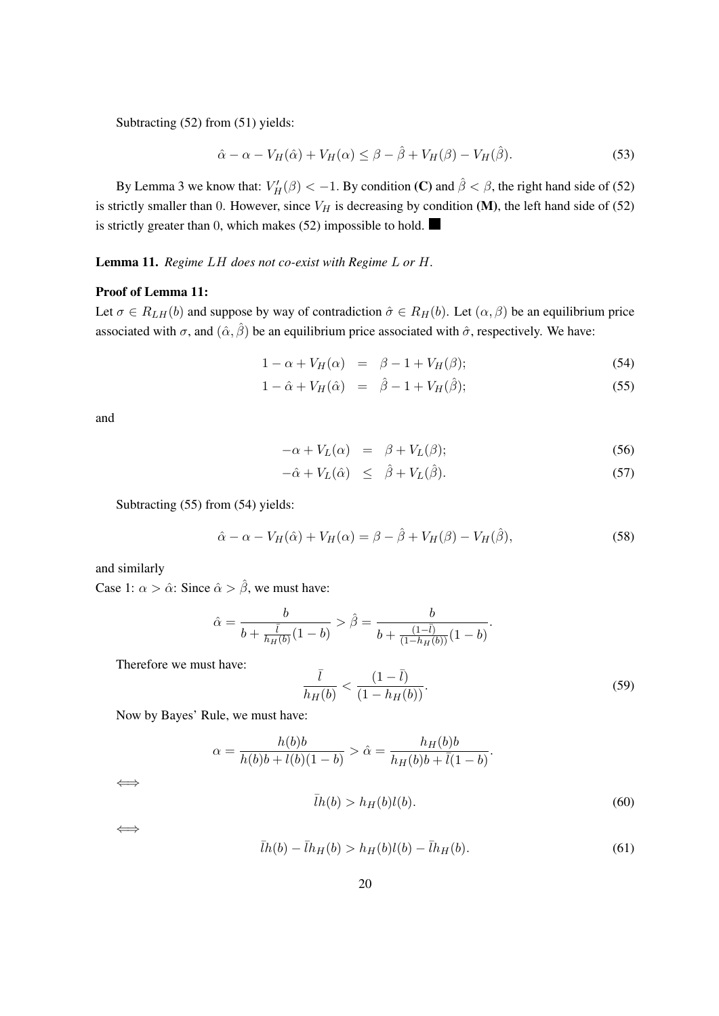Subtracting (52) from (51) yields:

$$
\hat{\alpha} - \alpha - V_H(\hat{\alpha}) + V_H(\alpha) \le \beta - \hat{\beta} + V_H(\beta) - V_H(\hat{\beta}).
$$
\n(53)

By Lemma 3 we know that:  $V'_H(\beta) < -1$ . By condition (C) and  $\hat{\beta} < \beta$ , the right hand side of (52) is strictly smaller than 0. However, since  $V_H$  is decreasing by condition (M), the left hand side of (52) is strictly greater than 0, which makes (52) impossible to hold.

## Lemma 11. Regime LH does not co-exist with Regime L or H.

#### Proof of Lemma 11:

Let  $\sigma \in R_{LH}(b)$  and suppose by way of contradiction  $\hat{\sigma} \in R_H(b)$ . Let  $(\alpha, \beta)$  be an equilibrium price associated with  $\sigma$ , and  $(\hat{\alpha}, \hat{\beta})$  be an equilibrium price associated with  $\hat{\sigma}$ , respectively. We have:

$$
1 - \alpha + V_H(\alpha) = \beta - 1 + V_H(\beta); \tag{54}
$$

$$
1 - \hat{\alpha} + V_H(\hat{\alpha}) = \hat{\beta} - 1 + V_H(\hat{\beta}); \tag{55}
$$

and

$$
-\alpha + V_L(\alpha) = \beta + V_L(\beta); \tag{56}
$$

$$
-\hat{\alpha} + V_L(\hat{\alpha}) \leq \hat{\beta} + V_L(\hat{\beta}). \tag{57}
$$

Subtracting (55) from (54) yields:

$$
\hat{\alpha} - \alpha - V_H(\hat{\alpha}) + V_H(\alpha) = \beta - \hat{\beta} + V_H(\beta) - V_H(\hat{\beta}), \tag{58}
$$

and similarly

Case 1:  $\alpha > \hat{\alpha}$ : Since  $\hat{\alpha} > \hat{\beta}$ , we must have:

$$
\hat{\alpha} = \frac{b}{b + \frac{\bar{l}}{h_H(b)}(1 - b)} > \hat{\beta} = \frac{b}{b + \frac{(1 - \bar{l})}{(1 - h_H(b))}(1 - b)}.
$$

Therefore we must have:

$$
\frac{\bar{l}}{h_H(b)} < \frac{(1 - \bar{l})}{(1 - h_H(b))}.\tag{59}
$$

Now by Bayes' Rule, we must have:

$$
\alpha = \frac{h(b)b}{h(b)b + l(b)(1-b)} > \hat{\alpha} = \frac{h_H(b)b}{h_H(b)b + \bar{l}(1-b)}.
$$
  

$$
\bar{l}h(b) > h_H(b)l(b).
$$
 (60)

⇐⇒

⇐⇒

$$
\bar{l}h(b) - \bar{l}h_H(b) > h_H(b)l(b) - \bar{l}h_H(b).
$$
\n(61)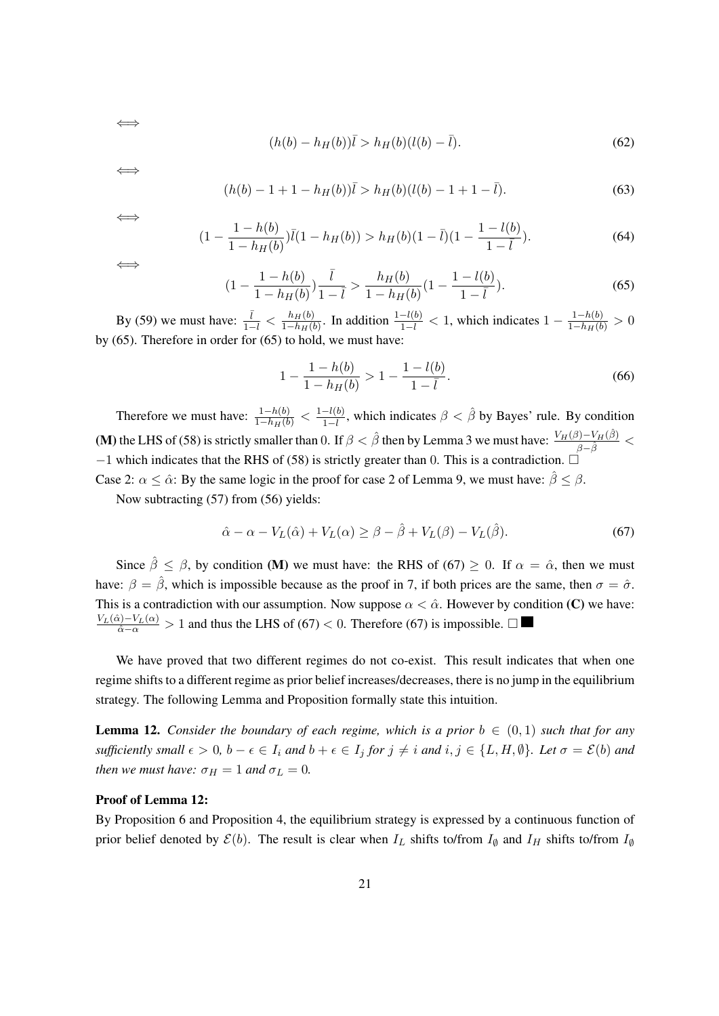$$
(h(b) - h_H(b))\bar{l} > h_H(b)(l(b) - \bar{l}).
$$
\n(62)

⇐⇒

⇐⇒

$$
(h(b) - 1 + 1 - h_H(b))\overline{l} > h_H(b)(l(b) - 1 + 1 - \overline{l}).\tag{63}
$$

$$
\iff
$$

⇐⇒

$$
(1 - \frac{1 - h(b)}{1 - h_H(b)})\bar{l}(1 - h_H(b)) > h_H(b)(1 - \bar{l})(1 - \frac{1 - l(b)}{1 - \bar{l}}). \tag{64}
$$

$$
(1 - \frac{1 - h(b)}{1 - h_H(b)})\frac{\bar{l}}{1 - \bar{l}} > \frac{h_H(b)}{1 - h_H(b)}(1 - \frac{1 - l(b)}{1 - \bar{l}}). \tag{65}
$$

By (59) we must have:  $\frac{\bar{l}}{1-\bar{l}} < \frac{h_H(b)}{1-h_H(b)}$  $\frac{h_H(b)}{1-h_H(b)}$ . In addition  $\frac{1-l(b)}{1-\overline{l}} < 1$ , which indicates  $1 - \frac{1-h(b)}{1-h_H(b)} > 0$ by (65). Therefore in order for (65) to hold, we must have:

$$
1 - \frac{1 - h(b)}{1 - h_H(b)} > 1 - \frac{1 - l(b)}{1 - \bar{l}}.\tag{66}
$$

Therefore we must have:  $\frac{1-h(b)}{1-h_H(b)} < \frac{1-l(b)}{1-\overline{l}}$ , which indicates  $\beta < \hat{\beta}$  by Bayes' rule. By condition (M) the LHS of (58) is strictly smaller than 0. If  $\beta < \hat{\beta}$  then by Lemma 3 we must have:  $\frac{V_H(\beta)-V_H(\hat{\beta})}{\beta-\hat{\beta}} <$  $-1$  which indicates that the RHS of (58) is strictly greater than 0. This is a contradiction.  $\Box$ Case 2:  $\alpha \leq \hat{\alpha}$ : By the same logic in the proof for case 2 of Lemma 9, we must have:  $\hat{\beta} < \beta$ .

Now subtracting (57) from (56) yields:

$$
\hat{\alpha} - \alpha - V_L(\hat{\alpha}) + V_L(\alpha) \ge \beta - \hat{\beta} + V_L(\beta) - V_L(\hat{\beta}).\tag{67}
$$

Since  $\hat{\beta} \leq \beta$ , by condition (M) we must have: the RHS of (67)  $\geq 0$ . If  $\alpha = \hat{\alpha}$ , then we must have:  $\beta = \hat{\beta}$ , which is impossible because as the proof in 7, if both prices are the same, then  $\sigma = \hat{\sigma}$ . This is a contradiction with our assumption. Now suppose  $\alpha < \hat{\alpha}$ . However by condition (C) we have:  $\frac{V_L(\hat{\alpha}) - V_L(\alpha)}{\hat{\alpha} - \alpha} > 1$  and thus the LHS of (67) < 0. Therefore (67) is impossible. □

We have proved that two different regimes do not co-exist. This result indicates that when one regime shifts to a different regime as prior belief increases/decreases, there is no jump in the equilibrium strategy. The following Lemma and Proposition formally state this intuition.

**Lemma 12.** *Consider the boundary of each regime, which is a prior*  $b \in (0,1)$  *such that for any sufficiently small*  $\epsilon > 0$ ,  $b - \epsilon \in I_i$  and  $b + \epsilon \in I_j$  for  $j \neq i$  and  $i, j \in \{L, H, \emptyset\}$ . Let  $\sigma = \mathcal{E}(b)$  and *then we must have:*  $\sigma_H = 1$  *and*  $\sigma_L = 0$ *.* 

#### Proof of Lemma 12:

By Proposition 6 and Proposition 4, the equilibrium strategy is expressed by a continuous function of prior belief denoted by  $\mathcal{E}(b)$ . The result is clear when  $I_L$  shifts to/from  $I_{\emptyset}$  and  $I_H$  shifts to/from  $I_{\emptyset}$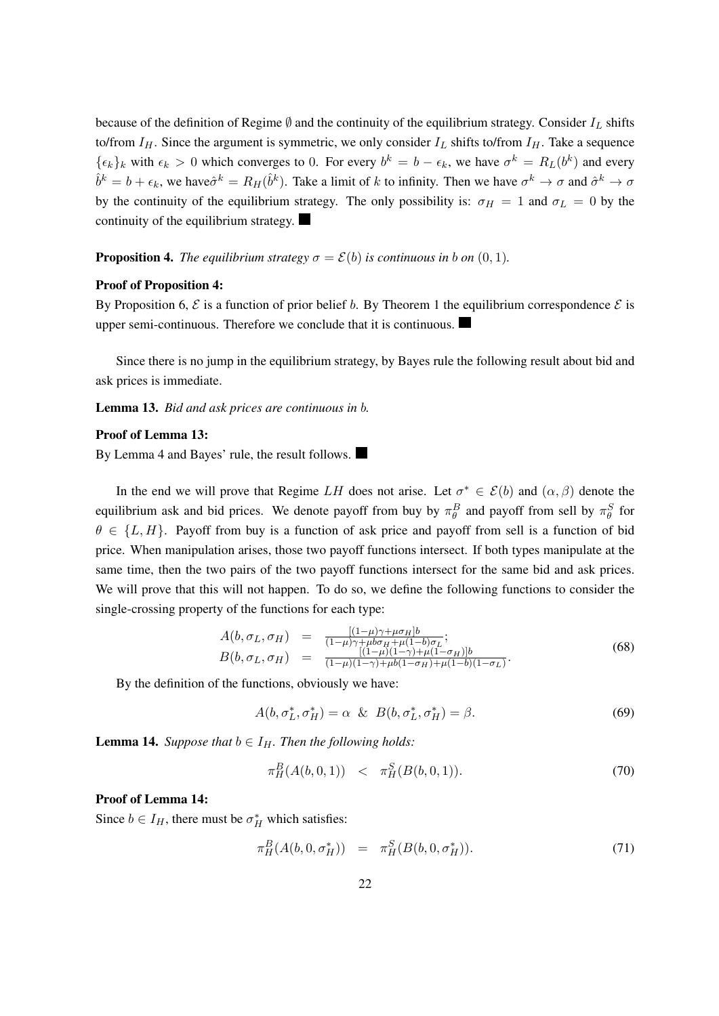because of the definition of Regime  $\emptyset$  and the continuity of the equilibrium strategy. Consider  $I_L$  shifts to/from  $I_H$ . Since the argument is symmetric, we only consider  $I_L$  shifts to/from  $I_H$ . Take a sequence  $\{\epsilon_k\}_k$  with  $\epsilon_k > 0$  which converges to 0. For every  $b^k = b - \epsilon_k$ , we have  $\sigma^k = R_L(b^k)$  and every  $\hat{b}^k = b + \epsilon_k$ , we have  $\hat{\sigma}^k = R_H(\hat{b}^k)$ . Take a limit of k to infinity. Then we have  $\sigma^k \to \sigma$  and  $\hat{\sigma}^k \to \sigma$ by the continuity of the equilibrium strategy. The only possibility is:  $\sigma_H = 1$  and  $\sigma_L = 0$  by the continuity of the equilibrium strategy.

**Proposition 4.** *The equilibrium strategy*  $\sigma = \mathcal{E}(b)$  *is continuous in b on* (0, 1).

### Proof of Proposition 4:

By Proposition 6,  $\mathcal E$  is a function of prior belief b. By Theorem 1 the equilibrium correspondence  $\mathcal E$  is upper semi-continuous. Therefore we conclude that it is continuous.

Since there is no jump in the equilibrium strategy, by Bayes rule the following result about bid and ask prices is immediate.

Lemma 13. *Bid and ask prices are continuous in b.* 

#### Proof of Lemma 13:

By Lemma 4 and Bayes' rule, the result follows.

In the end we will prove that Regime LH does not arise. Let  $\sigma^* \in \mathcal{E}(b)$  and  $(\alpha, \beta)$  denote the equilibrium ask and bid prices. We denote payoff from buy by  $\pi_\theta^B$  and payoff from sell by  $\pi_\theta^S$  for  $\theta \in \{L, H\}$ . Payoff from buy is a function of ask price and payoff from sell is a function of bid price. When manipulation arises, those two payoff functions intersect. If both types manipulate at the same time, then the two pairs of the two payoff functions intersect for the same bid and ask prices. We will prove that this will not happen. To do so, we define the following functions to consider the single-crossing property of the functions for each type:

$$
A(b, \sigma_L, \sigma_H) = \frac{[(1-\mu)\gamma + \mu \sigma_H]b}{(1-\mu)\gamma + \mu b \sigma_H + \mu(1-b)\sigma_L};
$$
  
\n
$$
B(b, \sigma_L, \sigma_H) = \frac{[(1-\mu)(1-\gamma) + \mu(1-\sigma_H)]b}{(1-\mu)(1-\gamma) + \mu b(1-\sigma_H) + \mu(1-b)(1-\sigma_L)}.
$$
\n(68)

By the definition of the functions, obviously we have:

$$
A(b, \sigma_L^*, \sigma_H^*) = \alpha \& B(b, \sigma_L^*, \sigma_H^*) = \beta. \tag{69}
$$

**Lemma 14.** *Suppose that*  $b \in I_H$ *. Then the following holds:* 

$$
\pi^B_H(A(b,0,1)) \quad < \quad \pi^S_H(B(b,0,1)). \tag{70}
$$

### Proof of Lemma 14:

Since  $b \in I_H$ , there must be  $\sigma_H^*$  which satisfies:

$$
\pi_H^B(A(b,0,\sigma_H^*)) = \pi_H^S(B(b,0,\sigma_H^*)). \tag{71}
$$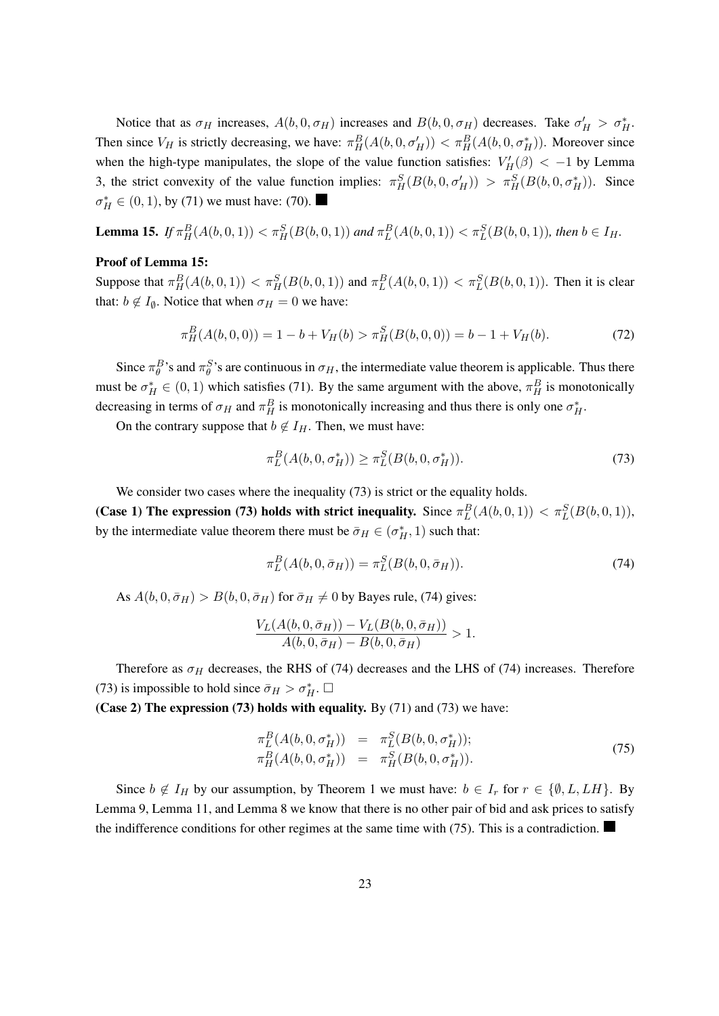Notice that as  $\sigma_H$  increases,  $A(b, 0, \sigma_H)$  increases and  $B(b, 0, \sigma_H)$  decreases. Take  $\sigma'_H > \sigma_H^*$ . Then since  $V_H$  is strictly decreasing, we have:  $\pi_H^B(A(b, 0, \sigma_H')) < \pi_H^B(A(b, 0, \sigma_H'))$ . Moreover since when the high-type manipulates, the slope of the value function satisfies:  $V'_H(\beta) < -1$  by Lemma 3, the strict convexity of the value function implies:  $\pi_H^S(B(b, 0, \sigma_H')) > \pi_H^S(B(b, 0, \sigma_H'))$ . Since  $\sigma_H^* \in (0, 1)$ , by (71) we must have: (70).

**Lemma 15.** If  $\pi_H^B(A(b,0,1)) < \pi_H^S(B(b,0,1))$  and  $\pi_L^B(A(b,0,1)) < \pi_L^S(B(b,0,1))$ , then  $b \in I_H$ .

### Proof of Lemma 15:

Suppose that  $\pi_H^B(A(b,0,1)) < \pi_H^S(B(b,0,1))$  and  $\pi_L^B(A(b,0,1)) < \pi_L^S(B(b,0,1))$ . Then it is clear that:  $b \notin I_{\emptyset}$ . Notice that when  $\sigma_H = 0$  we have:

$$
\pi_H^B(A(b,0,0)) = 1 - b + V_H(b) > \pi_H^S(B(b,0,0)) = b - 1 + V_H(b). \tag{72}
$$

Since  $\pi_{\theta}^{B}$ 's and  $\pi_{\theta}^{S}$ 's are continuous in  $\sigma_H$ , the intermediate value theorem is applicable. Thus there must be  $\sigma_H^* \in (0,1)$  which satisfies (71). By the same argument with the above,  $\pi_H^B$  is monotonically decreasing in terms of  $\sigma_H$  and  $\pi_H^B$  is monotonically increasing and thus there is only one  $\sigma_H^*$ .

On the contrary suppose that  $b \notin I_H$ . Then, we must have:

$$
\pi_L^B(A(b, 0, \sigma_H^*)) \ge \pi_L^S(B(b, 0, \sigma_H^*)). \tag{73}
$$

We consider two cases where the inequality (73) is strict or the equality holds.

(Case 1) The expression (73) holds with strict inequality. Since  $\pi_L^B(A(b,0,1)) < \pi_L^S(B(b,0,1))$ , by the intermediate value theorem there must be  $\bar{\sigma}_H \in (\sigma_H^*, 1)$  such that:

$$
\pi_L^B(A(b, 0, \bar{\sigma}_H)) = \pi_L^S(B(b, 0, \bar{\sigma}_H)).
$$
\n(74)

As  $A(b, 0, \bar{\sigma}_H) > B(b, 0, \bar{\sigma}_H)$  for  $\bar{\sigma}_H \neq 0$  by Bayes rule, (74) gives:

$$
\frac{V_L(A(b, 0, \bar{\sigma}_H)) - V_L(B(b, 0, \bar{\sigma}_H))}{A(b, 0, \bar{\sigma}_H) - B(b, 0, \bar{\sigma}_H)} > 1.
$$

Therefore as  $\sigma_H$  decreases, the RHS of (74) decreases and the LHS of (74) increases. Therefore (73) is impossible to hold since  $\bar{\sigma}_H > \sigma_H^*$ .  $\Box$ 

(Case 2) The expression  $(73)$  holds with equality. By  $(71)$  and  $(73)$  we have:

$$
\pi_L^B(A(b, 0, \sigma_H^*)) = \pi_L^S(B(b, 0, \sigma_H^*));
$$
  
\n
$$
\pi_H^B(A(b, 0, \sigma_H^*)) = \pi_H^S(B(b, 0, \sigma_H^*)).
$$
\n(75)

Since  $b \notin I_H$  by our assumption, by Theorem 1 we must have:  $b \in I_r$  for  $r \in \{0, L, LH\}$ . By Lemma 9, Lemma 11, and Lemma 8 we know that there is no other pair of bid and ask prices to satisfy the indifference conditions for other regimes at the same time with (75). This is a contradiction.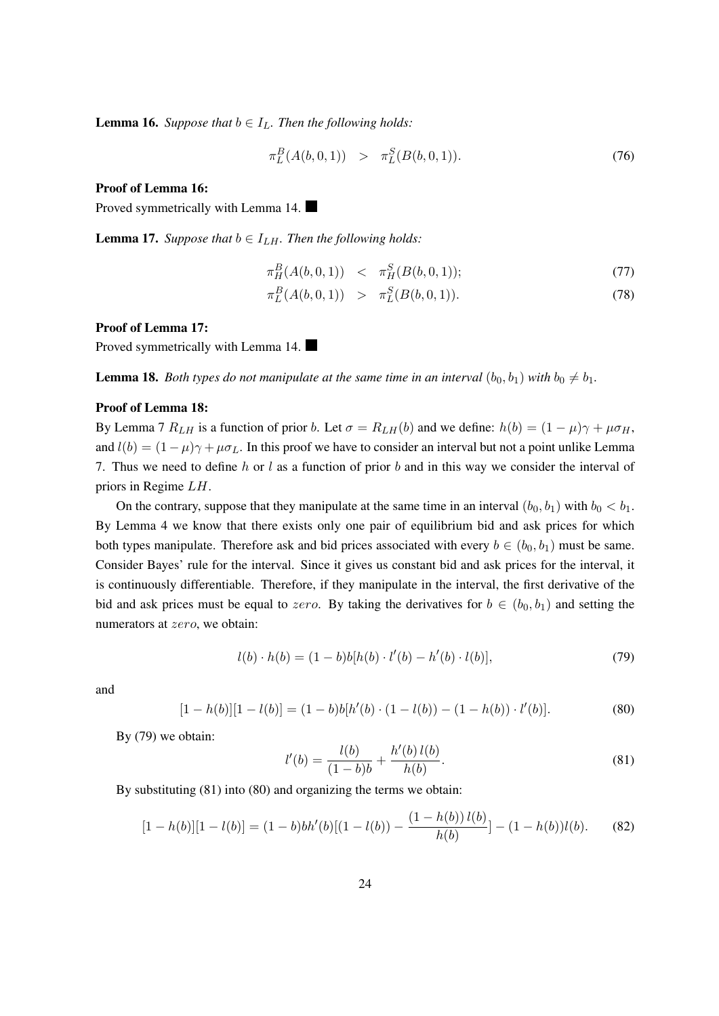**Lemma 16.** *Suppose that*  $b \in I_L$ *. Then the following holds:* 

$$
\pi_L^B(A(b,0,1)) \quad > \quad \pi_L^S(B(b,0,1)). \tag{76}
$$

#### Proof of Lemma 16:

Proved symmetrically with Lemma 14.

**Lemma 17.** *Suppose that*  $b \in I_{LH}$ *. Then the following holds:* 

$$
\pi^B_H(A(b,0,1)) \quad < \quad \pi^S_H(B(b,0,1)); \tag{77}
$$

$$
\pi_L^B(A(b,0,1)) \quad > \quad \pi_L^S(B(b,0,1)). \tag{78}
$$

#### Proof of Lemma 17:

Proved symmetrically with Lemma 14.

**Lemma 18.** *Both types do not manipulate at the same time in an interval*  $(b_0, b_1)$  *with*  $b_0 \neq b_1$ *.* 

#### Proof of Lemma 18:

By Lemma 7  $R_{LH}$  is a function of prior b. Let  $\sigma = R_{LH}(b)$  and we define:  $h(b) = (1 - \mu)\gamma + \mu\sigma_H$ , and  $l(b) = (1 - \mu)\gamma + \mu\sigma_L$ . In this proof we have to consider an interval but not a point unlike Lemma 7. Thus we need to define h or l as a function of prior b and in this way we consider the interval of priors in Regime  $LH$ .

On the contrary, suppose that they manipulate at the same time in an interval  $(b_0, b_1)$  with  $b_0 < b_1$ . By Lemma 4 we know that there exists only one pair of equilibrium bid and ask prices for which both types manipulate. Therefore ask and bid prices associated with every  $b \in (b_0, b_1)$  must be same. Consider Bayes' rule for the interval. Since it gives us constant bid and ask prices for the interval, it is continuously differentiable. Therefore, if they manipulate in the interval, the first derivative of the bid and ask prices must be equal to zero. By taking the derivatives for  $b \in (b_0, b_1)$  and setting the numerators at *zero*, we obtain:

$$
l(b) \cdot h(b) = (1 - b)b[h(b) \cdot l'(b) - h'(b) \cdot l(b)], \qquad (79)
$$

and

$$
[1 - h(b)][1 - l(b)] = (1 - b)b[h'(b) \cdot (1 - l(b)) - (1 - h(b)) \cdot l'(b)].
$$
\n(80)

By (79) we obtain:

$$
l'(b) = \frac{l(b)}{(1-b)b} + \frac{h'(b) l(b)}{h(b)}.
$$
\n(81)

By substituting (81) into (80) and organizing the terms we obtain:

$$
[1 - h(b)][1 - l(b)] = (1 - b)bh'(b)[(1 - l(b)) - \frac{(1 - h(b))l(b)}{h(b)}] - (1 - h(b))l(b).
$$
 (82)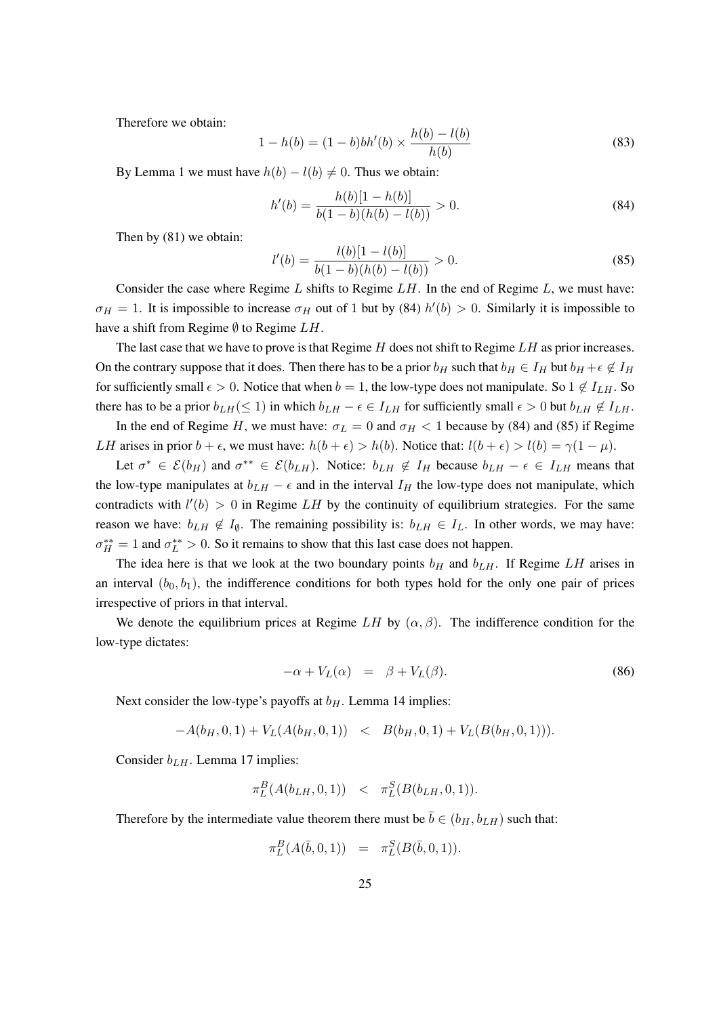Therefore we obtain:

$$
1 - h(b) = (1 - b)bh'(b) \times \frac{h(b) - l(b)}{h(b)}
$$
\n(83)

By Lemma 1 we must have  $h(b) - l(b) \neq 0$ . Thus we obtain:

$$
h'(b) = \frac{h(b)[1 - h(b)]}{b(1 - b)(h(b) - l(b))} > 0.
$$
\n(84)

Then by (81) we obtain:

$$
l'(b) = \frac{l(b)[1 - l(b)]}{b(1 - b)(h(b) - l(b))} > 0.
$$
\n(85)

Consider the case where Regime  $L$  shifts to Regime  $L$ . In the end of Regime  $L$ , we must have:  $\sigma_H = 1$ . It is impossible to increase  $\sigma_H$  out of 1 but by (84)  $h'(b) > 0$ . Similarly it is impossible to have a shift from Regime  $\emptyset$  to Regime  $LH$ .

The last case that we have to prove is that Regime  $H$  does not shift to Regime  $LH$  as prior increases. On the contrary suppose that it does. Then there has to be a prior  $b_H$  such that  $b_H \in I_H$  but  $b_H + \epsilon \notin I_H$ for sufficiently small  $\epsilon > 0$ . Notice that when  $b = 1$ , the low-type does not manipulate. So  $1 \notin I_{LH}$ . So there has to be a prior  $b_{LH}(\leq 1)$  in which  $b_{LH} - \epsilon \in I_{LH}$  for sufficiently small  $\epsilon > 0$  but  $b_{LH} \notin I_{LH}$ .

In the end of Regime H, we must have:  $\sigma_L = 0$  and  $\sigma_H < 1$  because by (84) and (85) if Regime *LH* arises in prior  $b + \epsilon$ , we must have:  $h(b + \epsilon) > h(b)$ . Notice that:  $l(b + \epsilon) > l(b) = \gamma(1 - \mu)$ .

Let  $\sigma^* \in \mathcal{E}(b_H)$  and  $\sigma^{**} \in \mathcal{E}(b_{LH})$ . Notice:  $b_{LH} \notin I_H$  because  $b_{LH} - \epsilon \in I_{LH}$  means that the low-type manipulates at  $b_{LH} - \epsilon$  and in the interval  $I_H$  the low-type does not manipulate, which contradicts with  $l'(b) > 0$  in Regime LH by the continuity of equilibrium strategies. For the same reason we have:  $b_{LH} \notin I_{\emptyset}$ . The remaining possibility is:  $b_{LH} \in I_L$ . In other words, we may have:  $\sigma_H^{**} = 1$  and  $\sigma_L^{**} > 0$ . So it remains to show that this last case does not happen.

The idea here is that we look at the two boundary points  $b_H$  and  $b_{L}$ . If Regime LH arises in an interval  $(b_0, b_1)$ , the indifference conditions for both types hold for the only one pair of prices irrespective of priors in that interval.

We denote the equilibrium prices at Regime LH by  $(\alpha, \beta)$ . The indifference condition for the low-type dictates:

$$
-\alpha + V_L(\alpha) = \beta + V_L(\beta). \tag{86}
$$

Next consider the low-type's payoffs at  $b<sub>H</sub>$ . Lemma 14 implies:

 $-A(b_H, 0, 1) + V_L(A(b_H, 0, 1)) \leq B(b_H, 0, 1) + V_L(B(b_H, 0, 1)).$ 

Consider  $b_{LH}$ . Lemma 17 implies:

$$
\pi_L^B(A(b_{LH}, 0, 1)) \leq \pi_L^S(B(b_{LH}, 0, 1)).
$$

Therefore by the intermediate value theorem there must be  $\bar{b} \in (b_H, b_{LH})$  such that:

$$
\pi_L^B(A(\bar b, 0, 1)) \;\; = \;\; \pi_L^S(B(\bar b, 0, 1)).
$$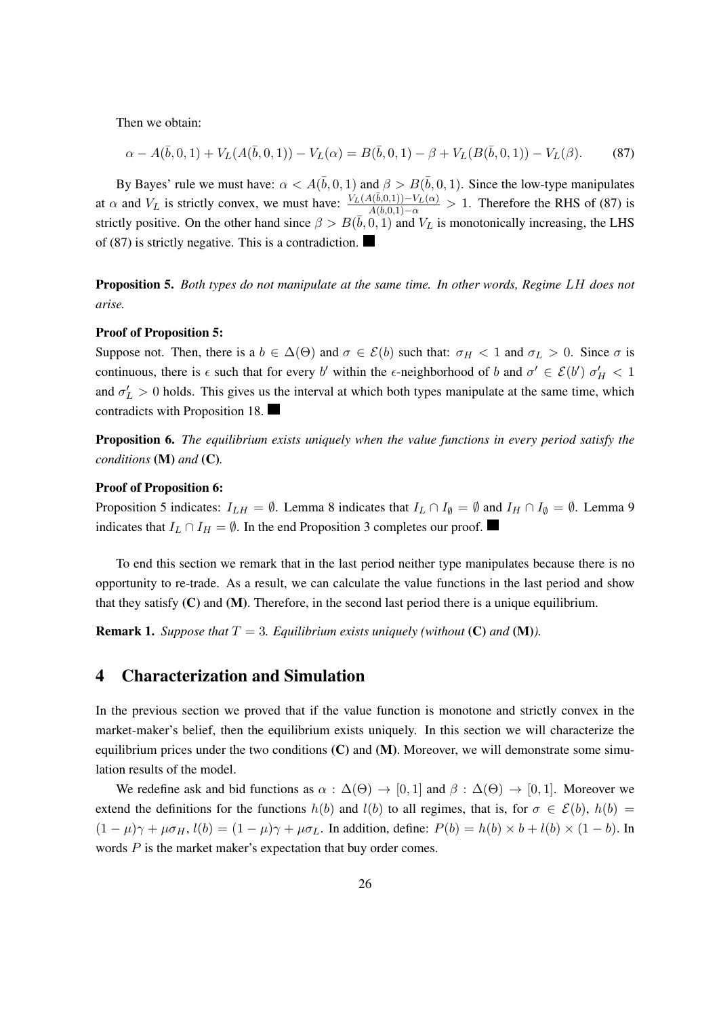Then we obtain:

$$
\alpha - A(\bar{b}, 0, 1) + V_L(A(\bar{b}, 0, 1)) - V_L(\alpha) = B(\bar{b}, 0, 1) - \beta + V_L(B(\bar{b}, 0, 1)) - V_L(\beta).
$$
 (87)

By Bayes' rule we must have:  $\alpha < A(\bar{b}, 0, 1)$  and  $\beta > B(\bar{b}, 0, 1)$ . Since the low-type manipulates at  $\alpha$  and  $V_L$  is strictly convex, we must have:  $\frac{V_L(A(\bar{b},0,1)) - V_L(\alpha)}{A(\bar{b},0,1) - \alpha} > 1$ . Therefore the RHS of (87) is strictly positive. On the other hand since  $\beta > B(\bar{b}, 0, 1)$  and  $V_L$  is monotonically increasing, the LHS of (87) is strictly negative. This is a contradiction.

**Proposition 5.** Both types do not manipulate at the same time. In other words, Regime LH does not *arise.*

#### Proof of Proposition 5:

Suppose not. Then, there is a  $b \in \Delta(\Theta)$  and  $\sigma \in \mathcal{E}(b)$  such that:  $\sigma_H < 1$  and  $\sigma_L > 0$ . Since  $\sigma$  is continuous, there is  $\epsilon$  such that for every b' within the  $\epsilon$ -neighborhood of b and  $\sigma' \in \mathcal{E}(b')$   $\sigma'_{H} < 1$ and  $\sigma'_{L} > 0$  holds. This gives us the interval at which both types manipulate at the same time, which contradicts with Proposition 18.

Proposition 6. *The equilibrium exists uniquely when the value functions in every period satisfy the conditions* (M) *and* (C)*.*

#### Proof of Proposition 6:

Proposition 5 indicates:  $I_{LH} = \emptyset$ . Lemma 8 indicates that  $I_L \cap I_{\emptyset} = \emptyset$  and  $I_H \cap I_{\emptyset} = \emptyset$ . Lemma 9 indicates that  $I_L \cap I_H = \emptyset$ . In the end Proposition 3 completes our proof.

To end this section we remark that in the last period neither type manipulates because there is no opportunity to re-trade. As a result, we can calculate the value functions in the last period and show that they satisfy  $(C)$  and  $(M)$ . Therefore, in the second last period there is a unique equilibrium.

**Remark 1.** *Suppose that*  $T = 3$ *. Equilibrium exists uniquely (without (C) and (M)).* 

## 4 Characterization and Simulation

In the previous section we proved that if the value function is monotone and strictly convex in the market-maker's belief, then the equilibrium exists uniquely. In this section we will characterize the equilibrium prices under the two conditions  $(C)$  and  $(M)$ . Moreover, we will demonstrate some simulation results of the model.

We redefine ask and bid functions as  $\alpha : \Delta(\Theta) \rightarrow [0, 1]$  and  $\beta : \Delta(\Theta) \rightarrow [0, 1]$ . Moreover we extend the definitions for the functions  $h(b)$  and  $l(b)$  to all regimes, that is, for  $\sigma \in \mathcal{E}(b)$ ,  $h(b)$  =  $(1 - \mu)\gamma + \mu\sigma_H$ ,  $l(b) = (1 - \mu)\gamma + \mu\sigma_L$ . In addition, define:  $P(b) = h(b) \times b + l(b) \times (1 - b)$ . In words  $P$  is the market maker's expectation that buy order comes.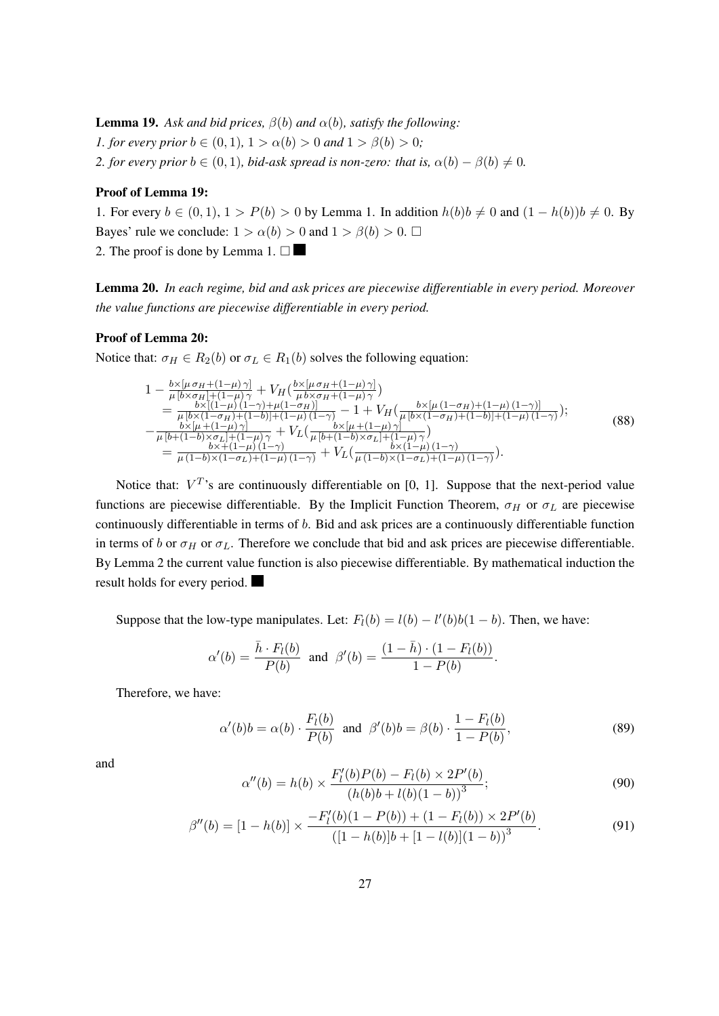**Lemma 19.** Ask and bid prices,  $\beta(b)$  and  $\alpha(b)$ , satisfy the following: *1. for every prior*  $b \in (0, 1)$ ,  $1 > \alpha(b) > 0$  *and*  $1 > \beta(b) > 0$ ; *2. for every prior*  $b \in (0, 1)$ *, bid-ask spread is non-zero: that is,*  $\alpha(b) - \beta(b) \neq 0$ *.* 

#### Proof of Lemma 19:

1. For every  $b \in (0, 1), 1 > P(b) > 0$  by Lemma 1. In addition  $h(b)b \neq 0$  and  $(1 - h(b))b \neq 0$ . By Bayes' rule we conclude:  $1 > \alpha(b) > 0$  and  $1 > \beta(b) > 0$ .  $\Box$ 2. The proof is done by Lemma 1.  $\square$ 

Lemma 20. *In each regime, bid and ask prices are piecewise differentiable in every period. Moreover the value functions are piecewise differentiable in every period.*

### Proof of Lemma 20:

Notice that:  $\sigma_H \in R_2(b)$  or  $\sigma_L \in R_1(b)$  solves the following equation:

$$
1 - \frac{b \times [\mu \sigma_H + (1 - \mu)\gamma]}{\mu [b \times \sigma_H] + (1 - \mu)\gamma} + V_H(\frac{b \times [\mu \sigma_H + (1 - \mu)\gamma]}{\mu b \times \sigma_H + (1 - \mu)\gamma})
$$
  
\n
$$
= \frac{b \times [(1 - \mu)(1 - \gamma) + \mu(1 - \sigma_H)]}{\mu [b \times (1 - \sigma_H) + (1 - b)] + (1 - \mu)(1 - \gamma)} - 1 + V_H(\frac{b \times [\mu (1 - \sigma_H) + (1 - \mu)(1 - \gamma)]}{\mu [b \times (1 - \sigma_H) + (1 - \mu)\gamma]});
$$
  
\n
$$
- \frac{b \times [\mu + (1 - \mu)\gamma]}{\mu [b + (1 - b)\times\sigma_L] + (1 - \mu)\gamma} + V_L(\frac{b \times [\mu + (1 - \mu)\gamma]}{\mu [b + (1 - b)\times\sigma_L] + (1 - \mu)\gamma}]
$$
  
\n
$$
= \frac{b \times (1 - \mu)(1 - \gamma)}{\mu (1 - b) \times (1 - \sigma_L) + (1 - \mu)(1 - \gamma)} + V_L(\frac{b \times (1 - \mu)(1 - \gamma)}{\mu (1 - b) \times (1 - \sigma_L) + (1 - \mu)(1 - \gamma)}).
$$
\n(88)

Notice that:  $V^T$ 's are continuously differentiable on [0, 1]. Suppose that the next-period value functions are piecewise differentiable. By the Implicit Function Theorem,  $\sigma_H$  or  $\sigma_L$  are piecewise continuously differentiable in terms of  $b$ . Bid and ask prices are a continuously differentiable function in terms of b or  $\sigma_H$  or  $\sigma_L$ . Therefore we conclude that bid and ask prices are piecewise differentiable. By Lemma 2 the current value function is also piecewise differentiable. By mathematical induction the result holds for every period.

Suppose that the low-type manipulates. Let:  $F_l(b) = l(b) - l'(b)b(1-b)$ . Then, we have:

$$
\alpha'(b) = \frac{\bar{h} \cdot F_l(b)}{P(b)}
$$
 and  $\beta'(b) = \frac{(1 - \bar{h}) \cdot (1 - F_l(b))}{1 - P(b)}$ .

Therefore, we have:

$$
\alpha'(b)b = \alpha(b) \cdot \frac{F_l(b)}{P(b)} \quad \text{and} \quad \beta'(b)b = \beta(b) \cdot \frac{1 - F_l(b)}{1 - P(b)},\tag{89}
$$

and

$$
\alpha''(b) = h(b) \times \frac{F'_l(b)P(b) - F_l(b) \times 2P'(b)}{(h(b)b + l(b)(1-b))^3};
$$
\n(90)

$$
\beta''(b) = [1 - h(b)] \times \frac{-F'_l(b)(1 - P(b)) + (1 - F_l(b)) \times 2P'(b)}{([1 - h(b)]b + [1 - l(b)](1 - b))^3}.
$$
\n(91)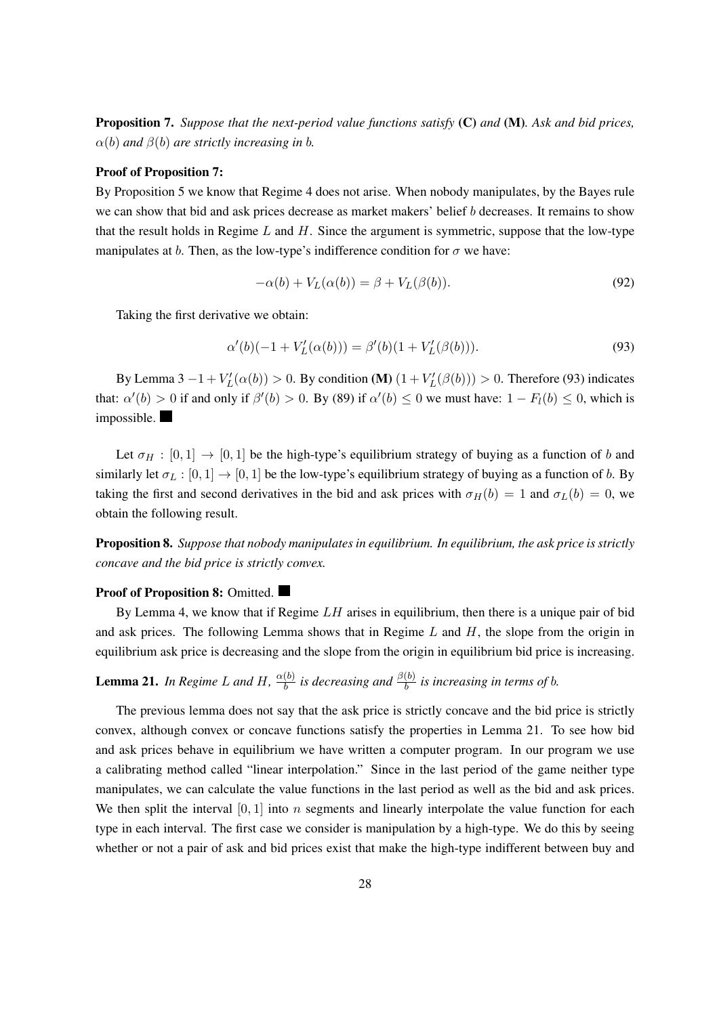Proposition 7. *Suppose that the next-period value functions satisfy* (C) *and* (M)*. Ask and bid prices,*  $\alpha(b)$  and  $\beta(b)$  are strictly increasing in b.

#### Proof of Proposition 7:

By Proposition 5 we know that Regime 4 does not arise. When nobody manipulates, by the Bayes rule we can show that bid and ask prices decrease as market makers' belief  $b$  decreases. It remains to show that the result holds in Regime  $L$  and  $H$ . Since the argument is symmetric, suppose that the low-type manipulates at b. Then, as the low-type's indifference condition for  $\sigma$  we have:

$$
-\alpha(b) + V_L(\alpha(b)) = \beta + V_L(\beta(b)).\tag{92}
$$

Taking the first derivative we obtain:

$$
\alpha'(b)(-1 + V_L'(\alpha(b))) = \beta'(b)(1 + V_L'(\beta(b))). \tag{93}
$$

By Lemma 3  $-1 + V_L'(\alpha(b)) > 0$ . By condition (M)  $(1 + V_L'(\beta(b))) > 0$ . Therefore (93) indicates that:  $\alpha'(b) > 0$  if and only if  $\beta'(b) > 0$ . By (89) if  $\alpha'(b) \le 0$  we must have:  $1 - F_l(b) \le 0$ , which is impossible.

Let  $\sigma_H : [0, 1] \rightarrow [0, 1]$  be the high-type's equilibrium strategy of buying as a function of b and similarly let  $\sigma_L : [0, 1] \to [0, 1]$  be the low-type's equilibrium strategy of buying as a function of b. By taking the first and second derivatives in the bid and ask prices with  $\sigma_H(b) = 1$  and  $\sigma_L(b) = 0$ , we obtain the following result.

Proposition 8. *Suppose that nobody manipulates in equilibrium. In equilibrium, the ask price is strictly concave and the bid price is strictly convex.*

#### Proof of Proposition 8: Omitted.

By Lemma 4, we know that if Regime  $LH$  arises in equilibrium, then there is a unique pair of bid and ask prices. The following Lemma shows that in Regime  $L$  and  $H$ , the slope from the origin in equilibrium ask price is decreasing and the slope from the origin in equilibrium bid price is increasing.

**Lemma 21.** In Regime L and H,  $\frac{\alpha(b)}{b}$  $\frac{(b)}{b}$  is decreasing and  $\frac{\beta(b)}{b}$  is increasing in terms of  $b$ .

The previous lemma does not say that the ask price is strictly concave and the bid price is strictly convex, although convex or concave functions satisfy the properties in Lemma 21. To see how bid and ask prices behave in equilibrium we have written a computer program. In our program we use a calibrating method called "linear interpolation." Since in the last period of the game neither type manipulates, we can calculate the value functions in the last period as well as the bid and ask prices. We then split the interval  $[0, 1]$  into n segments and linearly interpolate the value function for each type in each interval. The first case we consider is manipulation by a high-type. We do this by seeing whether or not a pair of ask and bid prices exist that make the high-type indifferent between buy and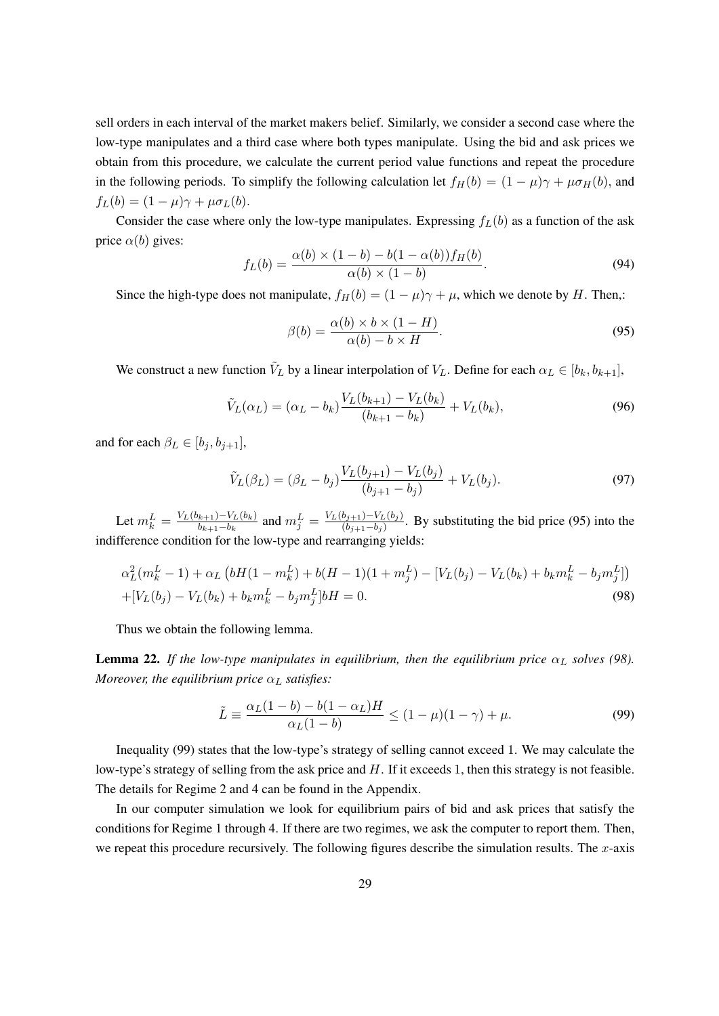sell orders in each interval of the market makers belief. Similarly, we consider a second case where the low-type manipulates and a third case where both types manipulate. Using the bid and ask prices we obtain from this procedure, we calculate the current period value functions and repeat the procedure in the following periods. To simplify the following calculation let  $f_H(b) = (1 - \mu)\gamma + \mu\sigma_H(b)$ , and  $f_L(b) = (1 - \mu)\gamma + \mu\sigma_L(b).$ 

Consider the case where only the low-type manipulates. Expressing  $f_L(b)$  as a function of the ask price  $\alpha(b)$  gives:

$$
f_L(b) = \frac{\alpha(b) \times (1-b) - b(1-\alpha(b))f_H(b)}{\alpha(b) \times (1-b)}.
$$
\n(94)

Since the high-type does not manipulate,  $f_H(b) = (1 - \mu)\gamma + \mu$ , which we denote by H. Then,:

$$
\beta(b) = \frac{\alpha(b) \times b \times (1 - H)}{\alpha(b) - b \times H}.
$$
\n(95)

We construct a new function  $\tilde{V}_L$  by a linear interpolation of  $V_L$ . Define for each  $\alpha_L \in [b_k, b_{k+1}]$ ,

$$
\tilde{V}_L(\alpha_L) = (\alpha_L - b_k) \frac{V_L(b_{k+1}) - V_L(b_k)}{(b_{k+1} - b_k)} + V_L(b_k),
$$
\n(96)

and for each  $\beta_L \in [b_i, b_{i+1}],$ 

$$
\tilde{V}_L(\beta_L) = (\beta_L - b_j) \frac{V_L(b_{j+1}) - V_L(b_j)}{(b_{j+1} - b_j)} + V_L(b_j). \tag{97}
$$

Let  $m_k^L = \frac{V_L(b_{k+1}) - V_L(b_k)}{b_{k+1} - b_k}$  $\frac{(k+1)-V_L(b_k)}{b_{k+1}-b_k}$  and  $m_j^L = \frac{V_L(b_{j+1})-V_L(b_j)}{(b_{j+1}-b_j)}$  $\frac{(b_{j+1}-b_L)(b_j)}{(b_{j+1}-b_j)}$ . By substituting the bid price (95) into the indifference condition for the low-type and rearranging yields:

$$
\alpha_L^2(m_k^L - 1) + \alpha_L \left( bH(1 - m_k^L) + b(H - 1)(1 + m_j^L) - \left[ V_L(b_j) - V_L(b_k) + b_k m_k^L - b_j m_j^L \right] \right) + \left[ V_L(b_j) - V_L(b_k) + b_k m_k^L - b_j m_j^L \right] bH = 0.
$$
\n(98)

Thus we obtain the following lemma.

**Lemma 22.** If the low-type manipulates in equilibrium, then the equilibrium price  $\alpha$ <sub>L</sub> solves (98). *Moreover, the equilibrium price*  $\alpha_L$  *satisfies:* 

$$
\tilde{L} \equiv \frac{\alpha_L (1 - b) - b(1 - \alpha_L) H}{\alpha_L (1 - b)} \le (1 - \mu)(1 - \gamma) + \mu.
$$
\n(99)

Inequality (99) states that the low-type's strategy of selling cannot exceed 1. We may calculate the low-type's strategy of selling from the ask price and  $H$ . If it exceeds 1, then this strategy is not feasible. The details for Regime 2 and 4 can be found in the Appendix.

In our computer simulation we look for equilibrium pairs of bid and ask prices that satisfy the conditions for Regime 1 through 4. If there are two regimes, we ask the computer to report them. Then, we repeat this procedure recursively. The following figures describe the simulation results. The  $x$ -axis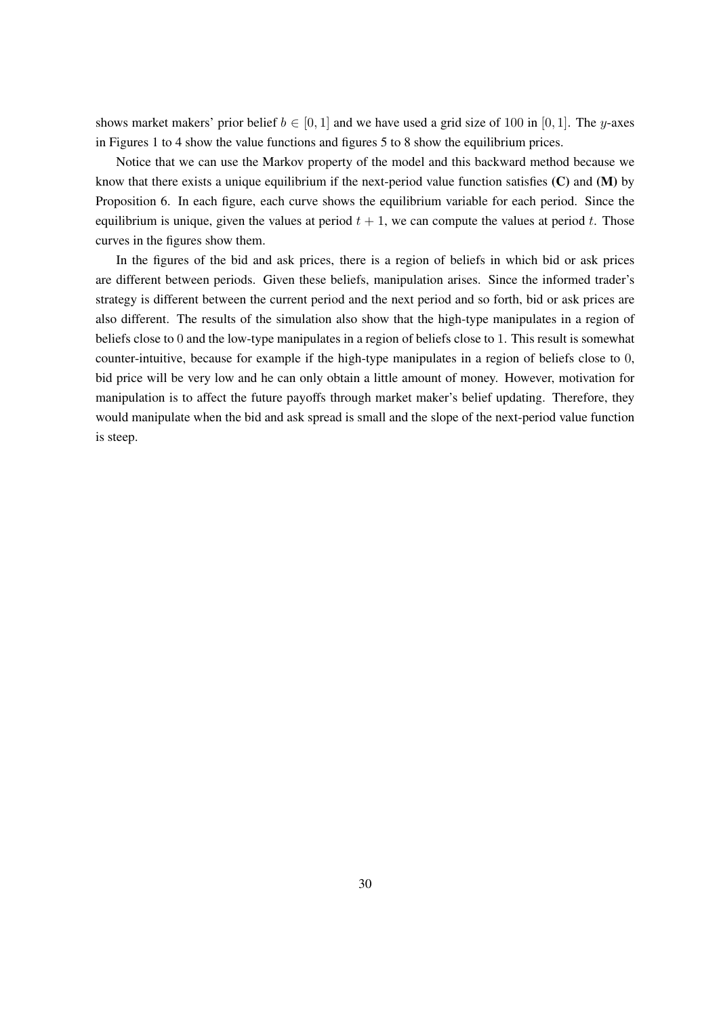shows market makers' prior belief  $b \in [0, 1]$  and we have used a grid size of 100 in [0, 1]. The y-axes in Figures 1 to 4 show the value functions and figures 5 to 8 show the equilibrium prices.

Notice that we can use the Markov property of the model and this backward method because we know that there exists a unique equilibrium if the next-period value function satisfies  $(C)$  and  $(M)$  by Proposition 6. In each figure, each curve shows the equilibrium variable for each period. Since the equilibrium is unique, given the values at period  $t + 1$ , we can compute the values at period  $t$ . Those curves in the figures show them.

In the figures of the bid and ask prices, there is a region of beliefs in which bid or ask prices are different between periods. Given these beliefs, manipulation arises. Since the informed trader's strategy is different between the current period and the next period and so forth, bid or ask prices are also different. The results of the simulation also show that the high-type manipulates in a region of beliefs close to 0 and the low-type manipulates in a region of beliefs close to 1. This result is somewhat counter-intuitive, because for example if the high-type manipulates in a region of beliefs close to 0, bid price will be very low and he can only obtain a little amount of money. However, motivation for manipulation is to affect the future payoffs through market maker's belief updating. Therefore, they would manipulate when the bid and ask spread is small and the slope of the next-period value function is steep.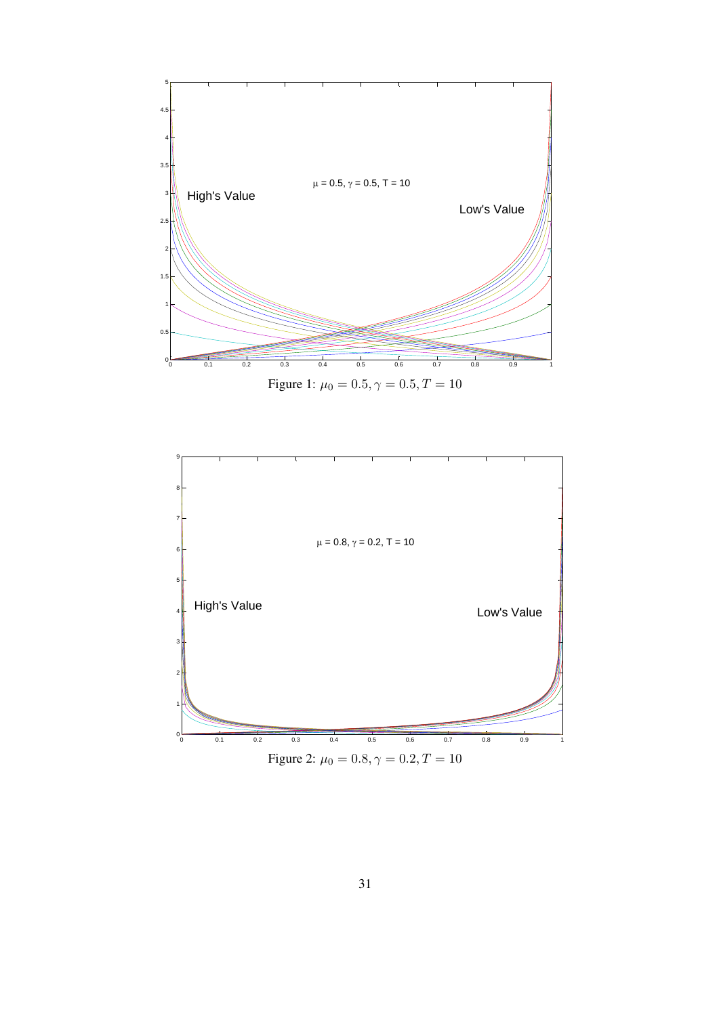

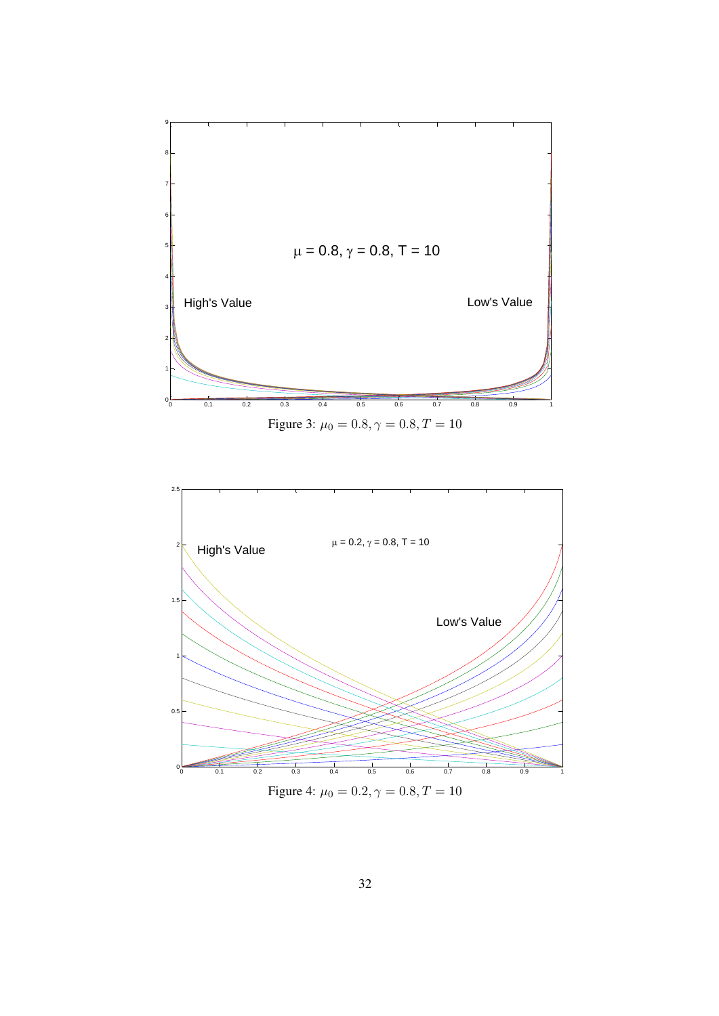

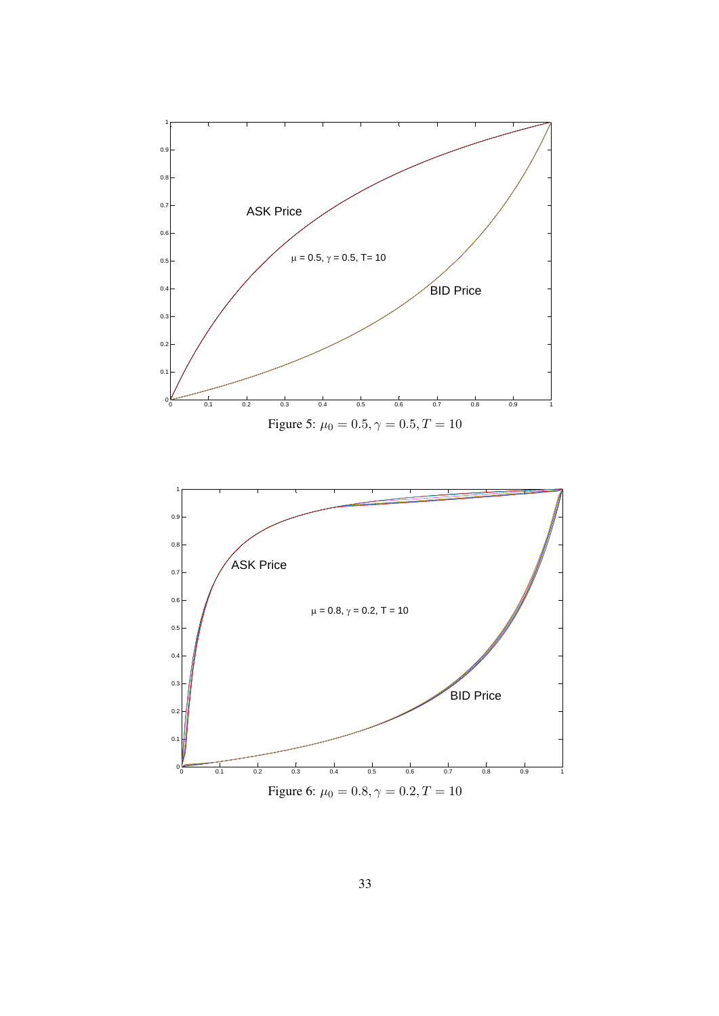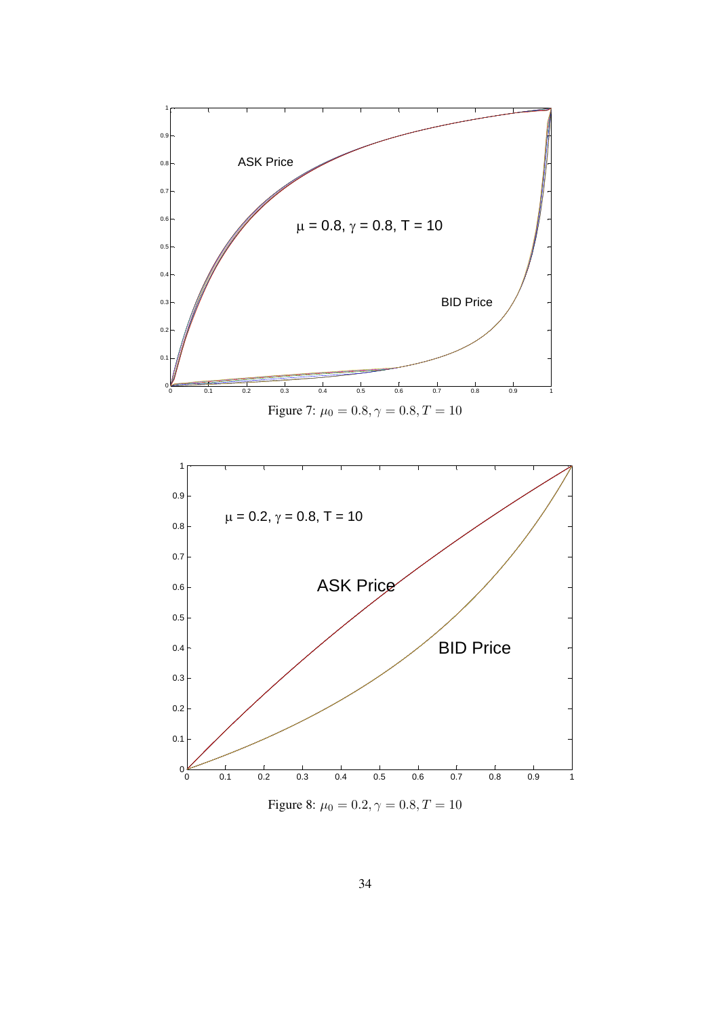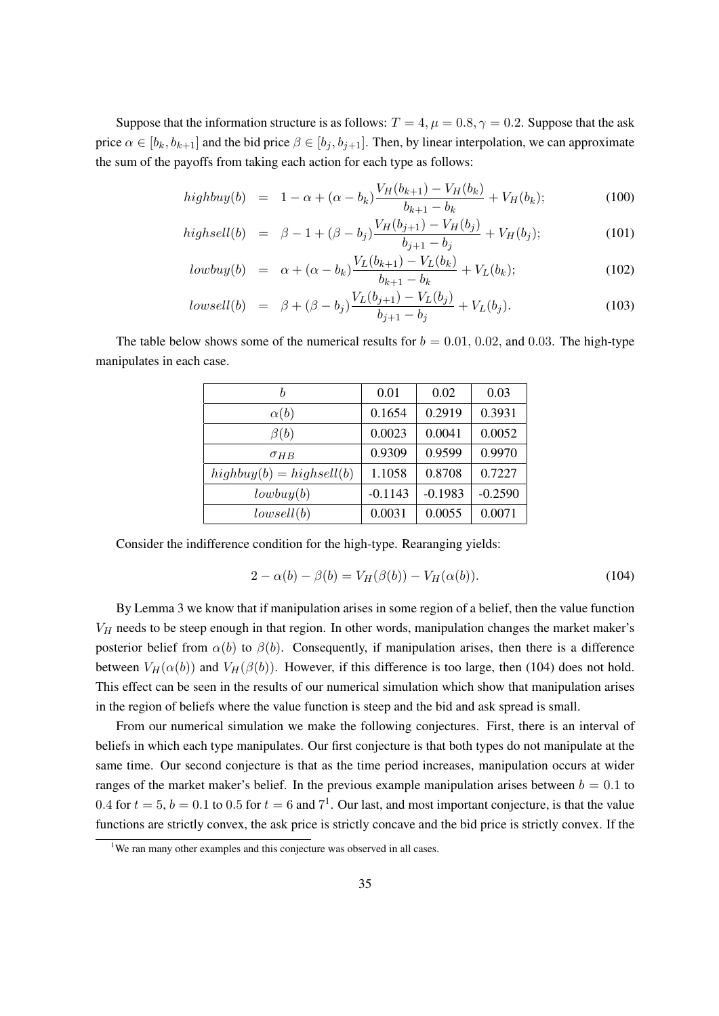Suppose that the information structure is as follows:  $T = 4$ ,  $\mu = 0.8$ ,  $\gamma = 0.2$ . Suppose that the ask price  $\alpha \in [b_k, b_{k+1}]$  and the bid price  $\beta \in [b_j, b_{j+1}]$ . Then, by linear interpolation, we can approximate the sum of the payoffs from taking each action for each type as follows:

$$
highbuy(b) = 1 - \alpha + (\alpha - b_k) \frac{V_H(b_{k+1}) - V_H(b_k)}{b_{k+1} - b_k} + V_H(b_k); \tag{100}
$$

$$
highsell(b) = \beta - 1 + (\beta - b_j) \frac{V_H(b_{j+1}) - V_H(b_j)}{b_{j+1} - b_j} + V_H(b_j); \tag{101}
$$

$$
lowbuy(b) = \alpha + (\alpha - b_k) \frac{V_L(b_{k+1}) - V_L(b_k)}{b_{k+1} - b_k} + V_L(b_k); \qquad (102)
$$

$$
lowsell(b) = \beta + (\beta - b_j) \frac{V_L(b_{j+1}) - V_L(b_j)}{b_{j+1} - b_j} + V_L(b_j). \tag{103}
$$

The table below shows some of the numerical results for  $b = 0.01, 0.02$ , and 0.03. The high-type manipulates in each case.

|                            | 0.01      | 0.02      | 0.03      |
|----------------------------|-----------|-----------|-----------|
| $\alpha(b)$                | 0.1654    | 0.2919    | 0.3931    |
| $\beta(b)$                 | 0.0023    | 0.0041    | 0.0052    |
| $\sigma_{HB}$              | 0.9309    | 0.9599    | 0.9970    |
| $highbuy(b) = highsell(b)$ | 1.1058    | 0.8708    | 0.7227    |
| lowbuy(b)                  | $-0.1143$ | $-0.1983$ | $-0.2590$ |
| lowestl(b)                 | 0.0031    | 0.0055    | 0.0071    |

Consider the indifference condition for the high-type. Rearanging yields:

$$
2 - \alpha(b) - \beta(b) = V_H(\beta(b)) - V_H(\alpha(b)).
$$
\n(104)

By Lemma 3 we know that if manipulation arises in some region of a belief, then the value function  $V_H$  needs to be steep enough in that region. In other words, manipulation changes the market maker's posterior belief from  $\alpha(b)$  to  $\beta(b)$ . Consequently, if manipulation arises, then there is a difference between  $V_H(\alpha(b))$  and  $V_H(\beta(b))$ . However, if this difference is too large, then (104) does not hold. This effect can be seen in the results of our numerical simulation which show that manipulation arises in the region of beliefs where the value function is steep and the bid and ask spread is small.

From our numerical simulation we make the following conjectures. First, there is an interval of beliefs in which each type manipulates. Our first conjecture is that both types do not manipulate at the same time. Our second conjecture is that as the time period increases, manipulation occurs at wider ranges of the market maker's belief. In the previous example manipulation arises between  $b = 0.1$  to 0.4 for  $t = 5$ ,  $b = 0.1$  to 0.5 for  $t = 6$  and  $7<sup>1</sup>$ . Our last, and most important conjecture, is that the value functions are strictly convex, the ask price is strictly concave and the bid price is strictly convex. If the

<sup>&</sup>lt;sup>1</sup>We ran many other examples and this conjecture was observed in all cases.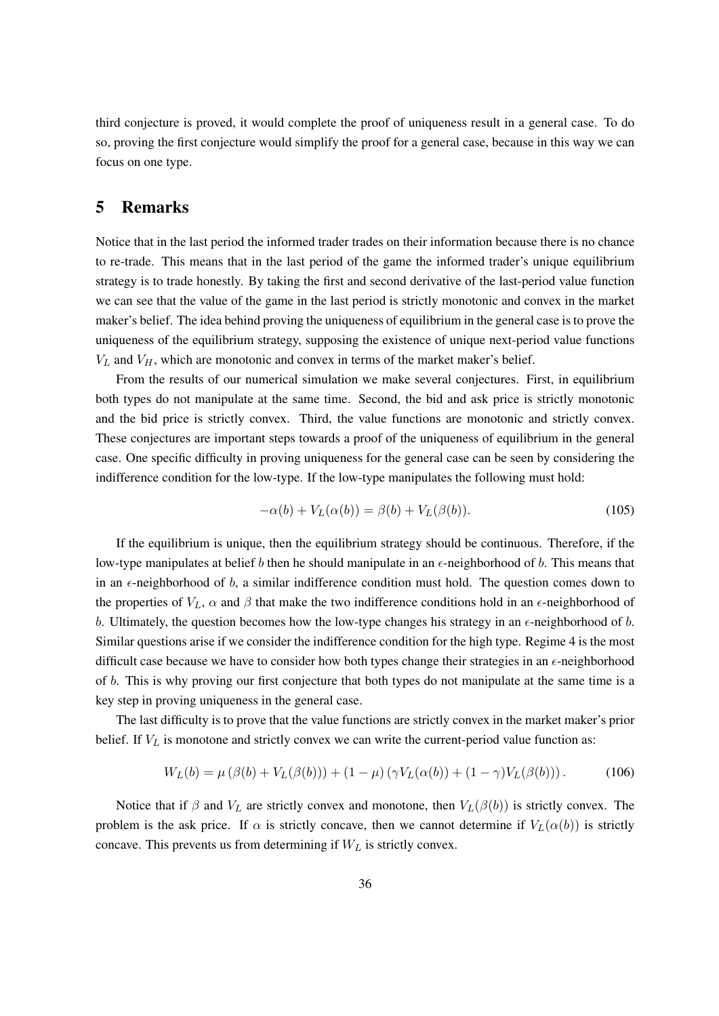third conjecture is proved, it would complete the proof of uniqueness result in a general case. To do so, proving the first conjecture would simplify the proof for a general case, because in this way we can focus on one type.

## 5 Remarks

Notice that in the last period the informed trader trades on their information because there is no chance to re-trade. This means that in the last period of the game the informed trader's unique equilibrium strategy is to trade honestly. By taking the first and second derivative of the last-period value function we can see that the value of the game in the last period is strictly monotonic and convex in the market maker's belief. The idea behind proving the uniqueness of equilibrium in the general case is to prove the uniqueness of the equilibrium strategy, supposing the existence of unique next-period value functions  $V_L$  and  $V_H$ , which are monotonic and convex in terms of the market maker's belief.

From the results of our numerical simulation we make several conjectures. First, in equilibrium both types do not manipulate at the same time. Second, the bid and ask price is strictly monotonic and the bid price is strictly convex. Third, the value functions are monotonic and strictly convex. These conjectures are important steps towards a proof of the uniqueness of equilibrium in the general case. One specific difficulty in proving uniqueness for the general case can be seen by considering the indifference condition for the low-type. If the low-type manipulates the following must hold:

$$
-\alpha(b) + V_L(\alpha(b)) = \beta(b) + V_L(\beta(b)).\tag{105}
$$

If the equilibrium is unique, then the equilibrium strategy should be continuous. Therefore, if the low-type manipulates at belief b then he should manipulate in an  $\epsilon$ -neighborhood of b. This means that in an  $\epsilon$ -neighborhood of  $b$ , a similar indifference condition must hold. The question comes down to the properties of  $V_L$ ,  $\alpha$  and  $\beta$  that make the two indifference conditions hold in an  $\epsilon$ -neighborhood of b. Ultimately, the question becomes how the low-type changes his strategy in an  $\epsilon$ -neighborhood of b. Similar questions arise if we consider the indifference condition for the high type. Regime 4 is the most difficult case because we have to consider how both types change their strategies in an  $\epsilon$ -neighborhood of b. This is why proving our first conjecture that both types do not manipulate at the same time is a key step in proving uniqueness in the general case.

The last difficulty is to prove that the value functions are strictly convex in the market maker's prior belief. If  $V_L$  is monotone and strictly convex we can write the current-period value function as:

$$
W_L(b) = \mu (\beta(b) + V_L(\beta(b))) + (1 - \mu) (\gamma V_L(\alpha(b)) + (1 - \gamma) V_L(\beta(b))).
$$
 (106)

Notice that if  $\beta$  and  $V_L$  are strictly convex and monotone, then  $V_L(\beta(b))$  is strictly convex. The problem is the ask price. If  $\alpha$  is strictly concave, then we cannot determine if  $V_L(\alpha(b))$  is strictly concave. This prevents us from determining if  $W_L$  is strictly convex.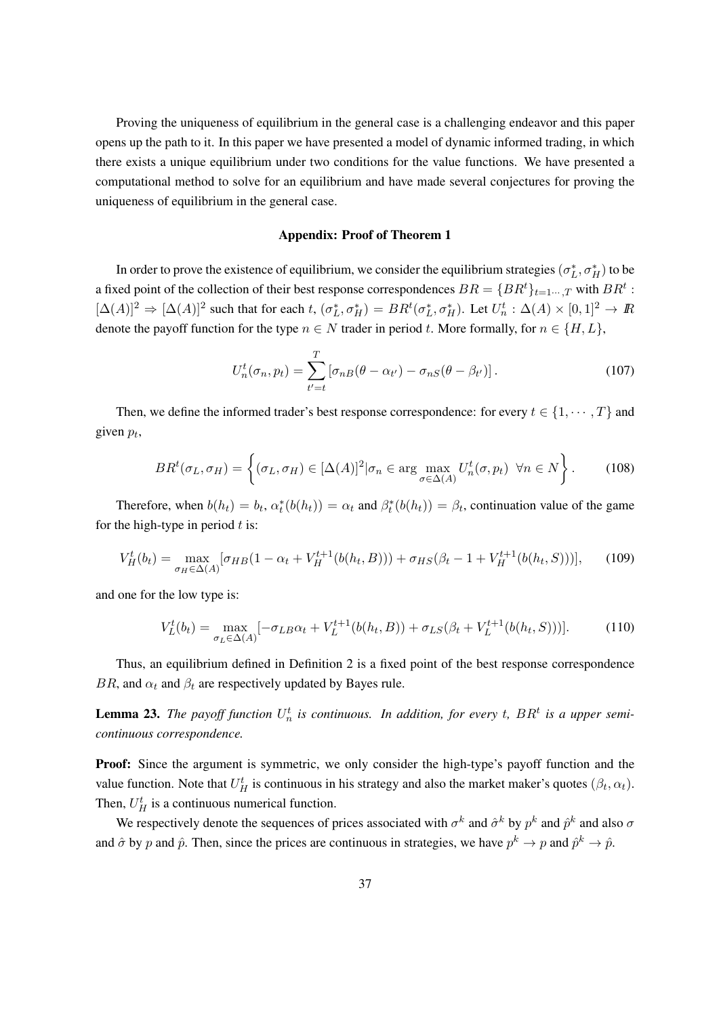Proving the uniqueness of equilibrium in the general case is a challenging endeavor and this paper opens up the path to it. In this paper we have presented a model of dynamic informed trading, in which there exists a unique equilibrium under two conditions for the value functions. We have presented a computational method to solve for an equilibrium and have made several conjectures for proving the uniqueness of equilibrium in the general case.

#### Appendix: Proof of Theorem 1

In order to prove the existence of equilibrium, we consider the equilibrium strategies  $(\sigma_L^*, \sigma_H^*)$  to be a fixed point of the collection of their best response correspondences  $BR = \{BR^t\}_{t=1\cdots,T}$  with  $BR^t$  :  $[\Delta(A)]^2 \Rightarrow [\Delta(A)]^2$  such that for each t,  $(\sigma_L^*, \sigma_H^*) = BR^t(\sigma_L^*, \sigma_H^*)$ . Let  $U_n^t : \Delta(A) \times [0, 1]^2 \rightarrow \mathbb{R}$ denote the payoff function for the type  $n \in N$  trader in period t. More formally, for  $n \in \{H, L\}$ ,

$$
U_n^t(\sigma_n, p_t) = \sum_{t'=t}^T \left[ \sigma_{nB}(\theta - \alpha_{t'}) - \sigma_{nS}(\theta - \beta_{t'}) \right]. \tag{107}
$$

Then, we define the informed trader's best response correspondence: for every  $t \in \{1, \dots, T\}$  and given  $p_t$ ,

$$
BR^t(\sigma_L, \sigma_H) = \left\{ (\sigma_L, \sigma_H) \in [\Delta(A)]^2 | \sigma_n \in \arg\max_{\sigma \in \Delta(A)} U_n^t(\sigma, p_t) \ \forall n \in N \right\}.
$$
 (108)

Therefore, when  $b(h_t) = b_t$ ,  $\alpha_t^*(b(h_t)) = \alpha_t$  and  $\beta_t^*(b(h_t)) = \beta_t$ , continuation value of the game for the high-type in period  $t$  is:

$$
V_H^t(b_t) = \max_{\sigma_H \in \Delta(A)} [\sigma_{HB}(1 - \alpha_t + V_H^{t+1}(b(h_t, B))) + \sigma_{HS}(\beta_t - 1 + V_H^{t+1}(b(h_t, S)))], \quad (109)
$$

and one for the low type is:

$$
V_L^t(b_t) = \max_{\sigma_L \in \Delta(A)} [-\sigma_{LB}\alpha_t + V_L^{t+1}(b(h_t, B)) + \sigma_{LS}(\beta_t + V_L^{t+1}(b(h_t, S)))].
$$
 (110)

Thus, an equilibrium defined in Definition 2 is a fixed point of the best response correspondence BR, and  $\alpha_t$  and  $\beta_t$  are respectively updated by Bayes rule.

**Lemma 23.** The payoff function  $U_n^t$  is continuous. In addition, for every t,  $BR^t$  is a upper semi*continuous correspondence.*

Proof: Since the argument is symmetric, we only consider the high-type's payoff function and the value function. Note that  $U_H^t$  is continuous in his strategy and also the market maker's quotes  $(\beta_t, \alpha_t)$ . Then,  $U_H^t$  is a continuous numerical function.

We respectively denote the sequences of prices associated with  $\sigma^k$  and  $\hat{\sigma}^k$  by  $p^k$  and  $\hat{p}^k$  and also  $\sigma$ and  $\hat{\sigma}$  by  $p$  and  $\hat{p}$ . Then, since the prices are continuous in strategies, we have  $p^k \to p$  and  $\hat{p}^k \to \hat{p}$ .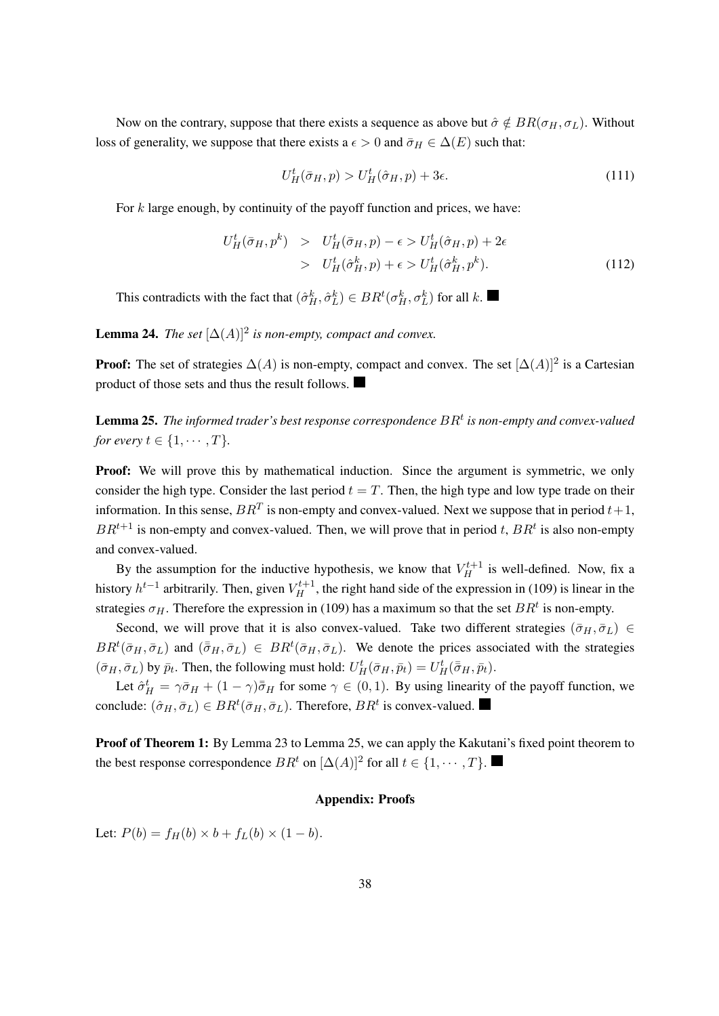Now on the contrary, suppose that there exists a sequence as above but  $\hat{\sigma} \notin BR(\sigma_H, \sigma_L)$ . Without loss of generality, we suppose that there exists a  $\epsilon > 0$  and  $\bar{\sigma}_H \in \Delta(E)$  such that:

$$
U_H^t(\bar{\sigma}_H, p) > U_H^t(\hat{\sigma}_H, p) + 3\epsilon.
$$
\n(111)

For  $k$  large enough, by continuity of the payoff function and prices, we have:

$$
U_H^t(\bar{\sigma}_H, p^k) > U_H^t(\bar{\sigma}_H, p) - \epsilon > U_H^t(\hat{\sigma}_H, p) + 2\epsilon
$$
  
> 
$$
U_H^t(\hat{\sigma}_H^k, p) + \epsilon > U_H^t(\hat{\sigma}_H^k, p^k).
$$
 (112)

This contradicts with the fact that  $(\hat{\sigma}_H^k, \hat{\sigma}_L^k) \in BR^t(\sigma_H^k, \sigma_L^k)$  for all k.

**Lemma 24.** *The set*  $[\Delta(A)]^2$  *is non-empty, compact and convex.* 

**Proof:** The set of strategies  $\Delta(A)$  is non-empty, compact and convex. The set  $[\Delta(A)]^2$  is a Cartesian product of those sets and thus the result follows.

 ${\bf Lemma}$  25. The informed trader's best response correspondence  $BR^t$  is non-empty and convex-valued *for every*  $t \in \{1, \cdots, T\}$ .

**Proof:** We will prove this by mathematical induction. Since the argument is symmetric, we only consider the high type. Consider the last period  $t = T$ . Then, the high type and low type trade on their information. In this sense,  $BR^T$  is non-empty and convex-valued. Next we suppose that in period  $t+1$ ,  $BR^{t+1}$  is non-empty and convex-valued. Then, we will prove that in period t,  $BR^{t}$  is also non-empty and convex-valued.

By the assumption for the inductive hypothesis, we know that  $V_H^{t+1}$  is well-defined. Now, fix a history  $h^{t-1}$  arbitrarily. Then, given  $V_H^{t+1}$ , the right hand side of the expression in (109) is linear in the strategies  $\sigma_H$ . Therefore the expression in (109) has a maximum so that the set  $BR<sup>t</sup>$  is non-empty.

Second, we will prove that it is also convex-valued. Take two different strategies ( $\bar{\sigma}_H$ ,  $\bar{\sigma}_L$ ) ∈  $BR<sup>t</sup>(\bar{\sigma}_H, \bar{\sigma}_L)$  and  $(\bar{\bar{\sigma}}_H, \bar{\sigma}_L) \in BR<sup>t</sup>(\bar{\sigma}_H, \bar{\sigma}_L)$ . We denote the prices associated with the strategies  $(\bar{\sigma}_H, \bar{\sigma}_L)$  by  $\bar{p}_t$ . Then, the following must hold:  $U^t_H(\bar{\sigma}_H, \bar{p}_t) = U^t_H(\bar{\bar{\sigma}}_H, \bar{p}_t)$ .

Let  $\hat{\sigma}_H^t = \gamma \bar{\sigma}_H + (1 - \gamma)\bar{\bar{\sigma}}_H$  for some  $\gamma \in (0, 1)$ . By using linearity of the payoff function, we conclude:  $(\hat{\sigma}_H, \bar{\sigma}_L) \in BR^t(\bar{\sigma}_H, \bar{\sigma}_L)$ . Therefore,  $BR^t$  is convex-valued.

**Proof of Theorem 1:** By Lemma 23 to Lemma 25, we can apply the Kakutani's fixed point theorem to the best response correspondence  $BR^t$  on  $[\Delta(A)]^2$  for all  $t \in \{1, \cdots, T\}$ .

#### Appendix: Proofs

Let:  $P(b) = f_H(b) \times b + f_L(b) \times (1 - b)$ .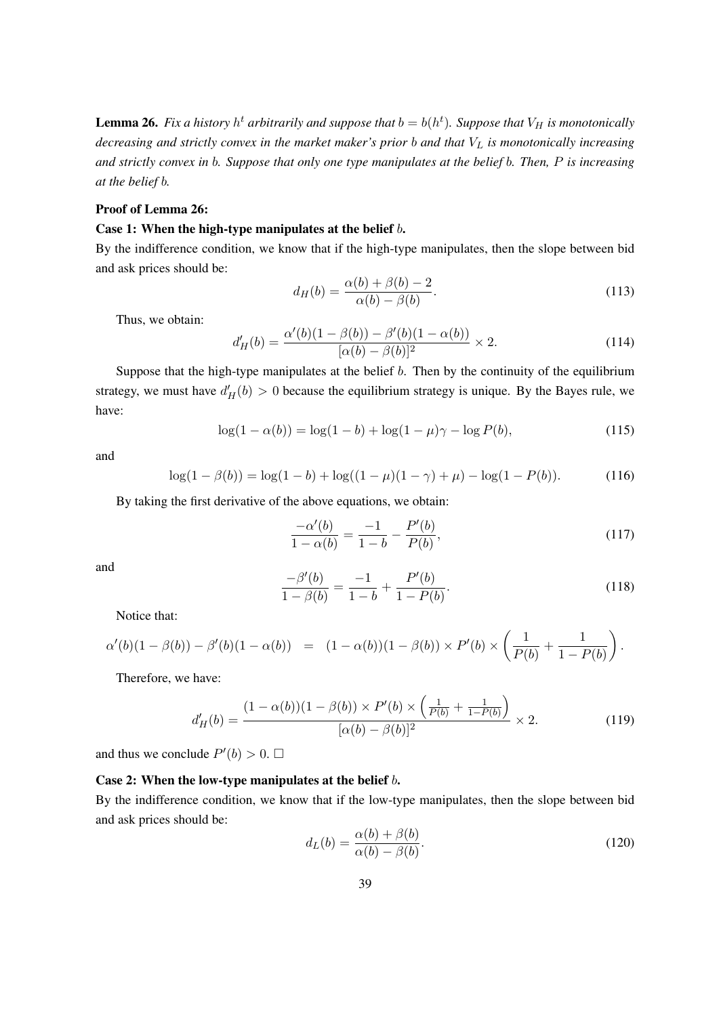**Lemma 26.** Fix a history  $h^t$  arbitrarily and suppose that  $b = b(h^t)$ . Suppose that  $V_H$  is monotonically *decreasing and strictly convex in the market maker's prior b and that*  $V_L$  *is monotonically increasing and strictly convex in* 𝑏*. Suppose that only one type manipulates at the belief* 𝑏*. Then,* 𝑃 *is increasing at the belief b.* 

#### Proof of Lemma 26:

#### Case 1: When the high-type manipulates at the belief  $b$ .

By the indifference condition, we know that if the high-type manipulates, then the slope between bid and ask prices should be:

$$
d_H(b) = \frac{\alpha(b) + \beta(b) - 2}{\alpha(b) - \beta(b)}.
$$
\n(113)

Thus, we obtain:

$$
d'_{H}(b) = \frac{\alpha'(b)(1 - \beta(b)) - \beta'(b)(1 - \alpha(b))}{[\alpha(b) - \beta(b)]^2} \times 2.
$$
 (114)

Suppose that the high-type manipulates at the belief  $b$ . Then by the continuity of the equilibrium strategy, we must have  $d'_{H}(b) > 0$  because the equilibrium strategy is unique. By the Bayes rule, we have:

$$
\log(1 - \alpha(b)) = \log(1 - b) + \log(1 - \mu)\gamma - \log P(b),\tag{115}
$$

and

$$
\log(1 - \beta(b)) = \log(1 - b) + \log((1 - \mu)(1 - \gamma) + \mu) - \log(1 - P(b)).
$$
 (116)

By taking the first derivative of the above equations, we obtain:

$$
\frac{-\alpha'(b)}{1-\alpha(b)} = \frac{-1}{1-b} - \frac{P'(b)}{P(b)},\tag{117}
$$

and

$$
\frac{-\beta'(b)}{1-\beta(b)} = \frac{-1}{1-b} + \frac{P'(b)}{1-P(b)}.\tag{118}
$$

Notice that:

$$
\alpha'(b)(1-\beta(b)) - \beta'(b)(1-\alpha(b)) = (1-\alpha(b))(1-\beta(b)) \times P'(b) \times \left(\frac{1}{P(b)} + \frac{1}{1-P(b)}\right).
$$

Therefore, we have:

$$
d'_{H}(b) = \frac{(1 - \alpha(b))(1 - \beta(b)) \times P'(b) \times \left(\frac{1}{P(b)} + \frac{1}{1 - P(b)}\right)}{[\alpha(b) - \beta(b)]^2} \times 2.
$$
 (119)

and thus we conclude  $P'(b) > 0$ .  $\Box$ 

#### Case 2: When the low-type manipulates at the belief *b*.

By the indifference condition, we know that if the low-type manipulates, then the slope between bid and ask prices should be:

$$
d_L(b) = \frac{\alpha(b) + \beta(b)}{\alpha(b) - \beta(b)}.
$$
\n(120)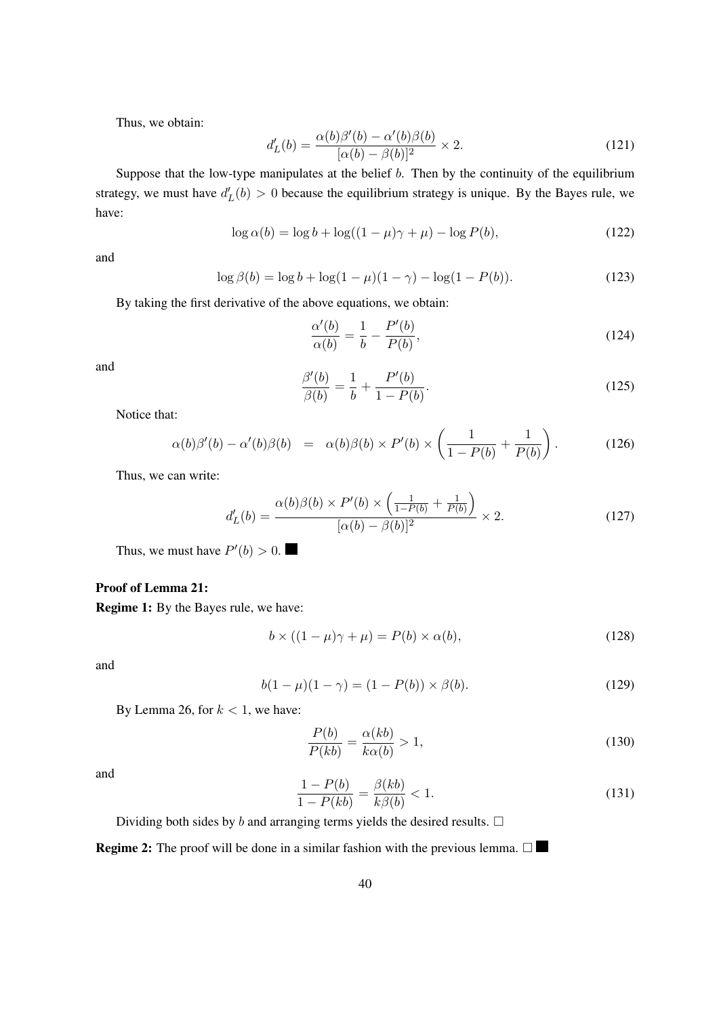Thus, we obtain:

$$
d'_{L}(b) = \frac{\alpha(b)\beta'(b) - \alpha'(b)\beta(b)}{[\alpha(b) - \beta(b)]^2} \times 2.
$$
 (121)

Suppose that the low-type manipulates at the belief  $b$ . Then by the continuity of the equilibrium strategy, we must have  $d'_{L}(b) > 0$  because the equilibrium strategy is unique. By the Bayes rule, we have:

$$
\log \alpha(b) = \log b + \log((1 - \mu)\gamma + \mu) - \log P(b),\tag{122}
$$

and

$$
\log \beta(b) = \log b + \log(1 - \mu)(1 - \gamma) - \log(1 - P(b)).
$$
\n(123)

By taking the first derivative of the above equations, we obtain:

$$
\frac{\alpha'(b)}{\alpha(b)} = \frac{1}{b} - \frac{P'(b)}{P(b)},\tag{124}
$$

and

$$
\frac{\beta'(b)}{\beta(b)} = \frac{1}{b} + \frac{P'(b)}{1 - P(b)}.
$$
\n(125)

Notice that:

$$
\alpha(b)\beta'(b) - \alpha'(b)\beta(b) = \alpha(b)\beta(b) \times P'(b) \times \left(\frac{1}{1 - P(b)} + \frac{1}{P(b)}\right). \tag{126}
$$

Thus, we can write:

$$
d'_{L}(b) = \frac{\alpha(b)\beta(b) \times P'(b) \times \left(\frac{1}{1 - P(b)} + \frac{1}{P(b)}\right)}{[\alpha(b) - \beta(b)]^2} \times 2.
$$
 (127)

Thus, we must have  $P'(b) > 0$ .

## Proof of Lemma 21:

Regime 1: By the Bayes rule, we have:

$$
b \times ((1 - \mu)\gamma + \mu) = P(b) \times \alpha(b),\tag{128}
$$

and

$$
b(1 - \mu)(1 - \gamma) = (1 - P(b)) \times \beta(b). \tag{129}
$$

By Lemma 26, for  $k < 1$ , we have:

$$
\frac{P(b)}{P(kb)} = \frac{\alpha(kb)}{k\alpha(b)} > 1,
$$
\n(130)

and

$$
\frac{1 - P(b)}{1 - P(kb)} = \frac{\beta(kb)}{k\beta(b)} < 1. \tag{131}
$$

Dividing both sides by  $b$  and arranging terms yields the desired results.  $\square$ 

**Regime 2:** The proof will be done in a similar fashion with the previous lemma.  $\Box$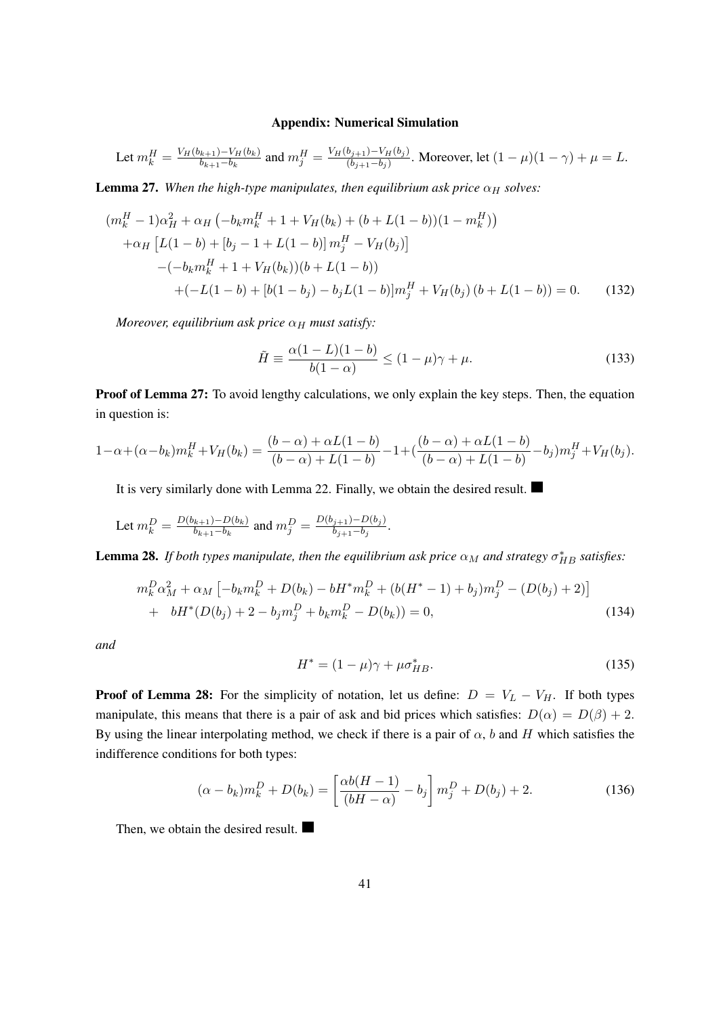#### Appendix: Numerical Simulation

Let 
$$
m_k^H = \frac{V_H(b_{k+1}) - V_H(b_k)}{b_{k+1} - b_k}
$$
 and  $m_j^H = \frac{V_H(b_{j+1}) - V_H(b_j)}{(b_{j+1} - b_j)}$ . Moreover, let  $(1 - \mu)(1 - \gamma) + \mu = L$ .

**Lemma 27.** When the high-type manipulates, then equilibrium ask price  $\alpha_H$  solves:

$$
(m_k^H - 1)\alpha_H^2 + \alpha_H \left(-b_k m_k^H + 1 + V_H(b_k) + (b + L(1 - b))(1 - m_k^H)\right)
$$
  
+ 
$$
\alpha_H \left[L(1 - b) + [b_j - 1 + L(1 - b)]m_j^H - V_H(b_j)\right]
$$
  
- 
$$
(-b_k m_k^H + 1 + V_H(b_k))(b + L(1 - b))
$$
  
+ 
$$
(-L(1 - b) + [b(1 - b_j) - b_j L(1 - b)]m_j^H + V_H(b_j)(b + L(1 - b)) = 0.
$$
 (132)

*Moreover, equilibrium ask price*  $\alpha_H$  *must satisfy:* 

$$
\tilde{H} \equiv \frac{\alpha(1 - L)(1 - b)}{b(1 - \alpha)} \le (1 - \mu)\gamma + \mu.
$$
\n(133)

Proof of Lemma 27: To avoid lengthy calculations, we only explain the key steps. Then, the equation in question is:

$$
1 - \alpha + (\alpha - b_k)m_k^H + V_H(b_k) = \frac{(b - \alpha) + \alpha L(1 - b)}{(b - \alpha) + L(1 - b)} - 1 + \frac{(b - \alpha) + \alpha L(1 - b)}{(b - \alpha) + L(1 - b)} - b_j)m_j^H + V_H(b_j).
$$

It is very similarly done with Lemma 22. Finally, we obtain the desired result.

Let 
$$
m_k^D = \frac{D(b_{k+1}) - D(b_k)}{b_{k+1} - b_k}
$$
 and  $m_j^D = \frac{D(b_{j+1}) - D(b_j)}{b_{j+1} - b_j}$ .

**Lemma 28.** If both types manipulate, then the equilibrium ask price  $\alpha_M$  and strategy  $\sigma_{HB}^*$  satisfies:

$$
m_k^D \alpha_M^2 + \alpha_M \left[ -b_k m_k^D + D(b_k) - b H^* m_k^D + (b(H^* - 1) + b_j) m_j^D - (D(b_j) + 2) \right]
$$
  
+ 
$$
b H^* (D(b_j) + 2 - b_j m_j^D + b_k m_k^D - D(b_k)) = 0,
$$
 (134)

*and*

$$
H^* = (1 - \mu)\gamma + \mu \sigma_{HB}^*.
$$
 (135)

**Proof of Lemma 28:** For the simplicity of notation, let us define:  $D = V_L - V_H$ . If both types manipulate, this means that there is a pair of ask and bid prices which satisfies:  $D(\alpha) = D(\beta) + 2$ . By using the linear interpolating method, we check if there is a pair of  $\alpha$ , b and H which satisfies the indifference conditions for both types:

$$
(\alpha - b_k)m_k^D + D(b_k) = \left[\frac{\alpha b(H - 1)}{(bH - \alpha)} - b_j\right]m_j^D + D(b_j) + 2.
$$
 (136)

Then, we obtain the desired result.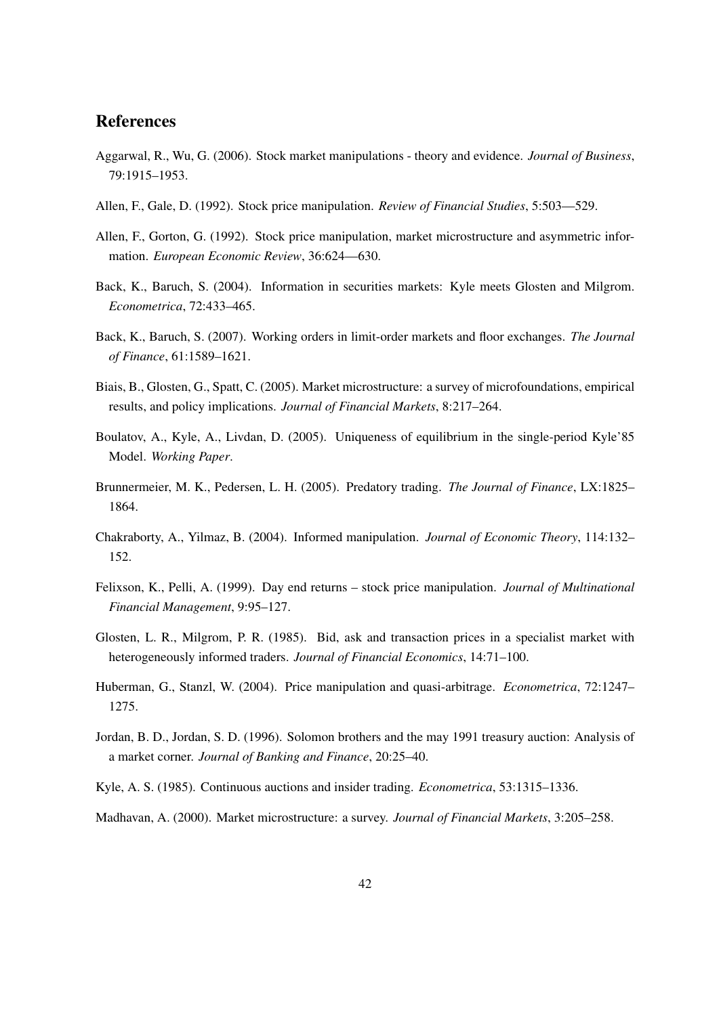## **References**

- Aggarwal, R., Wu, G. (2006). Stock market manipulations theory and evidence. *Journal of Business*, 79:1915–1953.
- Allen, F., Gale, D. (1992). Stock price manipulation. *Review of Financial Studies*, 5:503—529.
- Allen, F., Gorton, G. (1992). Stock price manipulation, market microstructure and asymmetric information. *European Economic Review*, 36:624—630.
- Back, K., Baruch, S. (2004). Information in securities markets: Kyle meets Glosten and Milgrom. *Econometrica*, 72:433–465.
- Back, K., Baruch, S. (2007). Working orders in limit-order markets and floor exchanges. *The Journal of Finance*, 61:1589–1621.
- Biais, B., Glosten, G., Spatt, C. (2005). Market microstructure: a survey of microfoundations, empirical results, and policy implications. *Journal of Financial Markets*, 8:217–264.
- Boulatov, A., Kyle, A., Livdan, D. (2005). Uniqueness of equilibrium in the single-period Kyle'85 Model. *Working Paper*.
- Brunnermeier, M. K., Pedersen, L. H. (2005). Predatory trading. *The Journal of Finance*, LX:1825– 1864.
- Chakraborty, A., Yilmaz, B. (2004). Informed manipulation. *Journal of Economic Theory*, 114:132– 152.
- Felixson, K., Pelli, A. (1999). Day end returns stock price manipulation. *Journal of Multinational Financial Management*, 9:95–127.
- Glosten, L. R., Milgrom, P. R. (1985). Bid, ask and transaction prices in a specialist market with heterogeneously informed traders. *Journal of Financial Economics*, 14:71–100.
- Huberman, G., Stanzl, W. (2004). Price manipulation and quasi-arbitrage. *Econometrica*, 72:1247– 1275.
- Jordan, B. D., Jordan, S. D. (1996). Solomon brothers and the may 1991 treasury auction: Analysis of a market corner. *Journal of Banking and Finance*, 20:25–40.
- Kyle, A. S. (1985). Continuous auctions and insider trading. *Econometrica*, 53:1315–1336.
- Madhavan, A. (2000). Market microstructure: a survey. *Journal of Financial Markets*, 3:205–258.